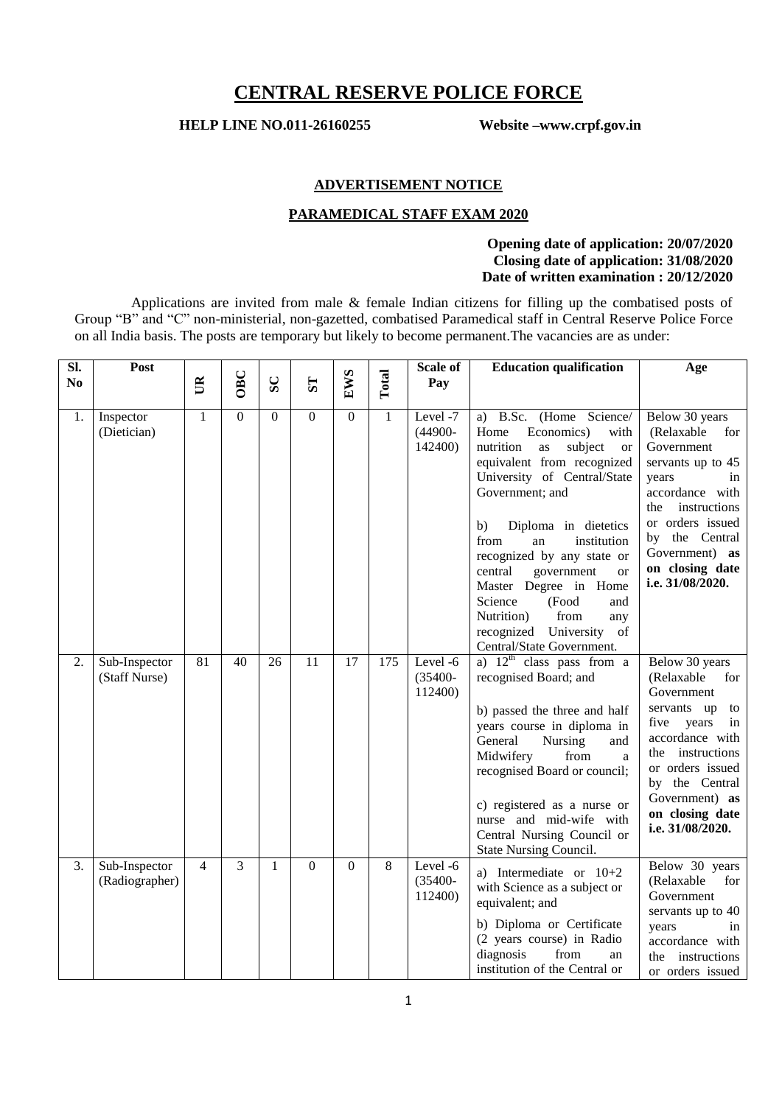# **CENTRAL RESERVE POLICE FORCE**

**HELP LINE NO.011-26160255 Website –www.crpf.gov.in**

#### **ADVERTISEMENT NOTICE**

## **PARAMEDICAL STAFF EXAM 2020**

## **Opening date of application: 20/07/2020 Closing date of application: 31/08/2020 Date of written examination : 20/12/2020**

Applications are invited from male & female Indian citizens for filling up the combatised posts of Group "B" and "C" non-ministerial, non-gazetted, combatised Paramedical staff in Central Reserve Police Force on all India basis. The posts are temporary but likely to become permanent.The vacancies are as under:

| SI.            | Post                            |                |          |          |                         |                 |              | Scale of                          | <b>Education qualification</b>                                                                                                                                                                                                                                                                                                                                                                                                                               | Age                                                                                                                                                                                                                                 |
|----------------|---------------------------------|----------------|----------|----------|-------------------------|-----------------|--------------|-----------------------------------|--------------------------------------------------------------------------------------------------------------------------------------------------------------------------------------------------------------------------------------------------------------------------------------------------------------------------------------------------------------------------------------------------------------------------------------------------------------|-------------------------------------------------------------------------------------------------------------------------------------------------------------------------------------------------------------------------------------|
| N <sub>0</sub> |                                 | $\mathbb{R}$   | OBC      | SC       | $\overline{\mathbf{S}}$ | EWS             | Total        | Pay                               |                                                                                                                                                                                                                                                                                                                                                                                                                                                              |                                                                                                                                                                                                                                     |
| 1.             | Inspector<br>(Dietician)        | $\mathbf{1}$   | $\theta$ | $\theta$ | $\theta$                | $\Omega$        | $\mathbf{1}$ | Level -7<br>$(44900 -$<br>142400) | a) B.Sc. (Home Science/<br>Economics)<br>Home<br>with<br>nutrition<br>subject<br>as<br><b>or</b><br>equivalent from recognized<br>University of Central/State<br>Government; and<br>b)<br>Diploma in dietetics<br>from<br>institution<br>an<br>recognized by any state or<br>central<br>government<br><b>or</b><br>Master Degree in Home<br>Science<br>(Food<br>and<br>Nutrition)<br>from<br>any<br>recognized University<br>of<br>Central/State Government. | Below 30 years<br>(Relaxable<br>for<br>Government<br>servants up to 45<br>years<br>in<br>accordance with<br>instructions<br>the<br>or orders issued<br>by the Central<br>Government) as<br>on closing date<br>i.e. 31/08/2020.      |
| 2.             | Sub-Inspector<br>(Staff Nurse)  | 81             | 40       | 26       | 11                      | $\overline{17}$ | 175          | Level -6<br>$(35400 -$<br>112400) | a) $12^{\text{th}}$ class pass from a<br>recognised Board; and<br>b) passed the three and half<br>years course in diploma in<br>General<br>Nursing<br>and<br>Midwifery<br>from<br>a<br>recognised Board or council;<br>c) registered as a nurse or<br>nurse and mid-wife with<br>Central Nursing Council or<br>State Nursing Council.                                                                                                                        | Below 30 years<br>(Relaxable<br>for<br>Government<br>servants up<br>to<br>five<br>years<br>in<br>accordance with<br>the instructions<br>or orders issued<br>by the Central<br>Government) as<br>on closing date<br>i.e. 31/08/2020. |
| 3.             | Sub-Inspector<br>(Radiographer) | $\overline{4}$ | 3        | 1        | $\mathbf{0}$            | $\mathbf{0}$    | 8            | Level-6<br>$(35400 -$<br>112400)  | a) Intermediate or $10+2$<br>with Science as a subject or<br>equivalent; and<br>b) Diploma or Certificate<br>(2 years course) in Radio<br>diagnosis<br>from<br>an<br>institution of the Central or                                                                                                                                                                                                                                                           | Below 30 years<br>(Relaxable<br>for<br>Government<br>servants up to 40<br>years<br>in<br>accordance with<br>instructions<br>the<br>or orders issued                                                                                 |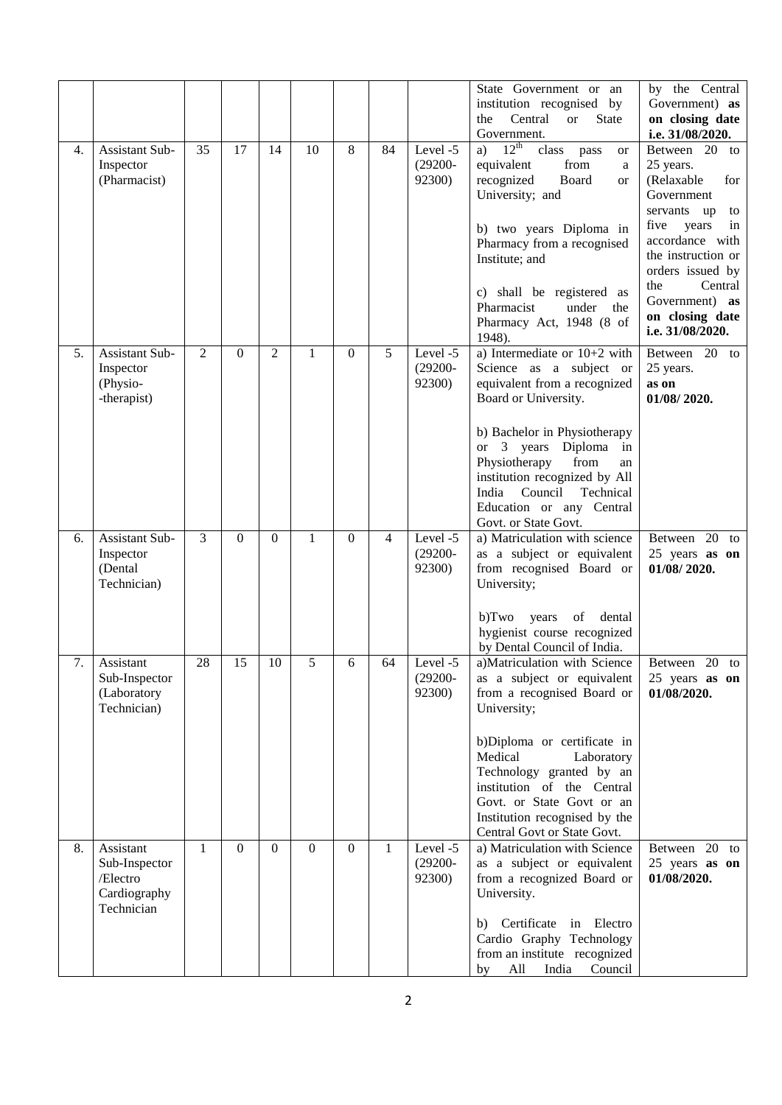|    |                                                                      |              |          |                |              |                |    |                                  | State Government or an<br>institution recognised by<br>Central<br>the<br><b>or</b><br><b>State</b><br>Government.                                                                                                                                                                                                               | by the Central<br>Government) as<br>on closing date<br>i.e. 31/08/2020.                                                                                                                                                                              |
|----|----------------------------------------------------------------------|--------------|----------|----------------|--------------|----------------|----|----------------------------------|---------------------------------------------------------------------------------------------------------------------------------------------------------------------------------------------------------------------------------------------------------------------------------------------------------------------------------|------------------------------------------------------------------------------------------------------------------------------------------------------------------------------------------------------------------------------------------------------|
| 4. | Assistant Sub-<br>Inspector<br>(Pharmacist)                          | 35           | 17       | 14             | 10           | 8              | 84 | Level -5<br>$(29200 -$<br>92300) | a) $12^{\text{th}}$<br>class<br>pass<br>or<br>from<br>equivalent<br>a<br>recognized<br>Board<br>or<br>University; and<br>b) two years Diploma in<br>Pharmacy from a recognised<br>Institute; and<br>c) shall be registered as<br>Pharmacist<br>under<br>the<br>Pharmacy Act, 1948 (8 of<br>1948).                               | Between 20<br>to<br>25 years.<br>(Relaxable<br>for<br>Government<br>servants up<br>to<br>five<br>years<br>in<br>accordance with<br>the instruction or<br>orders issued by<br>the<br>Central<br>Government) as<br>on closing date<br>i.e. 31/08/2020. |
| 5. | Assistant Sub-<br>Inspector<br>(Physio-<br>-therapist)               | 2            | $\Omega$ | $\overline{2}$ | $\mathbf{1}$ | $\Omega$       | 5  | Level -5<br>$(29200 -$<br>92300) | a) Intermediate or $10+2$ with<br>Science as a subject or<br>equivalent from a recognized<br>Board or University.<br>b) Bachelor in Physiotherapy<br>or 3 years Diploma in<br>Physiotherapy<br>from<br>an<br>institution recognized by All<br>India<br>Council<br>Technical<br>Education or any Central<br>Govt. or State Govt. | Between 20 to<br>25 years.<br>as on<br>01/08/2020.                                                                                                                                                                                                   |
| 6. | Assistant Sub-<br>Inspector<br>(Dental<br>Technician)                | 3            | $\Omega$ | $\mathbf{0}$   | 1            | $\theta$       | 4  | Level -5<br>$(29200 -$<br>92300) | a) Matriculation with science<br>as a subject or equivalent<br>from recognised Board or<br>University;<br>of<br>dental<br>b)Two<br>years<br>hygienist course recognized<br>by Dental Council of India.                                                                                                                          | Between 20 to<br>25 years as on<br>01/08/2020.                                                                                                                                                                                                       |
| 7. | Assistant<br>Sub-Inspector<br>(Laboratory<br>Technician)             | 28           | 15       | 10             | 5            | 6              | 64 | Level -5<br>$(29200 -$<br>92300) | a)Matriculation with Science<br>as a subject or equivalent<br>from a recognised Board or<br>University;<br>b)Diploma or certificate in<br>Medical<br>Laboratory<br>Technology granted by an<br>institution of the Central<br>Govt. or State Govt or an<br>Institution recognised by the<br>Central Govt or State Govt.          | Between<br>$20$ to<br>25 years as on<br>01/08/2020.                                                                                                                                                                                                  |
| 8. | Assistant<br>Sub-Inspector<br>/Electro<br>Cardiography<br>Technician | $\mathbf{1}$ | $\Omega$ | $\Omega$       | $\Omega$     | $\overline{0}$ | 1  | Level -5<br>$(29200 -$<br>92300) | a) Matriculation with Science<br>as a subject or equivalent<br>from a recognized Board or<br>University.<br>Certificate<br>in Electro<br>b)<br>Cardio Graphy Technology<br>from an institute recognized<br>Council<br>All<br>India<br>by                                                                                        | Between 20 to<br>25 years as on<br>01/08/2020.                                                                                                                                                                                                       |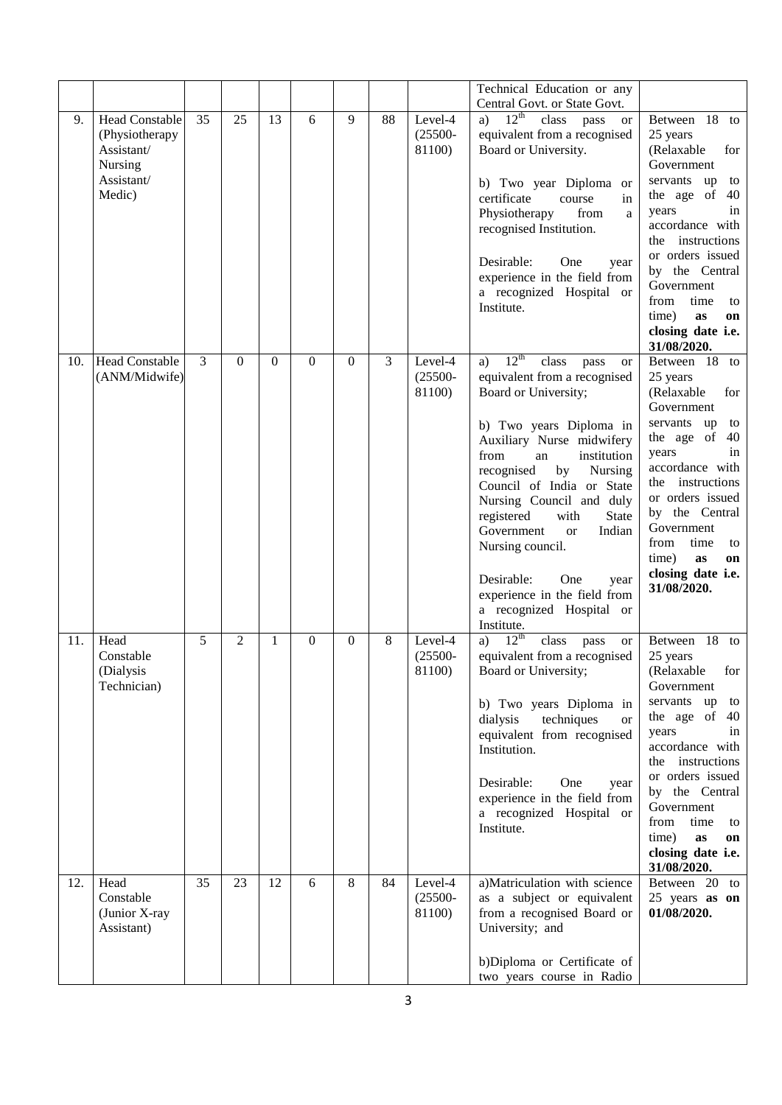|     |                          |    |              |          |                  |                |    |            | Technical Education or any                                     |                                        |
|-----|--------------------------|----|--------------|----------|------------------|----------------|----|------------|----------------------------------------------------------------|----------------------------------------|
|     |                          |    |              |          |                  |                |    |            | Central Govt. or State Govt.                                   |                                        |
| 9.  | <b>Head Constable</b>    | 35 | 25           | 13       | 6                | 9              | 88 | Level-4    | $12^{th}$<br>class<br>pass<br>a)<br><b>or</b>                  | Between 18 to                          |
|     | (Physiotherapy           |    |              |          |                  |                |    | $(25500 -$ | equivalent from a recognised                                   | 25 years                               |
|     | Assistant/               |    |              |          |                  |                |    | 81100)     | Board or University.                                           | (Relaxable<br>for                      |
|     | Nursing                  |    |              |          |                  |                |    |            |                                                                | Government                             |
|     | Assistant/               |    |              |          |                  |                |    |            | b) Two year Diploma or                                         | servants up<br>to                      |
|     | Medic)                   |    |              |          |                  |                |    |            | certificate<br>course<br>in                                    | the age of 40                          |
|     |                          |    |              |          |                  |                |    |            | Physiotherapy<br>from<br>a                                     | in<br>years                            |
|     |                          |    |              |          |                  |                |    |            | recognised Institution.                                        | accordance with                        |
|     |                          |    |              |          |                  |                |    |            |                                                                | the instructions                       |
|     |                          |    |              |          |                  |                |    |            | Desirable:<br>One<br>year                                      | or orders issued<br>by the Central     |
|     |                          |    |              |          |                  |                |    |            | experience in the field from                                   | Government                             |
|     |                          |    |              |          |                  |                |    |            | a recognized Hospital or                                       | from<br>time<br>to                     |
|     |                          |    |              |          |                  |                |    |            | Institute.                                                     | time)<br>as<br>on                      |
|     |                          |    |              |          |                  |                |    |            |                                                                | closing date i.e.                      |
|     |                          |    |              |          |                  |                |    |            |                                                                | 31/08/2020.                            |
| 10. | <b>Head Constable</b>    | 3  | $\mathbf{0}$ | $\Omega$ | $\Omega$         | $\overline{0}$ | 3  | Level-4    | $12^{th}$<br>class<br>a)<br>pass<br>or                         | Between 18 to                          |
|     | (ANM/Midwife)            |    |              |          |                  |                |    | $(25500 -$ | equivalent from a recognised                                   | 25 years                               |
|     |                          |    |              |          |                  |                |    | 81100)     | Board or University;                                           | (Relaxable)<br>for<br>Government       |
|     |                          |    |              |          |                  |                |    |            | b) Two years Diploma in                                        | servants up<br>to                      |
|     |                          |    |              |          |                  |                |    |            | Auxiliary Nurse midwifery                                      | the age of<br>40                       |
|     |                          |    |              |          |                  |                |    |            | from<br>institution<br>an                                      | in<br>years                            |
|     |                          |    |              |          |                  |                |    |            | recognised<br>by<br>Nursing                                    | accordance with<br>the instructions    |
|     |                          |    |              |          |                  |                |    |            | Council of India or State                                      | or orders issued                       |
|     |                          |    |              |          |                  |                |    |            | Nursing Council and duly<br>registered<br>with<br><b>State</b> | by the Central                         |
|     |                          |    |              |          |                  |                |    |            | Government<br>Indian<br><sub>or</sub>                          | Government                             |
|     |                          |    |              |          |                  |                |    |            | Nursing council.                                               | from<br>time<br>to                     |
|     |                          |    |              |          |                  |                |    |            |                                                                | time)<br>as<br>on                      |
|     |                          |    |              |          |                  |                |    |            | Desirable:<br>One<br>year                                      | closing date i.e.                      |
|     |                          |    |              |          |                  |                |    |            | experience in the field from                                   | 31/08/2020.                            |
|     |                          |    |              |          |                  |                |    |            | a recognized Hospital or                                       |                                        |
|     |                          |    |              |          |                  |                |    |            | Institute.                                                     |                                        |
| 11. | Head                     | 5  | 2            | 1        | $\boldsymbol{0}$ | $\overline{0}$ | 8  | Level-4    | $12^{th}$<br>class<br>a)<br>pass<br><b>or</b>                  | Between 18 to                          |
|     | Constable                |    |              |          |                  |                |    | $(25500 -$ | equivalent from a recognised                                   | 25 years                               |
|     | (Dialysis<br>Technician) |    |              |          |                  |                |    | 81100)     | Board or University;                                           | (Relaxable<br>for<br>Government        |
|     |                          |    |              |          |                  |                |    |            | b) Two years Diploma in                                        | servants up<br>to                      |
|     |                          |    |              |          |                  |                |    |            | techniques<br>dialysis<br><b>or</b>                            | the age of 40                          |
|     |                          |    |              |          |                  |                |    |            | equivalent from recognised                                     | years<br>in                            |
|     |                          |    |              |          |                  |                |    |            | Institution.                                                   | accordance with                        |
|     |                          |    |              |          |                  |                |    |            |                                                                | the instructions                       |
|     |                          |    |              |          |                  |                |    |            | Desirable:<br>One<br>year                                      | or orders issued                       |
|     |                          |    |              |          |                  |                |    |            | experience in the field from                                   | by the Central                         |
|     |                          |    |              |          |                  |                |    |            | a recognized Hospital or                                       | Government                             |
|     |                          |    |              |          |                  |                |    |            | Institute.                                                     | from<br>time<br>to                     |
|     |                          |    |              |          |                  |                |    |            |                                                                | time)<br>as<br>on<br>closing date i.e. |
|     |                          |    |              |          |                  |                |    |            |                                                                | 31/08/2020.                            |
| 12. | Head                     | 35 | 23           | 12       | 6                | 8              | 84 | Level-4    | a)Matriculation with science                                   | Between 20 to                          |
|     | Constable                |    |              |          |                  |                |    | $(25500 -$ | as a subject or equivalent                                     | 25 years as on                         |
|     | (Junior X-ray            |    |              |          |                  |                |    | 81100)     | from a recognised Board or                                     | 01/08/2020.                            |
|     | Assistant)               |    |              |          |                  |                |    |            | University; and                                                |                                        |
|     |                          |    |              |          |                  |                |    |            | b)Diploma or Certificate of                                    |                                        |
|     |                          |    |              |          |                  |                |    |            | two years course in Radio                                      |                                        |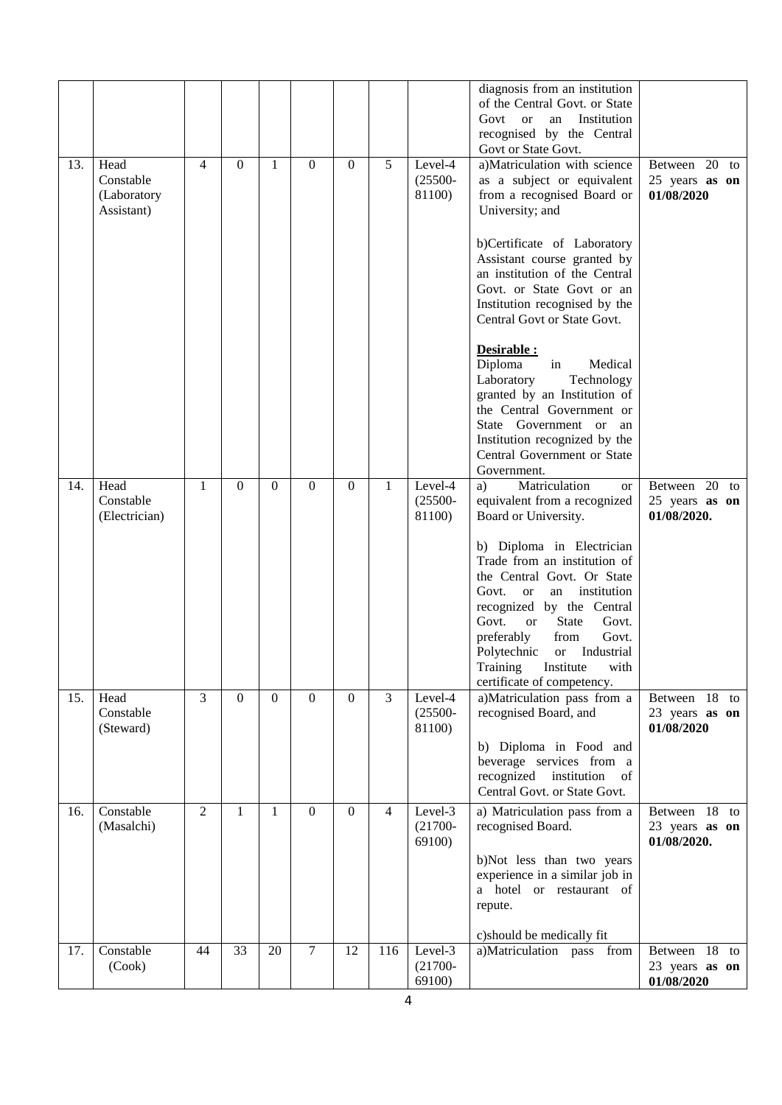|     |                                                |                |                |              |                |                |                |                                 | diagnosis from an institution<br>of the Central Govt. or State<br>Institution<br>Govt<br><b>or</b><br>an<br>recognised by the Central<br>Govt or State Govt.                                                                                                                                                                               |                                                |
|-----|------------------------------------------------|----------------|----------------|--------------|----------------|----------------|----------------|---------------------------------|--------------------------------------------------------------------------------------------------------------------------------------------------------------------------------------------------------------------------------------------------------------------------------------------------------------------------------------------|------------------------------------------------|
| 13. | Head<br>Constable<br>(Laboratory<br>Assistant) | $\overline{4}$ | $\Omega$       | 1            | $\mathbf{0}$   | $\Omega$       | 5              | Level-4<br>$(25500 -$<br>81100) | a)Matriculation with science<br>as a subject or equivalent<br>from a recognised Board or<br>University; and                                                                                                                                                                                                                                | Between 20 to<br>25 years as on<br>01/08/2020  |
|     |                                                |                |                |              |                |                |                |                                 | b)Certificate of Laboratory<br>Assistant course granted by<br>an institution of the Central<br>Govt. or State Govt or an<br>Institution recognised by the<br>Central Govt or State Govt.                                                                                                                                                   |                                                |
|     |                                                |                |                |              |                |                |                |                                 | Desirable :<br>Diploma<br>Medical<br>in<br>Laboratory<br>Technology<br>granted by an Institution of<br>the Central Government or<br>State Government or<br>an<br>Institution recognized by the<br>Central Government or State<br>Government.                                                                                               |                                                |
| 14. | Head<br>Constable<br>(Electrician)             | $\mathbf{1}$   | $\theta$       | $\Omega$     | $\mathbf{0}$   | $\Omega$       | $\mathbf{1}$   | Level-4<br>$(25500 -$<br>81100) | Matriculation<br>a)<br><b>or</b><br>equivalent from a recognized<br>Board or University.                                                                                                                                                                                                                                                   | Between 20 to<br>25 years as on<br>01/08/2020. |
|     |                                                |                |                |              |                |                |                |                                 | b) Diploma in Electrician<br>Trade from an institution of<br>the Central Govt. Or State<br>Govt.<br>institution<br><b>or</b><br>an<br>recognized by the Central<br>Govt.<br><b>State</b><br>Govt.<br><sub>or</sub><br>preferably<br>Govt.<br>from<br>Polytechnic<br>or Industrial<br>Training Institute with<br>certificate of competency. |                                                |
| 15. | Head<br>Constable<br>(Steward)                 | $\overline{3}$ | $\overline{0}$ | $\mathbf{0}$ | $\overline{0}$ | $\mathbf{0}$   | $\overline{3}$ | Level-4<br>$(25500 -$<br>81100) | a)Matriculation pass from a<br>recognised Board, and<br>b) Diploma in Food and                                                                                                                                                                                                                                                             | Between 18 to<br>23 years as on<br>01/08/2020  |
|     |                                                |                |                |              |                |                |                |                                 | beverage services from a<br>recognized institution<br>of<br>Central Govt. or State Govt.                                                                                                                                                                                                                                                   |                                                |
| 16. | Constable<br>(Masalchi)                        | 2              | 1              | 1            | $\Omega$       | $\overline{0}$ | 4              | Level-3<br>$(21700 -$<br>69100) | a) Matriculation pass from a<br>recognised Board.                                                                                                                                                                                                                                                                                          | Between 18 to<br>23 years as on<br>01/08/2020. |
|     |                                                |                |                |              |                |                |                |                                 | b)Not less than two years<br>experience in a similar job in<br>a hotel or restaurant of<br>repute.                                                                                                                                                                                                                                         |                                                |
| 17. | Constable                                      | 44             | 33             | 20           | $\overline{7}$ | 12             | 116            | Level-3                         | c)should be medically fit<br>a)Matriculation pass from                                                                                                                                                                                                                                                                                     | Between 18 to                                  |
|     | (Cook)                                         |                |                |              |                |                |                | $(21700 -$<br>69100)            |                                                                                                                                                                                                                                                                                                                                            | 23 years as on<br>01/08/2020                   |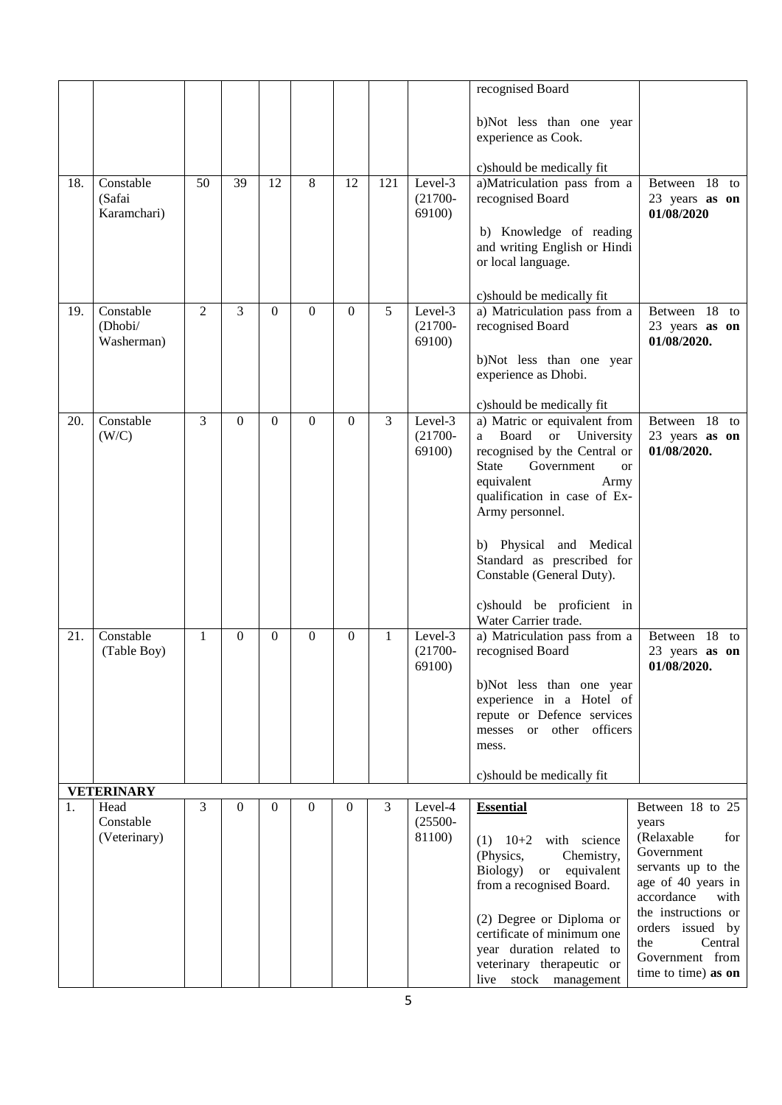|     |                                    |                |          |          |              |                |     |                                 | recognised Board                                                                              |                                                   |
|-----|------------------------------------|----------------|----------|----------|--------------|----------------|-----|---------------------------------|-----------------------------------------------------------------------------------------------|---------------------------------------------------|
|     |                                    |                |          |          |              |                |     |                                 | b)Not less than one year<br>experience as Cook.                                               |                                                   |
|     |                                    |                |          |          |              |                |     |                                 | c) should be medically fit                                                                    |                                                   |
| 18. | Constable<br>(Safai<br>Karamchari) | 50             | 39       | 12       | 8            | 12             | 121 | Level-3<br>$(21700 -$<br>69100) | a)Matriculation pass from a<br>recognised Board                                               | Between 18<br>to<br>23 years as on<br>01/08/2020  |
|     |                                    |                |          |          |              |                |     |                                 | b) Knowledge of reading<br>and writing English or Hindi<br>or local language.                 |                                                   |
|     |                                    |                |          |          |              |                |     |                                 | c) should be medically fit                                                                    |                                                   |
| 19. | Constable<br>(Dhobi/<br>Washerman) | $\overline{2}$ | 3        | $\Omega$ | $\mathbf{0}$ | $\Omega$       | 5   | Level-3<br>$(21700 -$<br>69100) | a) Matriculation pass from a<br>recognised Board                                              | Between 18<br>to<br>23 years as on<br>01/08/2020. |
|     |                                    |                |          |          |              |                |     |                                 | b)Not less than one year<br>experience as Dhobi.                                              |                                                   |
|     |                                    |                |          |          |              |                |     |                                 | c) should be medically fit                                                                    |                                                   |
| 20. | Constable<br>(W/C)                 | 3              | $\Omega$ | $\Omega$ | $\mathbf{0}$ | $\Omega$       | 3   | Level-3<br>$(21700 -$           | a) Matric or equivalent from<br>Board<br>or University<br>a -                                 | Between 18 to<br>23 years as on                   |
|     |                                    |                |          |          |              |                |     | 69100)                          | recognised by the Central or<br><b>State</b><br>Government<br><b>or</b><br>equivalent<br>Army | 01/08/2020.                                       |
|     |                                    |                |          |          |              |                |     |                                 | qualification in case of Ex-<br>Army personnel.                                               |                                                   |
|     |                                    |                |          |          |              |                |     |                                 | b) Physical and Medical<br>Standard as prescribed for<br>Constable (General Duty).            |                                                   |
|     |                                    |                |          |          |              |                |     |                                 | c)should be proficient in<br>Water Carrier trade.                                             |                                                   |
| 21. | Constable<br>(Table Boy)           | 1              | $\theta$ | $\Omega$ | $\mathbf{0}$ | $\overline{0}$ | 1   | Level-3<br>$(21700 -$<br>69100) | a) Matriculation pass from a<br>recognised Board                                              | Between 18<br>to<br>23 years as on<br>01/08/2020. |
|     |                                    |                |          |          |              |                |     |                                 | b)Not less than one year                                                                      |                                                   |
|     |                                    |                |          |          |              |                |     |                                 | experience in a Hotel of<br>repute or Defence services                                        |                                                   |
|     |                                    |                |          |          |              |                |     |                                 | messes or other officers<br>mess.                                                             |                                                   |
|     |                                    |                |          |          |              |                |     |                                 | c) should be medically fit                                                                    |                                                   |
|     | <b>VETERINARY</b>                  |                |          |          |              |                |     |                                 |                                                                                               |                                                   |
| 1.  | Head<br>Constable                  | 3              | $\Omega$ | $\theta$ | $\Omega$     | $\Omega$       | 3   | Level-4<br>$(25500 -$           | <b>Essential</b>                                                                              | Between 18 to 25<br>years                         |
|     | (Veterinary)                       |                |          |          |              |                |     | 81100)                          | $(1)$ 10+2 with science<br>(Physics,<br>Chemistry,                                            | (Relaxable<br>for<br>Government                   |
|     |                                    |                |          |          |              |                |     |                                 | Biology)<br>or equivalent<br>from a recognised Board.                                         | servants up to the<br>age of 40 years in          |
|     |                                    |                |          |          |              |                |     |                                 |                                                                                               | accordance<br>with<br>the instructions or         |
|     |                                    |                |          |          |              |                |     |                                 | (2) Degree or Diploma or<br>certificate of minimum one                                        | orders issued by<br>the                           |
|     |                                    |                |          |          |              |                |     |                                 | year duration related to<br>veterinary therapeutic or                                         | Central<br>Government from                        |
|     |                                    |                |          |          |              |                |     |                                 | live stock management                                                                         | time to time) as on                               |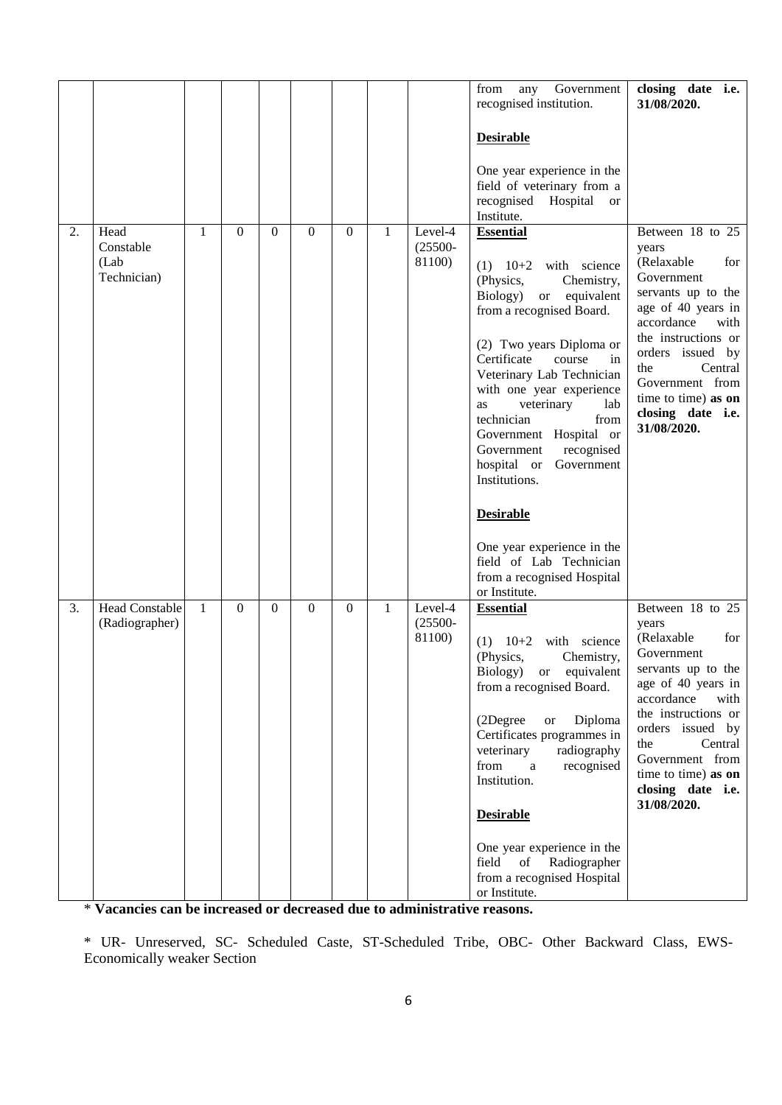|    |                                          |              |          |          |              |          |              |                                 | Government<br>from<br>any<br>recognised institution.                                                                                                                                                                                                                                                                                                                                                                                       | closing date i.e.<br>31/08/2020.                                                                                                                                                                                                                                          |
|----|------------------------------------------|--------------|----------|----------|--------------|----------|--------------|---------------------------------|--------------------------------------------------------------------------------------------------------------------------------------------------------------------------------------------------------------------------------------------------------------------------------------------------------------------------------------------------------------------------------------------------------------------------------------------|---------------------------------------------------------------------------------------------------------------------------------------------------------------------------------------------------------------------------------------------------------------------------|
|    |                                          |              |          |          |              |          |              |                                 | <b>Desirable</b>                                                                                                                                                                                                                                                                                                                                                                                                                           |                                                                                                                                                                                                                                                                           |
|    |                                          |              |          |          |              |          |              |                                 | One year experience in the<br>field of veterinary from a<br>recognised Hospital<br><sub>or</sub><br>Institute.                                                                                                                                                                                                                                                                                                                             |                                                                                                                                                                                                                                                                           |
| 2. | Head<br>Constable<br>(Lab<br>Technician) | 1            | $\Omega$ | $\Omega$ | $\mathbf{0}$ | $\Omega$ | $\mathbf{1}$ | Level-4<br>$(25500 -$<br>81100) | <b>Essential</b><br>$(1)$ 10+2 with science<br>(Physics,<br>Chemistry,<br>Biology)<br><sub>or</sub><br>equivalent<br>from a recognised Board.<br>(2) Two years Diploma or<br>Certificate<br>course<br>in<br>Veterinary Lab Technician<br>with one year experience<br>veterinary<br>lab<br>as<br>technician<br>from<br>Government Hospital or<br>Government<br>recognised<br>hospital or<br>Government<br>Institutions.<br><b>Desirable</b> | Between 18 to 25<br>years<br>(Relaxable<br>for<br>Government<br>servants up to the<br>age of 40 years in<br>accordance<br>with<br>the instructions or<br>orders issued by<br>the<br>Central<br>Government from<br>time to time) as on<br>closing date i.e.<br>31/08/2020. |
|    |                                          |              |          |          |              |          |              |                                 | One year experience in the<br>field of Lab Technician<br>from a recognised Hospital<br>or Institute.                                                                                                                                                                                                                                                                                                                                       |                                                                                                                                                                                                                                                                           |
| 3. | <b>Head Constable</b><br>(Radiographer)  | $\mathbf{1}$ | $\Omega$ | $\theta$ | $\mathbf{0}$ | $\Omega$ | $\mathbf{1}$ | Level-4<br>$(25500 -$<br>81100) | <b>Essential</b><br>with science<br>$10+2$<br>(1)<br>(Physics,<br>Chemistry,<br>Biology)<br>$\,$ or<br>equivalent<br>from a recognised Board.<br>(2Degree<br>Diploma<br><b>or</b><br>Certificates programmes in<br>veterinary<br>radiography<br>from<br>recognised<br>a<br>Institution.<br><b>Desirable</b>                                                                                                                                | Between 18 to 25<br>years<br>(Relaxable<br>for<br>Government<br>servants up to the<br>age of 40 years in<br>accordance<br>with<br>the instructions or<br>orders issued by<br>the<br>Central<br>Government from<br>time to time) as on<br>closing date i.e.<br>31/08/2020. |
|    |                                          |              |          |          |              |          |              |                                 | One year experience in the<br>field of<br>Radiographer<br>from a recognised Hospital<br>or Institute.                                                                                                                                                                                                                                                                                                                                      |                                                                                                                                                                                                                                                                           |

\* **Vacancies can be increased or decreased due to administrative reasons.**

\* UR- Unreserved, SC- Scheduled Caste, ST-Scheduled Tribe, OBC- Other Backward Class, EWS-Economically weaker Section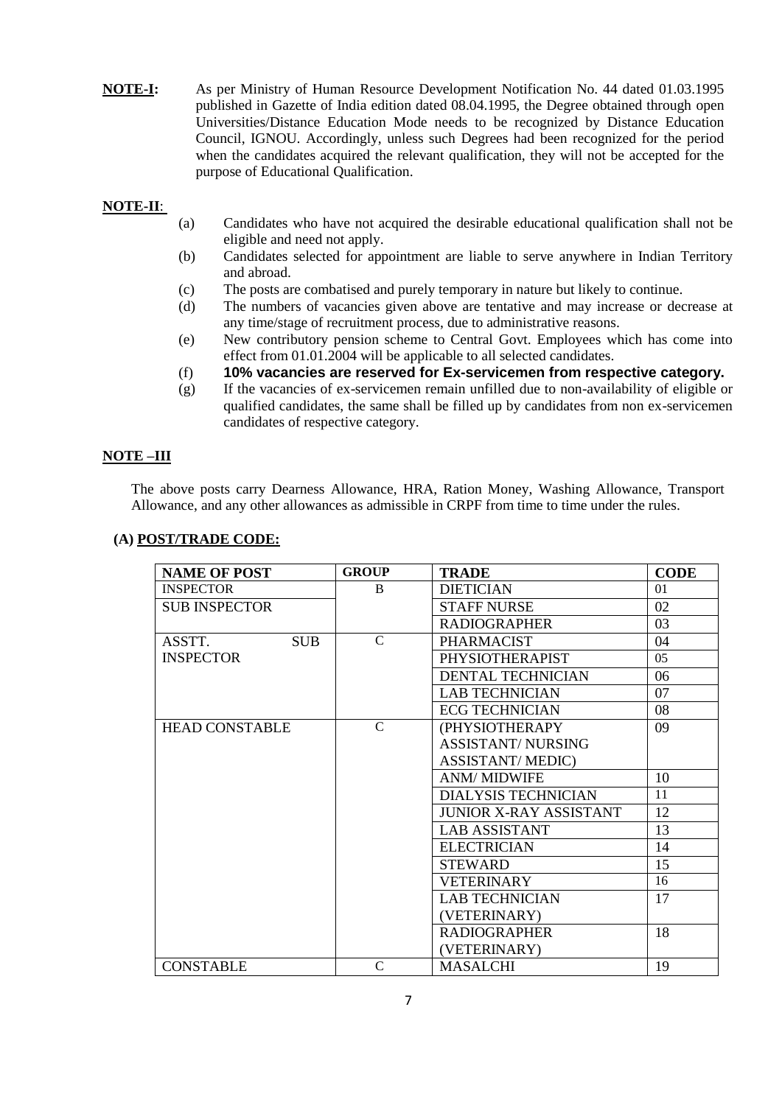**NOTE-I:** As per Ministry of Human Resource Development Notification No. 44 dated 01.03.1995 published in Gazette of India edition dated 08.04.1995, the Degree obtained through open Universities/Distance Education Mode needs to be recognized by Distance Education Council, IGNOU. Accordingly, unless such Degrees had been recognized for the period when the candidates acquired the relevant qualification, they will not be accepted for the purpose of Educational Qualification.

## **NOTE-II**:

- (a) Candidates who have not acquired the desirable educational qualification shall not be eligible and need not apply.
- (b) Candidates selected for appointment are liable to serve anywhere in Indian Territory and abroad.
- (c) The posts are combatised and purely temporary in nature but likely to continue.
- (d) The numbers of vacancies given above are tentative and may increase or decrease at any time/stage of recruitment process, due to administrative reasons.
- (e) New contributory pension scheme to Central Govt. Employees which has come into effect from 01.01.2004 will be applicable to all selected candidates.
- (f) **10% vacancies are reserved for Ex-servicemen from respective category.**
- (g) If the vacancies of ex-servicemen remain unfilled due to non-availability of eligible or qualified candidates, the same shall be filled up by candidates from non ex-servicemen candidates of respective category.

## **NOTE –III**

The above posts carry Dearness Allowance, HRA, Ration Money, Washing Allowance, Transport Allowance, and any other allowances as admissible in CRPF from time to time under the rules.

| <b>NAME OF POST</b>   | <b>GROUP</b>  | <b>TRADE</b>                  | <b>CODE</b> |
|-----------------------|---------------|-------------------------------|-------------|
| <b>INSPECTOR</b>      | <sub>B</sub>  | <b>DIETICIAN</b>              | 01          |
| <b>SUB INSPECTOR</b>  |               | <b>STAFF NURSE</b>            | 02          |
|                       |               | <b>RADIOGRAPHER</b>           | 03          |
| ASSTT.<br><b>SUB</b>  | $\mathcal{C}$ | <b>PHARMACIST</b>             | 04          |
| <b>INSPECTOR</b>      |               | PHYSIOTHERAPIST               | 0.5         |
|                       |               | <b>DENTAL TECHNICIAN</b>      | 06          |
|                       |               | <b>LAB TECHNICIAN</b>         | 07          |
|                       |               | <b>ECG TECHNICIAN</b>         | 08          |
| <b>HEAD CONSTABLE</b> | $\mathcal{C}$ | (PHYSIOTHERAPY                | 09          |
|                       |               | <b>ASSISTANT/ NURSING</b>     |             |
|                       |               | <b>ASSISTANT/MEDIC)</b>       |             |
|                       |               | <b>ANM/ MIDWIFE</b>           | 10          |
|                       |               | <b>DIALYSIS TECHNICIAN</b>    | 11          |
|                       |               | <b>JUNIOR X-RAY ASSISTANT</b> | 12          |
|                       |               | <b>LAB ASSISTANT</b>          | 13          |
|                       |               | <b>ELECTRICIAN</b>            | 14          |
|                       |               | <b>STEWARD</b>                | 15          |
|                       |               | <b>VETERINARY</b>             | 16          |
|                       |               | <b>LAB TECHNICIAN</b>         | 17          |
|                       |               | (VETERINARY)                  |             |
|                       |               | <b>RADIOGRAPHER</b>           | 18          |
|                       |               | (VETERINARY)                  |             |
| <b>CONSTABLE</b>      | $\mathcal{C}$ | <b>MASALCHI</b>               | 19          |

## **(A) POST/TRADE CODE:**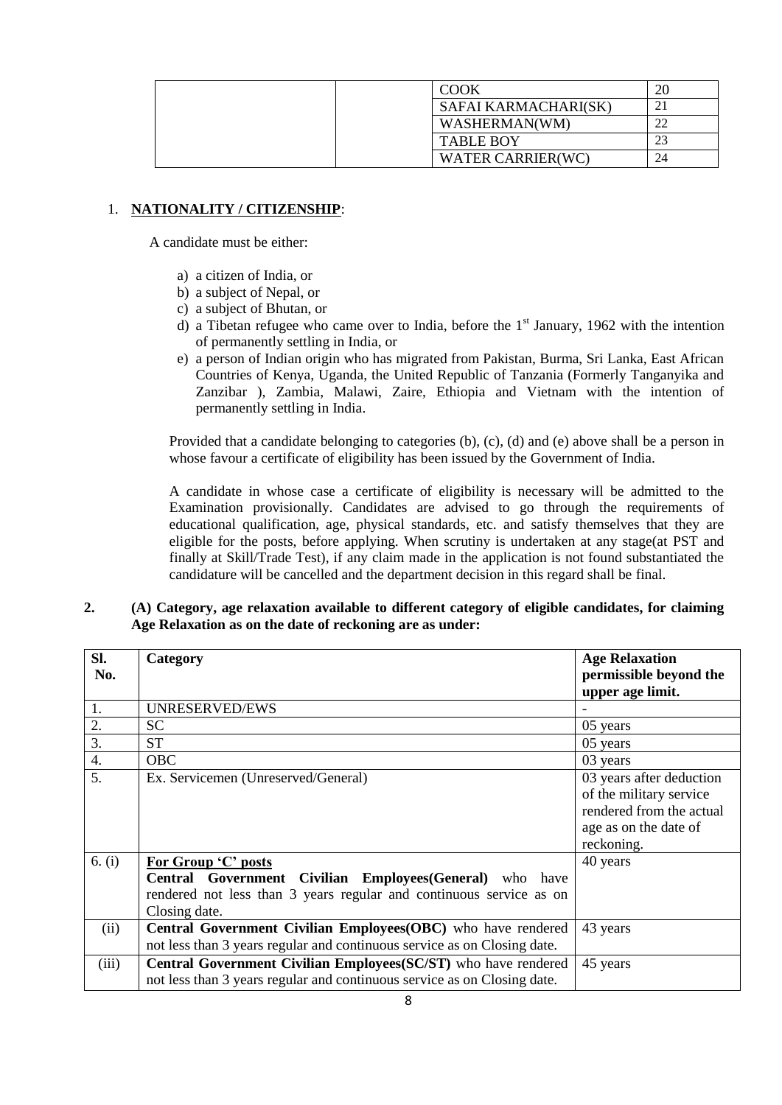| COOK                 |  |
|----------------------|--|
| SAFAI KARMACHARI(SK) |  |
| WASHERMAN(WM)        |  |
| <b>TABLE BOY</b>     |  |
| WATER CARRIER(WC)    |  |

## 1. **NATIONALITY / CITIZENSHIP**:

A candidate must be either:

- a) a citizen of India, or
- b) a subject of Nepal, or
- c) a subject of Bhutan, or
- d) a Tibetan refugee who came over to India, before the  $1<sup>st</sup>$  January, 1962 with the intention of permanently settling in India, or
- e) a person of Indian origin who has migrated from Pakistan, Burma, Sri Lanka, East African Countries of Kenya, Uganda, the United Republic of Tanzania (Formerly Tanganyika and Zanzibar ), Zambia, Malawi, Zaire, Ethiopia and Vietnam with the intention of permanently settling in India.

Provided that a candidate belonging to categories (b), (c), (d) and (e) above shall be a person in whose favour a certificate of eligibility has been issued by the Government of India.

A candidate in whose case a certificate of eligibility is necessary will be admitted to the Examination provisionally. Candidates are advised to go through the requirements of educational qualification, age, physical standards, etc. and satisfy themselves that they are eligible for the posts, before applying. When scrutiny is undertaken at any stage(at PST and finally at Skill/Trade Test), if any claim made in the application is not found substantiated the candidature will be cancelled and the department decision in this regard shall be final.

### **2. (A) Category, age relaxation available to different category of eligible candidates, for claiming Age Relaxation as on the date of reckoning are as under:**

| Sl.<br>No. | Category                                                                 | <b>Age Relaxation</b><br>permissible beyond the |
|------------|--------------------------------------------------------------------------|-------------------------------------------------|
|            |                                                                          | upper age limit.                                |
| 1.         | UNRESERVED/EWS                                                           |                                                 |
| 2.         | <b>SC</b>                                                                | 05 years                                        |
| 3.         | <b>ST</b>                                                                | 05 years                                        |
| 4.         | <b>OBC</b>                                                               | 03 years                                        |
| 5.         | Ex. Servicemen (Unreserved/General)                                      | 03 years after deduction                        |
|            |                                                                          | of the military service                         |
|            |                                                                          | rendered from the actual                        |
|            |                                                                          | age as on the date of                           |
|            |                                                                          | reckoning.                                      |
| 6. $(i)$   | For Group 'C' posts                                                      | 40 years                                        |
|            | Central Government Civilian Employees (General) who have                 |                                                 |
|            | rendered not less than 3 years regular and continuous service as on      |                                                 |
|            | Closing date.                                                            |                                                 |
| (ii)       | Central Government Civilian Employees(OBC) who have rendered             | 43 years                                        |
|            | not less than 3 years regular and continuous service as on Closing date. |                                                 |
| (iii)      | Central Government Civilian Employees (SC/ST) who have rendered          | 45 years                                        |
|            | not less than 3 years regular and continuous service as on Closing date. |                                                 |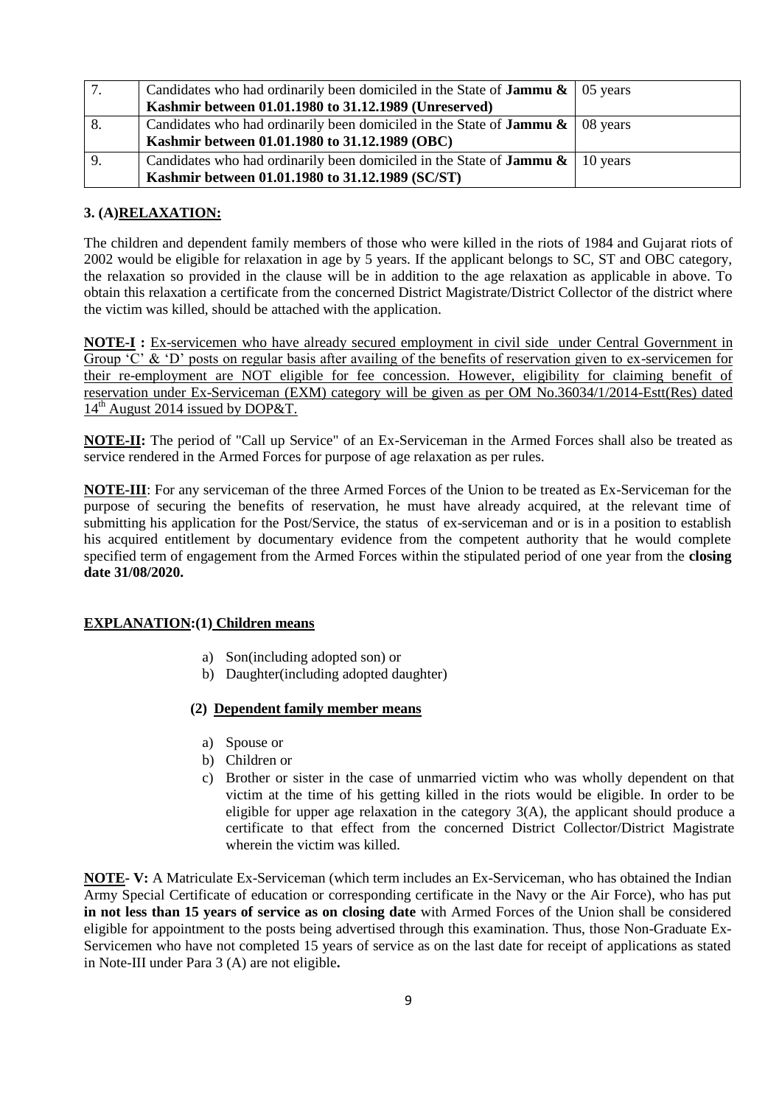|    | Candidates who had ordinarily been domiciled in the State of <b>Jammu &amp;</b> $\vert$ 05 years |  |
|----|--------------------------------------------------------------------------------------------------|--|
|    | Kashmir between 01.01.1980 to 31.12.1989 (Unreserved)                                            |  |
| 8. | Candidates who had ordinarily been domiciled in the State of <b>Jammu &amp;</b> $\vert$ 08 years |  |
|    | Kashmir between 01.01.1980 to 31.12.1989 (OBC)                                                   |  |
| 9. | Candidates who had ordinarily been domiciled in the State of <b>Jammu &amp;</b>   10 years       |  |
|    | Kashmir between 01.01.1980 to 31.12.1989 (SC/ST)                                                 |  |

### **3. (A)RELAXATION:**

The children and dependent family members of those who were killed in the riots of 1984 and Gujarat riots of 2002 would be eligible for relaxation in age by 5 years. If the applicant belongs to SC, ST and OBC category, the relaxation so provided in the clause will be in addition to the age relaxation as applicable in above. To obtain this relaxation a certificate from the concerned District Magistrate/District Collector of the district where the victim was killed, should be attached with the application.

**NOTE-I :** Ex-servicemen who have already secured employment in civil side under Central Government in Group 'C' & 'D' posts on regular basis after availing of the benefits of reservation given to ex-servicemen for their re-employment are NOT eligible for fee concession. However, eligibility for claiming benefit of reservation under Ex-Serviceman (EXM) category will be given as per OM No.36034/1/2014-Estt(Res) dated  $14<sup>th</sup>$  August 2014 issued by DOP&T.

**NOTE-II:** The period of "Call up Service" of an Ex-Serviceman in the Armed Forces shall also be treated as service rendered in the Armed Forces for purpose of age relaxation as per rules.

**NOTE-III**: For any serviceman of the three Armed Forces of the Union to be treated as Ex-Serviceman for the purpose of securing the benefits of reservation, he must have already acquired, at the relevant time of submitting his application for the Post/Service, the status of ex-serviceman and or is in a position to establish his acquired entitlement by documentary evidence from the competent authority that he would complete specified term of engagement from the Armed Forces within the stipulated period of one year from the **closing date 31/08/2020.**

### **EXPLANATION:(1) Children means**

- a) Son(including adopted son) or
- b) Daughter(including adopted daughter)

### **(2) Dependent family member means**

- a) Spouse or
- b) Children or
- c) Brother or sister in the case of unmarried victim who was wholly dependent on that victim at the time of his getting killed in the riots would be eligible. In order to be eligible for upper age relaxation in the category  $3(A)$ , the applicant should produce a certificate to that effect from the concerned District Collector/District Magistrate wherein the victim was killed.

**NOTE- V:** A Matriculate Ex-Serviceman (which term includes an Ex-Serviceman, who has obtained the Indian Army Special Certificate of education or corresponding certificate in the Navy or the Air Force), who has put **in not less than 15 years of service as on closing date** with Armed Forces of the Union shall be considered eligible for appointment to the posts being advertised through this examination. Thus, those Non-Graduate Ex-Servicemen who have not completed 15 years of service as on the last date for receipt of applications as stated in Note-III under Para 3 (A) are not eligible**.**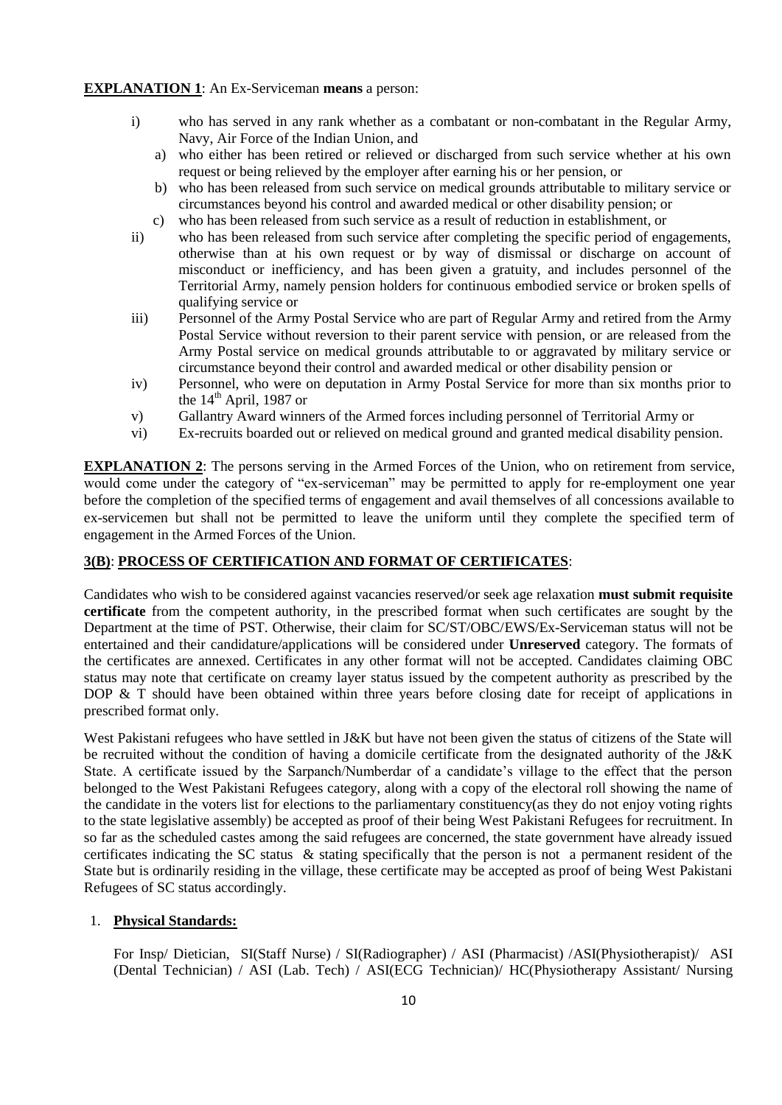#### **EXPLANATION 1**: An Ex-Serviceman **means** a person:

- i) who has served in any rank whether as a combatant or non-combatant in the Regular Army, Navy, Air Force of the Indian Union, and
	- a) who either has been retired or relieved or discharged from such service whether at his own request or being relieved by the employer after earning his or her pension, or
	- b) who has been released from such service on medical grounds attributable to military service or circumstances beyond his control and awarded medical or other disability pension; or
	- c) who has been released from such service as a result of reduction in establishment, or
- ii) who has been released from such service after completing the specific period of engagements, otherwise than at his own request or by way of dismissal or discharge on account of misconduct or inefficiency, and has been given a gratuity, and includes personnel of the Territorial Army, namely pension holders for continuous embodied service or broken spells of qualifying service or
- iii) Personnel of the Army Postal Service who are part of Regular Army and retired from the Army Postal Service without reversion to their parent service with pension, or are released from the Army Postal service on medical grounds attributable to or aggravated by military service or circumstance beyond their control and awarded medical or other disability pension or
- iv) Personnel, who were on deputation in Army Postal Service for more than six months prior to the  $14<sup>th</sup>$  April, 1987 or
- v) Gallantry Award winners of the Armed forces including personnel of Territorial Army or
- vi) Ex-recruits boarded out or relieved on medical ground and granted medical disability pension.

**EXPLANATION 2**: The persons serving in the Armed Forces of the Union, who on retirement from service, would come under the category of "ex-serviceman" may be permitted to apply for re-employment one year before the completion of the specified terms of engagement and avail themselves of all concessions available to ex-servicemen but shall not be permitted to leave the uniform until they complete the specified term of engagement in the Armed Forces of the Union.

#### **3(B)**: **PROCESS OF CERTIFICATION AND FORMAT OF CERTIFICATES**:

Candidates who wish to be considered against vacancies reserved/or seek age relaxation **must submit requisite certificate** from the competent authority, in the prescribed format when such certificates are sought by the Department at the time of PST. Otherwise, their claim for SC/ST/OBC/EWS/Ex-Serviceman status will not be entertained and their candidature/applications will be considered under **Unreserved** category. The formats of the certificates are annexed. Certificates in any other format will not be accepted. Candidates claiming OBC status may note that certificate on creamy layer status issued by the competent authority as prescribed by the DOP & T should have been obtained within three years before closing date for receipt of applications in prescribed format only.

West Pakistani refugees who have settled in J&K but have not been given the status of citizens of the State will be recruited without the condition of having a domicile certificate from the designated authority of the J&K State. A certificate issued by the Sarpanch/Numberdar of a candidate"s village to the effect that the person belonged to the West Pakistani Refugees category, along with a copy of the electoral roll showing the name of the candidate in the voters list for elections to the parliamentary constituency(as they do not enjoy voting rights to the state legislative assembly) be accepted as proof of their being West Pakistani Refugees for recruitment. In so far as the scheduled castes among the said refugees are concerned, the state government have already issued certificates indicating the SC status & stating specifically that the person is not a permanent resident of the State but is ordinarily residing in the village, these certificate may be accepted as proof of being West Pakistani Refugees of SC status accordingly.

#### 1. **Physical Standards:**

For Insp/ Dietician, SI(Staff Nurse) / SI(Radiographer) / ASI (Pharmacist) /ASI(Physiotherapist)/ ASI (Dental Technician) / ASI (Lab. Tech) / ASI(ECG Technician)/ HC(Physiotherapy Assistant/ Nursing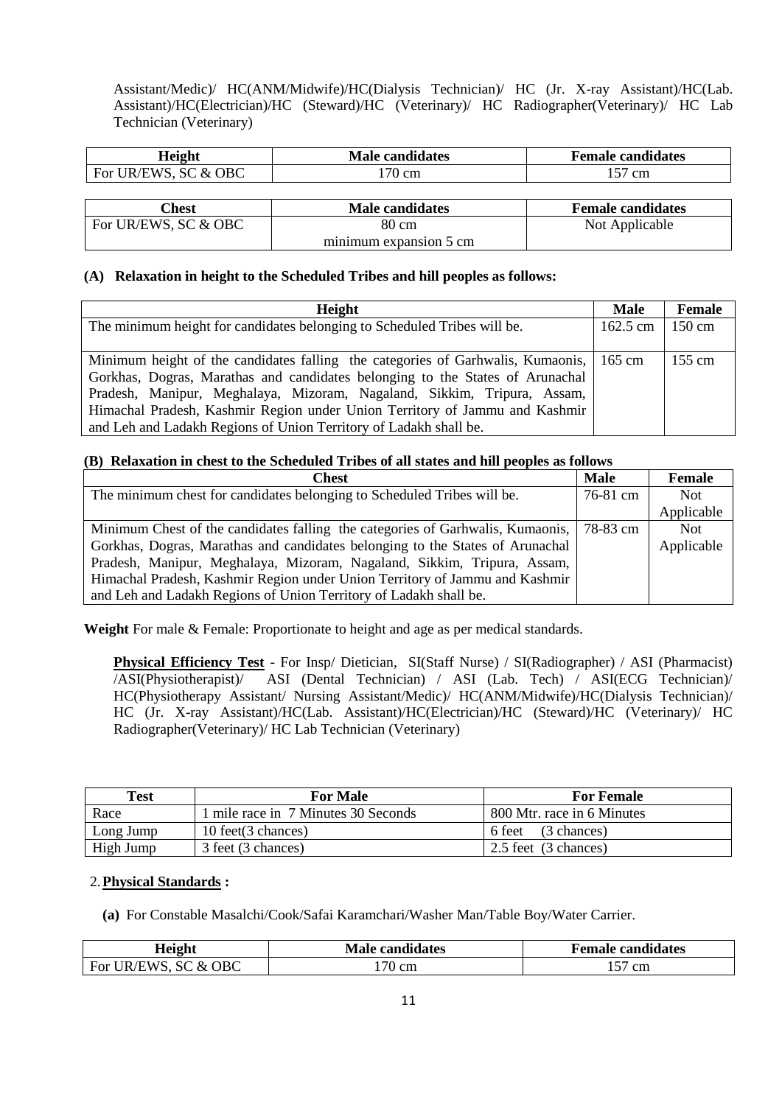Assistant/Medic)/ HC(ANM/Midwife)/HC(Dialysis Technician)/ HC (Jr. X-ray Assistant)/HC(Lab. Assistant)/HC(Electrician)/HC (Steward)/HC (Veterinary)/ HC Radiographer(Veterinary)/ HC Lab Technician (Veterinary)

| <b>Height</b>                     | <b>Male candidates</b> | <b>Female candidates</b> |
|-----------------------------------|------------------------|--------------------------|
| SC & OBC<br>. $\cup$ R/EWS<br>For | cm                     | cm                       |

| `hest                | <b>Male candidates</b> | <b>Female candidates</b> |
|----------------------|------------------------|--------------------------|
| For UR/EWS, SC & OBC | 80 cm                  | Not Applicable           |
|                      | minimum expansion 5 cm |                          |

### **(A) Relaxation in height to the Scheduled Tribes and hill peoples as follows:**

| Height                                                                                 | <b>Male</b> | Female           |
|----------------------------------------------------------------------------------------|-------------|------------------|
| The minimum height for candidates belonging to Scheduled Tribes will be.               | 162.5 cm    | $150 \text{ cm}$ |
|                                                                                        |             |                  |
| Minimum height of the candidates falling the categories of Garhwalis, Kumaonis, 165 cm |             | $155 \text{ cm}$ |
| Gorkhas, Dogras, Marathas and candidates belonging to the States of Arunachal          |             |                  |
| Pradesh, Manipur, Meghalaya, Mizoram, Nagaland, Sikkim, Tripura, Assam,                |             |                  |
| Himachal Pradesh, Kashmir Region under Union Territory of Jammu and Kashmir            |             |                  |
| and Leh and Ladakh Regions of Union Territory of Ladakh shall be.                      |             |                  |

#### **(B) Relaxation in chest to the Scheduled Tribes of all states and hill peoples as follows**

| <b>Chest</b>                                                                   | <b>Male</b> | Female     |
|--------------------------------------------------------------------------------|-------------|------------|
| The minimum chest for candidates belonging to Scheduled Tribes will be.        | 76-81 cm    | Not.       |
|                                                                                |             | Applicable |
| Minimum Chest of the candidates falling the categories of Garhwalis, Kumaonis, | 78-83 cm    | <b>Not</b> |
| Gorkhas, Dogras, Marathas and candidates belonging to the States of Arunachal  |             | Applicable |
| Pradesh, Manipur, Meghalaya, Mizoram, Nagaland, Sikkim, Tripura, Assam,        |             |            |
| Himachal Pradesh, Kashmir Region under Union Territory of Jammu and Kashmir    |             |            |
| and Leh and Ladakh Regions of Union Territory of Ladakh shall be.              |             |            |

**Weight** For male & Female: Proportionate to height and age as per medical standards.

**Physical Efficiency Test** - For Insp/ Dietician, SI(Staff Nurse) / SI(Radiographer) / ASI (Pharmacist) /ASI(Physiotherapist)/ ASI (Dental Technician) / ASI (Lab. Tech) / ASI(ECG Technician)/ HC(Physiotherapy Assistant/ Nursing Assistant/Medic)/ HC(ANM/Midwife)/HC(Dialysis Technician)/ HC (Jr. X-ray Assistant)/HC(Lab. Assistant)/HC(Electrician)/HC (Steward)/HC (Veterinary)/ HC Radiographer(Veterinary)/ HC Lab Technician (Veterinary)

| <b>Test</b> | <b>For Male</b>                     | <b>For Female</b>          |
|-------------|-------------------------------------|----------------------------|
| Race        | 1 mile race in 7 Minutes 30 Seconds | 800 Mtr. race in 6 Minutes |
| Long Jump   | 10 feet(3 chances)                  | 6 feet (3 chances)         |
| High Jump   | 3 feet (3 chances)                  | 2.5 feet (3 chances)       |

### 2.**Physical Standards :**

**(a)** For Constable Masalchi/Cook/Safai Karamchari/Washer Man/Table Boy/Water Carrier.

| Height               | <b>Male candidates</b> | <b>Female candidates</b> |
|----------------------|------------------------|--------------------------|
| For UR/EWS, SC & OBC | cm                     | cm                       |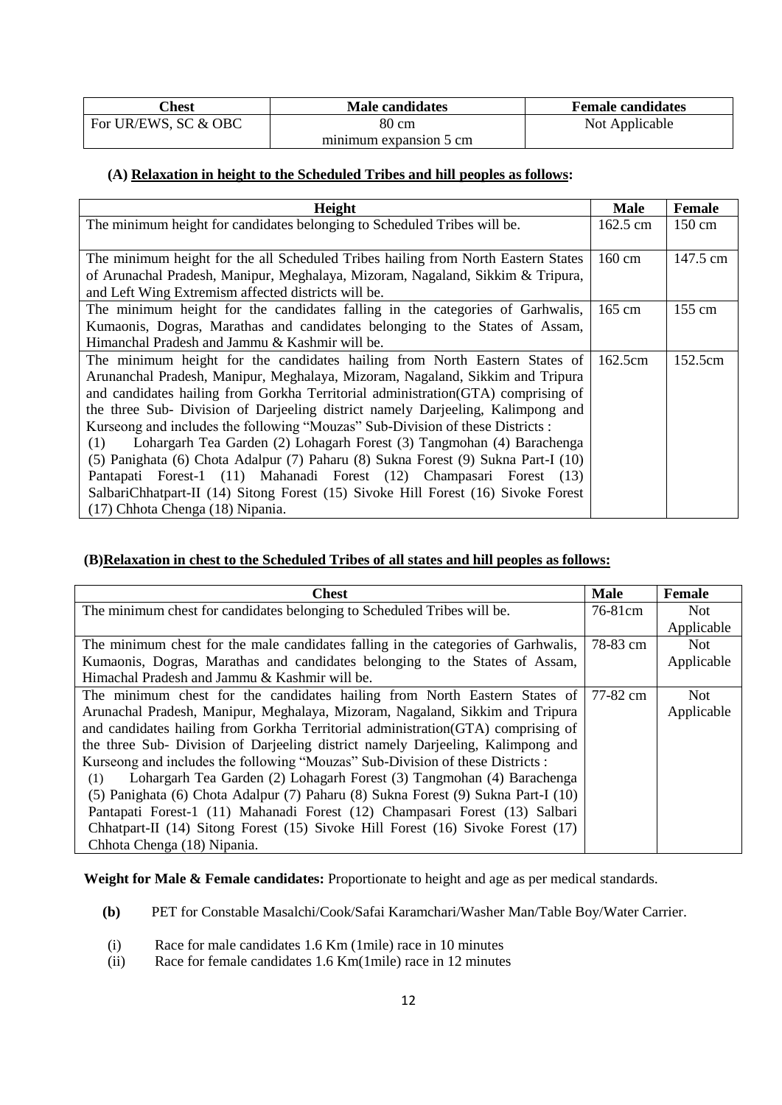| <b>Chest</b>         | <b>Male candidates</b> | <b>Female candidates</b> |
|----------------------|------------------------|--------------------------|
| For UR/EWS, SC & OBC | 80 cm                  | Not Applicable           |
|                      | minimum expansion 5 cm |                          |

#### **(A) Relaxation in height to the Scheduled Tribes and hill peoples as follows:**

| <b>Height</b>                                                                     | <b>Male</b>      | <b>Female</b>    |
|-----------------------------------------------------------------------------------|------------------|------------------|
| The minimum height for candidates belonging to Scheduled Tribes will be.          | 162.5 cm         | 150 cm           |
|                                                                                   |                  |                  |
| The minimum height for the all Scheduled Tribes hailing from North Eastern States | 160 cm           | 147.5 cm         |
| of Arunachal Pradesh, Manipur, Meghalaya, Mizoram, Nagaland, Sikkim & Tripura,    |                  |                  |
| and Left Wing Extremism affected districts will be.                               |                  |                  |
| The minimum height for the candidates falling in the categories of Garhwalis,     | $165 \text{ cm}$ | $155 \text{ cm}$ |
| Kumaonis, Dogras, Marathas and candidates belonging to the States of Assam,       |                  |                  |
| Himanchal Pradesh and Jammu & Kashmir will be.                                    |                  |                  |
| The minimum height for the candidates hailing from North Eastern States of        | 162.5cm          | 152.5cm          |
| Arunanchal Pradesh, Manipur, Meghalaya, Mizoram, Nagaland, Sikkim and Tripura     |                  |                  |
| and candidates hailing from Gorkha Territorial administration (GTA) comprising of |                  |                  |
| the three Sub- Division of Darjeeling district namely Darjeeling, Kalimpong and   |                  |                  |
| Kurseong and includes the following "Mouzas" Sub-Division of these Districts :    |                  |                  |
| Lohargarh Tea Garden (2) Lohagarh Forest (3) Tangmohan (4) Barachenga<br>(1)      |                  |                  |
| (5) Panighata (6) Chota Adalpur (7) Paharu (8) Sukna Forest (9) Sukna Part-I (10) |                  |                  |
| Pantapati Forest-1 (11) Mahanadi Forest (12) Champasari Forest (13)               |                  |                  |
| SalbariChhatpart-II (14) Sitong Forest (15) Sivoke Hill Forest (16) Sivoke Forest |                  |                  |
| (17) Chhota Chenga (18) Nipania.                                                  |                  |                  |

## **(B)Relaxation in chest to the Scheduled Tribes of all states and hill peoples as follows:**

| <b>Chest</b>                                                                       | <b>Male</b> | Female     |
|------------------------------------------------------------------------------------|-------------|------------|
| The minimum chest for candidates belonging to Scheduled Tribes will be.            | 76-81cm     | <b>Not</b> |
|                                                                                    |             | Applicable |
| The minimum chest for the male candidates falling in the categories of Garhwalis,  | 78-83 cm    | Not        |
| Kumaonis, Dogras, Marathas and candidates belonging to the States of Assam,        |             | Applicable |
| Himachal Pradesh and Jammu & Kashmir will be.                                      |             |            |
| The minimum chest for the candidates hailing from North Eastern States of 77-82 cm |             | <b>Not</b> |
| Arunachal Pradesh, Manipur, Meghalaya, Mizoram, Nagaland, Sikkim and Tripura       |             | Applicable |
| and candidates hailing from Gorkha Territorial administration (GTA) comprising of  |             |            |
| the three Sub- Division of Darjeeling district namely Darjeeling, Kalimpong and    |             |            |
| Kurseong and includes the following "Mouzas" Sub-Division of these Districts :     |             |            |
| Lohargarh Tea Garden (2) Lohagarh Forest (3) Tangmohan (4) Barachenga<br>(1)       |             |            |
| (5) Panighata (6) Chota Adalpur (7) Paharu (8) Sukna Forest (9) Sukna Part-I (10)  |             |            |
| Pantapati Forest-1 (11) Mahanadi Forest (12) Champasari Forest (13) Salbari        |             |            |
| Chhatpart-II (14) Sitong Forest (15) Sivoke Hill Forest (16) Sivoke Forest (17)    |             |            |
| Chhota Chenga (18) Nipania.                                                        |             |            |

**Weight for Male & Female candidates:** Proportionate to height and age as per medical standards.

- **(b)** PET for Constable Masalchi/Cook/Safai Karamchari/Washer Man/Table Boy/Water Carrier.
- (i) Race for male candidates 1.6 Km (1mile) race in 10 minutes
- (ii) Race for female candidates 1.6 Km(1mile) race in 12 minutes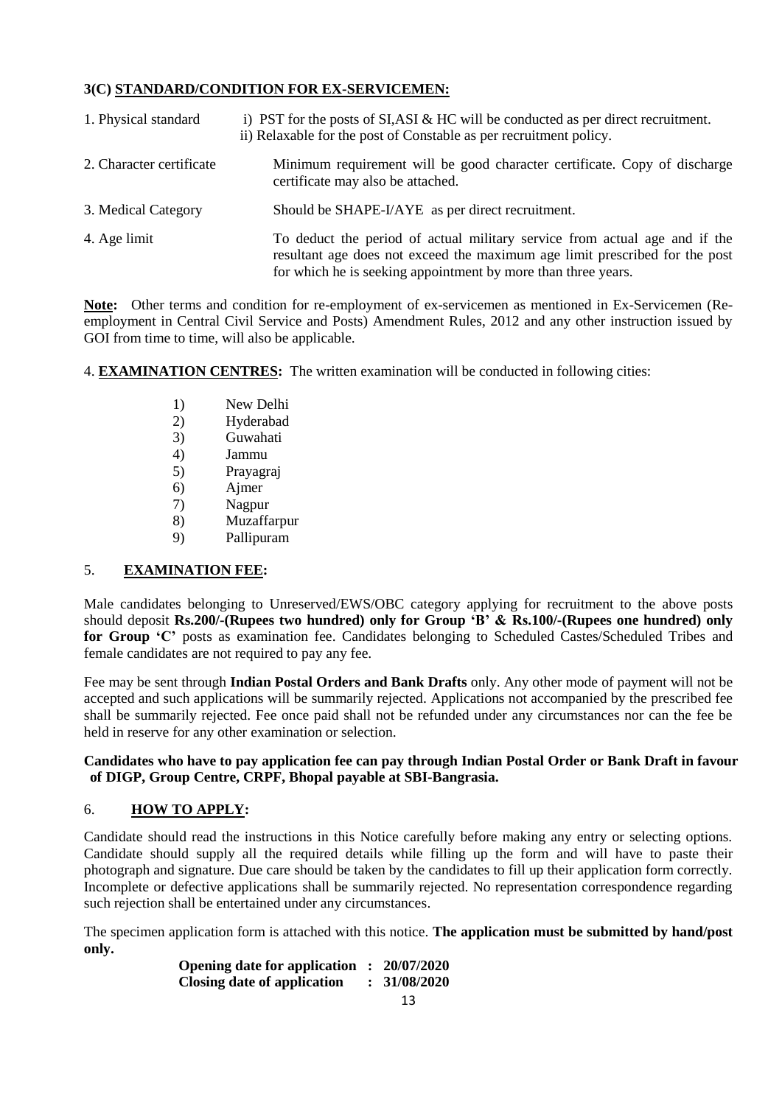## **3(C) STANDARD/CONDITION FOR EX-SERVICEMEN:**

| 1. Physical standard     | i) PST for the posts of $SI, ASI \& HC$ will be conducted as per direct recruitment.<br>ii) Relaxable for the post of Constable as per recruitment policy.                                                                 |
|--------------------------|----------------------------------------------------------------------------------------------------------------------------------------------------------------------------------------------------------------------------|
| 2. Character certificate | Minimum requirement will be good character certificate. Copy of discharge<br>certificate may also be attached.                                                                                                             |
| 3. Medical Category      | Should be SHAPE-I/AYE as per direct recruitment.                                                                                                                                                                           |
| 4. Age limit             | To deduct the period of actual military service from actual age and if the<br>resultant age does not exceed the maximum age limit prescribed for the post<br>for which he is seeking appointment by more than three years. |

**Note:** Other terms and condition for re-employment of ex-servicemen as mentioned in Ex-Servicemen (Reemployment in Central Civil Service and Posts) Amendment Rules, 2012 and any other instruction issued by GOI from time to time, will also be applicable.

4. **EXAMINATION CENTRES:** The written examination will be conducted in following cities:

- 1) New Delhi
- 2) Hyderabad
- 3) Guwahati
- 4) Jammu
- 5) Prayagraj
- 6) Ajmer
- 7) Nagpur
- 8) Muzaffarpur
- 9) Pallipuram

## 5. **EXAMINATION FEE:**

Male candidates belonging to Unreserved/EWS/OBC category applying for recruitment to the above posts should deposit **Rs.200/-(Rupees two hundred) only for Group "B" & Rs.100/-(Rupees one hundred) only for Group "C"** posts as examination fee. Candidates belonging to Scheduled Castes/Scheduled Tribes and female candidates are not required to pay any fee.

Fee may be sent through **Indian Postal Orders and Bank Drafts** only. Any other mode of payment will not be accepted and such applications will be summarily rejected. Applications not accompanied by the prescribed fee shall be summarily rejected. Fee once paid shall not be refunded under any circumstances nor can the fee be held in reserve for any other examination or selection.

### **Candidates who have to pay application fee can pay through Indian Postal Order or Bank Draft in favour of DIGP, Group Centre, CRPF, Bhopal payable at SBI-Bangrasia.**

## 6. **HOW TO APPLY:**

Candidate should read the instructions in this Notice carefully before making any entry or selecting options. Candidate should supply all the required details while filling up the form and will have to paste their photograph and signature. Due care should be taken by the candidates to fill up their application form correctly. Incomplete or defective applications shall be summarily rejected. No representation correspondence regarding such rejection shall be entertained under any circumstances.

The specimen application form is attached with this notice. **The application must be submitted by hand/post only.**

**Opening date for application : 20/07/2020 Closing date of application : 31/08/2020**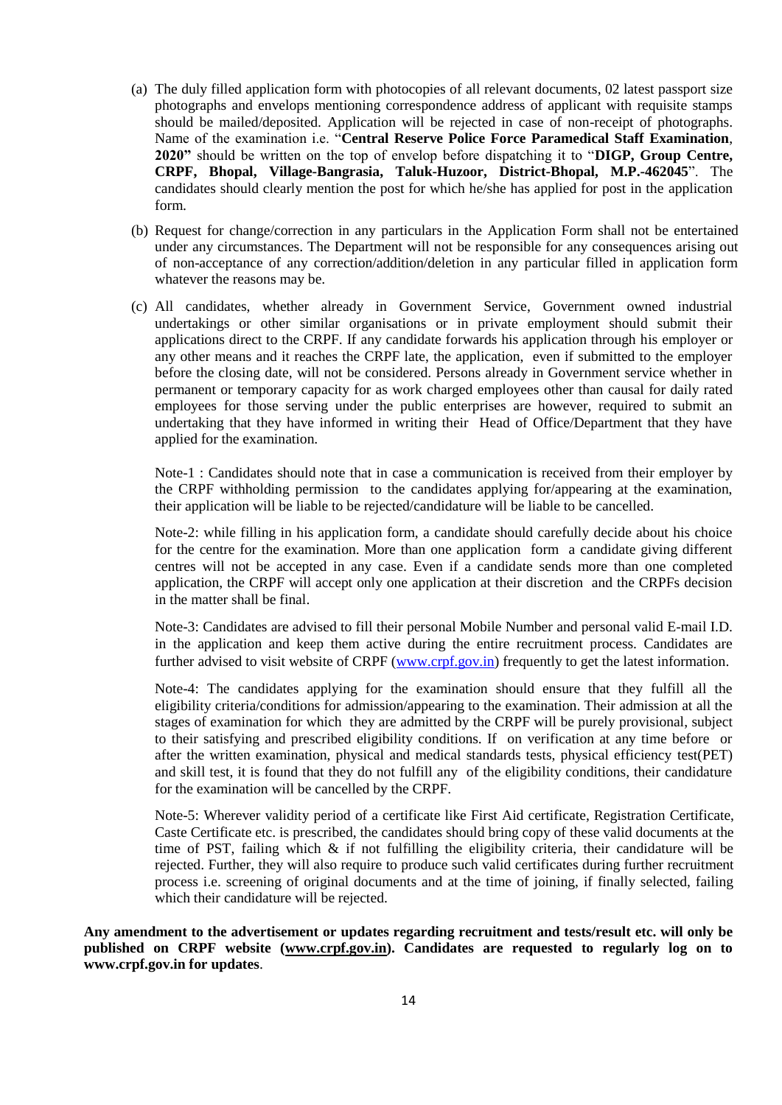- (a) The duly filled application form with photocopies of all relevant documents, 02 latest passport size photographs and envelops mentioning correspondence address of applicant with requisite stamps should be mailed/deposited. Application will be rejected in case of non-receipt of photographs. Name of the examination i.e. "**Central Reserve Police Force Paramedical Staff Examination**, **2020"** should be written on the top of envelop before dispatching it to "**DIGP, Group Centre, CRPF, Bhopal, Village-Bangrasia, Taluk-Huzoor, District-Bhopal, M.P.-462045**". The candidates should clearly mention the post for which he/she has applied for post in the application form.
- (b) Request for change/correction in any particulars in the Application Form shall not be entertained under any circumstances. The Department will not be responsible for any consequences arising out of non-acceptance of any correction/addition/deletion in any particular filled in application form whatever the reasons may be.
- (c) All candidates, whether already in Government Service, Government owned industrial undertakings or other similar organisations or in private employment should submit their applications direct to the CRPF. If any candidate forwards his application through his employer or any other means and it reaches the CRPF late, the application, even if submitted to the employer before the closing date, will not be considered. Persons already in Government service whether in permanent or temporary capacity for as work charged employees other than causal for daily rated employees for those serving under the public enterprises are however, required to submit an undertaking that they have informed in writing their Head of Office/Department that they have applied for the examination.

Note-1 : Candidates should note that in case a communication is received from their employer by the CRPF withholding permission to the candidates applying for/appearing at the examination, their application will be liable to be rejected/candidature will be liable to be cancelled.

Note-2: while filling in his application form, a candidate should carefully decide about his choice for the centre for the examination. More than one application form a candidate giving different centres will not be accepted in any case. Even if a candidate sends more than one completed application, the CRPF will accept only one application at their discretion and the CRPFs decision in the matter shall be final.

Note-3: Candidates are advised to fill their personal Mobile Number and personal valid E-mail I.D. in the application and keep them active during the entire recruitment process. Candidates are further advised to visit website of CRPF [\(www.crpf.gov.in\)](http://www.crpf.gov.in/) frequently to get the latest information.

Note-4: The candidates applying for the examination should ensure that they fulfill all the eligibility criteria/conditions for admission/appearing to the examination. Their admission at all the stages of examination for which they are admitted by the CRPF will be purely provisional, subject to their satisfying and prescribed eligibility conditions. If on verification at any time before or after the written examination, physical and medical standards tests, physical efficiency test(PET) and skill test, it is found that they do not fulfill any of the eligibility conditions, their candidature for the examination will be cancelled by the CRPF.

Note-5: Wherever validity period of a certificate like First Aid certificate, Registration Certificate, Caste Certificate etc. is prescribed, the candidates should bring copy of these valid documents at the time of PST, failing which  $\&$  if not fulfilling the eligibility criteria, their candidature will be rejected. Further, they will also require to produce such valid certificates during further recruitment process i.e. screening of original documents and at the time of joining, if finally selected, failing which their candidature will be rejected.

**Any amendment to the advertisement or updates regarding recruitment and tests/result etc. will only be published on CRPF website [\(www.crpf.gov.in\)](http://www.crpf.gov.in/). Candidates are requested to regularly log on to www.crpf.gov.in for updates**.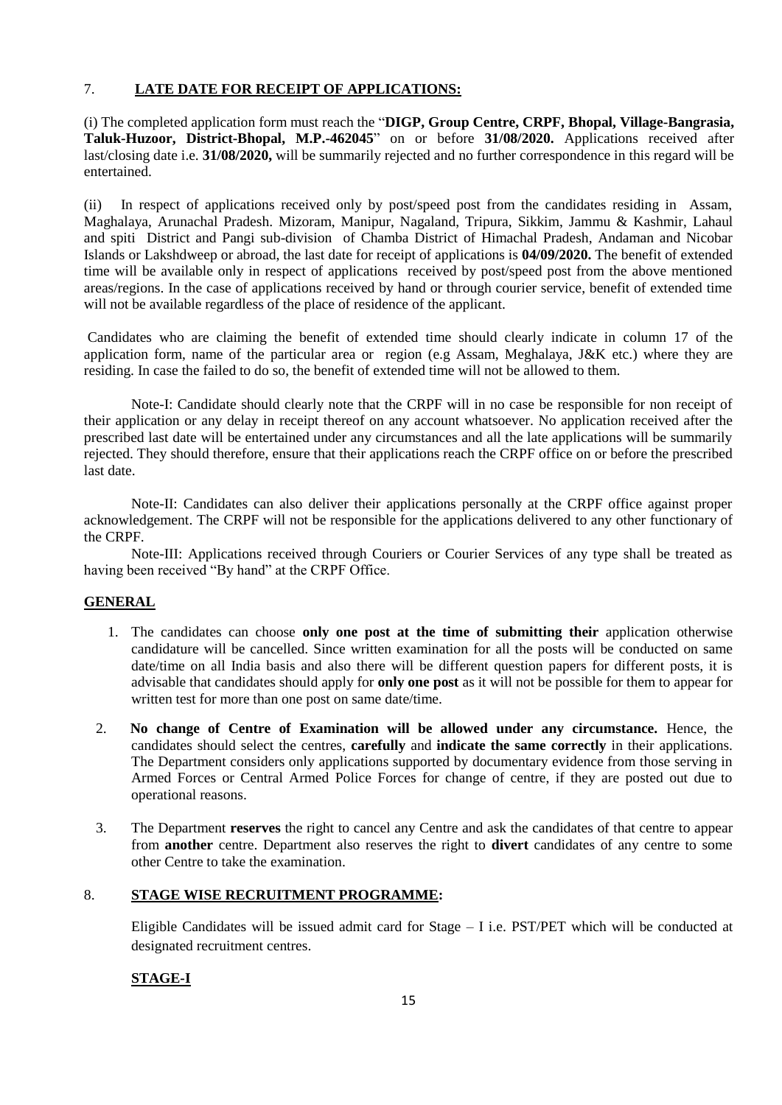## 7. **LATE DATE FOR RECEIPT OF APPLICATIONS:**

(i) The completed application form must reach the "**DIGP, Group Centre, CRPF, Bhopal, Village-Bangrasia, Taluk-Huzoor, District-Bhopal, M.P.-462045**" on or before **31/08/2020.** Applications received after last/closing date i.e. **31/08/2020,** will be summarily rejected and no further correspondence in this regard will be entertained.

(ii) In respect of applications received only by post/speed post from the candidates residing in Assam, Maghalaya, Arunachal Pradesh. Mizoram, Manipur, Nagaland, Tripura, Sikkim, Jammu & Kashmir, Lahaul and spiti District and Pangi sub-division of Chamba District of Himachal Pradesh, Andaman and Nicobar Islands or Lakshdweep or abroad, the last date for receipt of applications is **04/09/2020.** The benefit of extended time will be available only in respect of applications received by post/speed post from the above mentioned areas/regions. In the case of applications received by hand or through courier service, benefit of extended time will not be available regardless of the place of residence of the applicant.

Candidates who are claiming the benefit of extended time should clearly indicate in column 17 of the application form, name of the particular area or region (e.g Assam, Meghalaya, J&K etc.) where they are residing. In case the failed to do so, the benefit of extended time will not be allowed to them.

 Note-I: Candidate should clearly note that the CRPF will in no case be responsible for non receipt of their application or any delay in receipt thereof on any account whatsoever. No application received after the prescribed last date will be entertained under any circumstances and all the late applications will be summarily rejected. They should therefore, ensure that their applications reach the CRPF office on or before the prescribed last date.

Note-II: Candidates can also deliver their applications personally at the CRPF office against proper acknowledgement. The CRPF will not be responsible for the applications delivered to any other functionary of the CRPF.

Note-III: Applications received through Couriers or Courier Services of any type shall be treated as having been received "By hand" at the CRPF Office.

## **GENERAL**

- 1. The candidates can choose **only one post at the time of submitting their** application otherwise candidature will be cancelled. Since written examination for all the posts will be conducted on same date/time on all India basis and also there will be different question papers for different posts, it is advisable that candidates should apply for **only one post** as it will not be possible for them to appear for written test for more than one post on same date/time.
- 2. **No change of Centre of Examination will be allowed under any circumstance.** Hence, the candidates should select the centres, **carefully** and **indicate the same correctly** in their applications. The Department considers only applications supported by documentary evidence from those serving in Armed Forces or Central Armed Police Forces for change of centre, if they are posted out due to operational reasons.
- 3. The Department **reserves** the right to cancel any Centre and ask the candidates of that centre to appear from **another** centre. Department also reserves the right to **divert** candidates of any centre to some other Centre to take the examination.

### 8. **STAGE WISE RECRUITMENT PROGRAMME:**

Eligible Candidates will be issued admit card for Stage – I i.e. PST/PET which will be conducted at designated recruitment centres.

## **STAGE-I**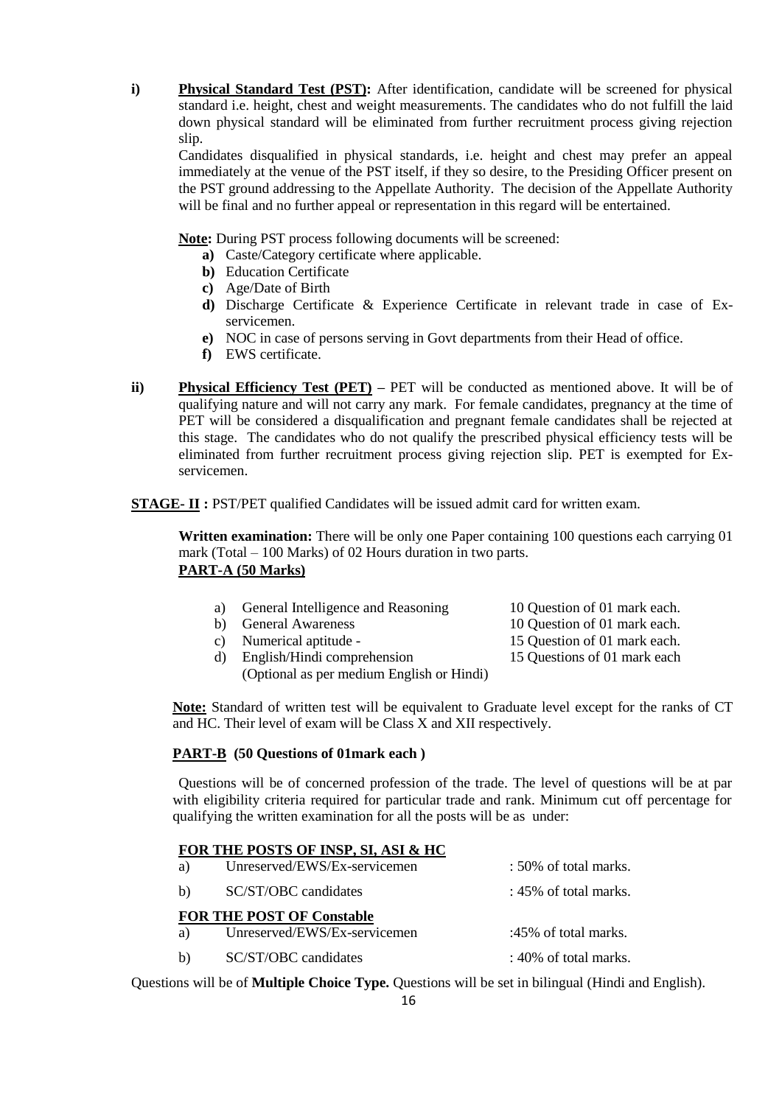**i) Physical Standard Test (PST):** After identification, candidate will be screened for physical standard i.e. height, chest and weight measurements. The candidates who do not fulfill the laid down physical standard will be eliminated from further recruitment process giving rejection slip.

Candidates disqualified in physical standards, i.e. height and chest may prefer an appeal immediately at the venue of the PST itself, if they so desire, to the Presiding Officer present on the PST ground addressing to the Appellate Authority. The decision of the Appellate Authority will be final and no further appeal or representation in this regard will be entertained.

**Note:** During PST process following documents will be screened:

- **a)** Caste/Category certificate where applicable.
- **b)** Education Certificate
- **c)** Age/Date of Birth
- **d)** Discharge Certificate & Experience Certificate in relevant trade in case of Exservicemen.
- **e)** NOC in case of persons serving in Govt departments from their Head of office.
- **f)** EWS certificate.
- **ii) Physical Efficiency Test (PET) –** PET will be conducted as mentioned above. It will be of qualifying nature and will not carry any mark. For female candidates, pregnancy at the time of PET will be considered a disqualification and pregnant female candidates shall be rejected at this stage. The candidates who do not qualify the prescribed physical efficiency tests will be eliminated from further recruitment process giving rejection slip. PET is exempted for Exservicemen.

**STAGE- II :** PST/PET qualified Candidates will be issued admit card for written exam.

**Written examination:** There will be only one Paper containing 100 questions each carrying 01 mark (Total – 100 Marks) of 02 Hours duration in two parts. **PART-A (50 Marks)**

- a) General Intelligence and Reasoning 10 Question of 01 mark each.
- 
- c) Numerical aptitude 15 Question of 01 mark each.
- d) English/Hindi comprehension 15 Questions of 01 mark each (Optional as per medium English or Hindi)
- b) General Awareness 10 Question of 01 mark each.
	-

**Note:** Standard of written test will be equivalent to Graduate level except for the ranks of CT and HC. Their level of exam will be Class X and XII respectively.

#### **PART-B (50 Questions of 01mark each )**

Questions will be of concerned profession of the trade. The level of questions will be at par with eligibility criteria required for particular trade and rank. Minimum cut off percentage for qualifying the written examination for all the posts will be as under:

#### **FOR THE POSTS OF INSP, SI, ASI & HC**

| a) | Unreserved/EWS/Ex-servicemen     | : 50% of total marks.    |
|----|----------------------------------|--------------------------|
| b) | SC/ST/OBC candidates             | : $45\%$ of total marks. |
|    | <b>FOR THE POST OF Constable</b> |                          |
| a) | Unreserved/EWS/Ex-servicemen     | :45% of total marks.     |
| b) | SC/ST/OBC candidates             | : $40\%$ of total marks. |

Questions will be of **Multiple Choice Type.** Questions will be set in bilingual (Hindi and English).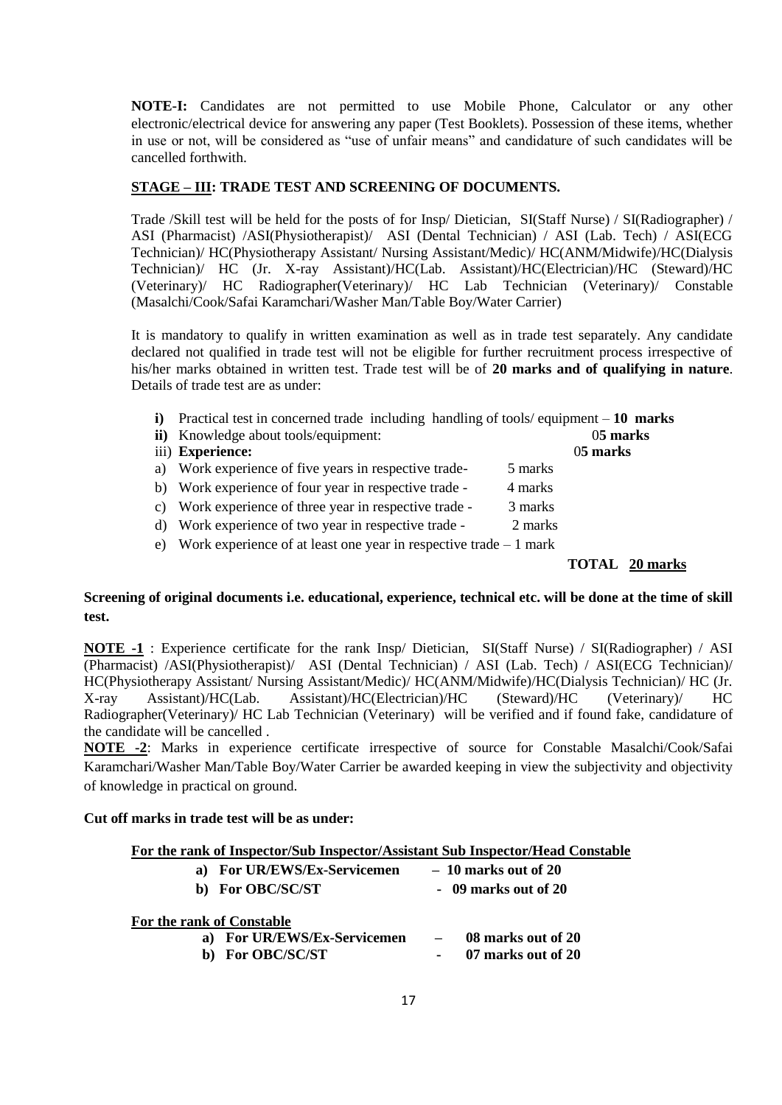**NOTE-I:** Candidates are not permitted to use Mobile Phone, Calculator or any other electronic/electrical device for answering any paper (Test Booklets). Possession of these items, whether in use or not, will be considered as "use of unfair means" and candidature of such candidates will be cancelled forthwith.

## **STAGE – III: TRADE TEST AND SCREENING OF DOCUMENTS.**

Trade /Skill test will be held for the posts of for Insp/ Dietician, SI(Staff Nurse) / SI(Radiographer) / ASI (Pharmacist) /ASI(Physiotherapist)/ ASI (Dental Technician) / ASI (Lab. Tech) / ASI(ECG Technician)/ HC(Physiotherapy Assistant/ Nursing Assistant/Medic)/ HC(ANM/Midwife)/HC(Dialysis Technician)/ HC (Jr. X-ray Assistant)/HC(Lab. Assistant)/HC(Electrician)/HC (Steward)/HC (Veterinary)/ HC Radiographer(Veterinary)/ HC Lab Technician (Veterinary)/ Constable (Masalchi/Cook/Safai Karamchari/Washer Man/Table Boy/Water Carrier)

It is mandatory to qualify in written examination as well as in trade test separately. Any candidate declared not qualified in trade test will not be eligible for further recruitment process irrespective of his/her marks obtained in written test. Trade test will be of **20 marks and of qualifying in nature**. Details of trade test are as under:

- **i)** Practical test in concerned trade including handling of tools/ equipment **10 marks**
- **ii)** Knowledge about tools/equipment: 0**5 marks**
- iii) **Experience:** 0**5 marks**
- a) Work experience of five years in respective trade- 5 marks
- b) Work experience of four year in respective trade 4 marks
- c) Work experience of three year in respective trade 3 marks
- d) Work experience of two year in respective trade 2 marks
- e) Work experience of at least one year in respective trade 1 mark

 **TOTAL 20 marks**

## **Screening of original documents i.e. educational, experience, technical etc. will be done at the time of skill test.**

**NOTE -1** : Experience certificate for the rank Insp/ Dietician, SI(Staff Nurse) / SI(Radiographer) / ASI (Pharmacist) /ASI(Physiotherapist)/ ASI (Dental Technician) / ASI (Lab. Tech) / ASI(ECG Technician)/ HC(Physiotherapy Assistant/ Nursing Assistant/Medic)/ HC(ANM/Midwife)/HC(Dialysis Technician)/ HC (Jr. X-ray Assistant)/HC(Lab. Assistant)/HC(Electrician)/HC (Steward)/HC (Veterinary)/ HC Radiographer(Veterinary)/ HC Lab Technician (Veterinary) will be verified and if found fake, candidature of the candidate will be cancelled .

**NOTE -2**: Marks in experience certificate irrespective of source for Constable Masalchi/Cook/Safai Karamchari/Washer Man/Table Boy/Water Carrier be awarded keeping in view the subjectivity and objectivity of knowledge in practical on ground.

### **Cut off marks in trade test will be as under:**

|                             | For the rank of Inspector/Sub Inspector/Assistant Sub Inspector/Head Constable |
|-----------------------------|--------------------------------------------------------------------------------|
| a) For UR/EWS/Ex-Servicemen | $-10$ marks out of 20                                                          |
| b) For OBC/SC/ST            | $-09$ marks out of 20                                                          |

| For the rank of Constable   |                          |                    |
|-----------------------------|--------------------------|--------------------|
| a) For UR/EWS/Ex-Servicemen | $\overline{\phantom{0}}$ | 08 marks out of 20 |
| b) For OBC/SC/ST            |                          | 07 marks out of 20 |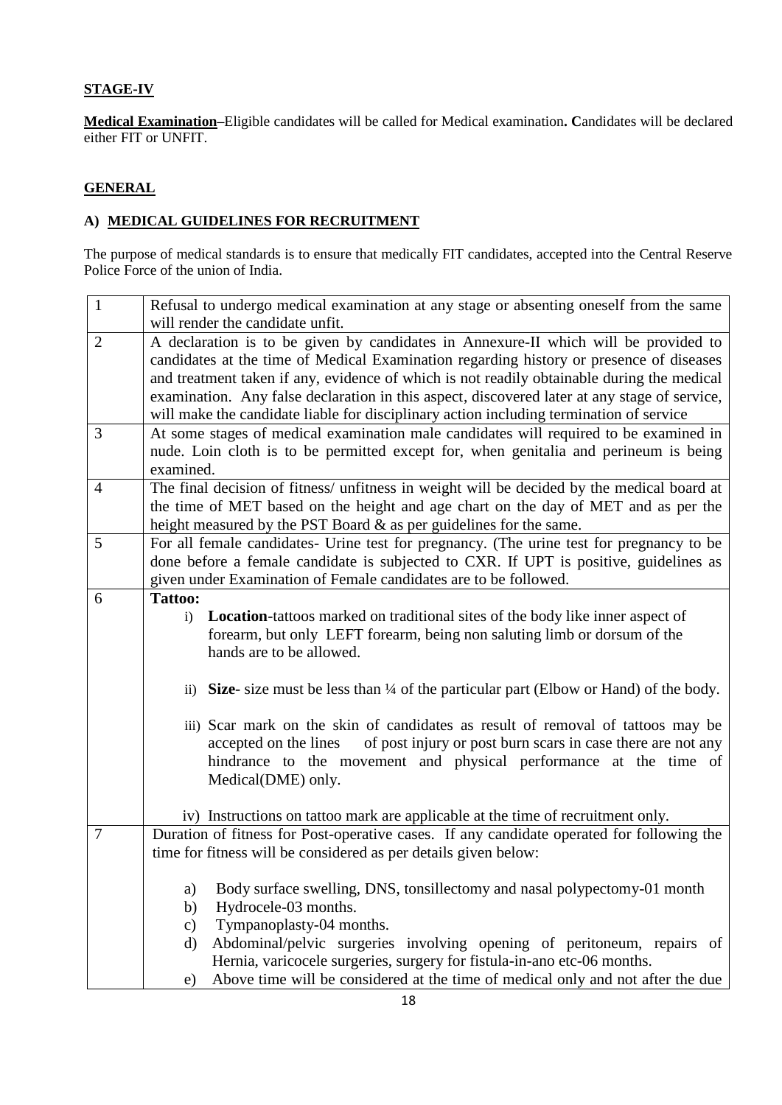## **STAGE-IV**

**Medical Examination–**Eligible candidates will be called for Medical examination**. C**andidates will be declared either FIT or UNFIT.

## **GENERAL**

## **A) MEDICAL GUIDELINES FOR RECRUITMENT**

The purpose of medical standards is to ensure that medically FIT candidates, accepted into the Central Reserve Police Force of the union of India.

| $\mathbf{1}$   | Refusal to undergo medical examination at any stage or absenting oneself from the same             |
|----------------|----------------------------------------------------------------------------------------------------|
|                | will render the candidate unfit.                                                                   |
| $\overline{2}$ | A declaration is to be given by candidates in Annexure-II which will be provided to                |
|                | candidates at the time of Medical Examination regarding history or presence of diseases            |
|                | and treatment taken if any, evidence of which is not readily obtainable during the medical         |
|                | examination. Any false declaration in this aspect, discovered later at any stage of service,       |
|                | will make the candidate liable for disciplinary action including termination of service            |
| 3              | At some stages of medical examination male candidates will required to be examined in              |
|                | nude. Loin cloth is to be permitted except for, when genitalia and perineum is being               |
|                | examined.                                                                                          |
| 4              | The final decision of fitness/ unfitness in weight will be decided by the medical board at         |
|                | the time of MET based on the height and age chart on the day of MET and as per the                 |
|                | height measured by the PST Board $\&$ as per guidelines for the same.                              |
| 5              | For all female candidates- Urine test for pregnancy. (The urine test for pregnancy to be           |
|                | done before a female candidate is subjected to CXR. If UPT is positive, guidelines as              |
|                | given under Examination of Female candidates are to be followed.                                   |
| 6              | <b>Tattoo:</b>                                                                                     |
|                | <b>Location</b> -tattoos marked on traditional sites of the body like inner aspect of<br>i)        |
|                | forearm, but only LEFT forearm, being non saluting limb or dorsum of the                           |
|                | hands are to be allowed.                                                                           |
|                |                                                                                                    |
|                | ii) Size- size must be less than $\frac{1}{4}$ of the particular part (Elbow or Hand) of the body. |
|                |                                                                                                    |
|                | iii) Scar mark on the skin of candidates as result of removal of tattoos may be                    |
|                | of post injury or post burn scars in case there are not any<br>accepted on the lines               |
|                | hindrance to the movement and physical performance at the time of                                  |
|                | Medical(DME) only.                                                                                 |
|                | iv) Instructions on tattoo mark are applicable at the time of recruitment only.                    |
| $\tau$         | Duration of fitness for Post-operative cases. If any candidate operated for following the          |
|                | time for fitness will be considered as per details given below:                                    |
|                |                                                                                                    |
|                | Body surface swelling, DNS, tonsillectomy and nasal polypectomy-01 month<br>a)                     |
|                | Hydrocele-03 months.<br>b)                                                                         |
|                | Tympanoplasty-04 months.<br>$\mathbf{c})$                                                          |
|                | Abdominal/pelvic surgeries involving opening of peritoneum, repairs of<br>d)                       |
|                | Hernia, varicocele surgeries, surgery for fistula-in-ano etc-06 months.                            |
|                | Above time will be considered at the time of medical only and not after the due<br>e)              |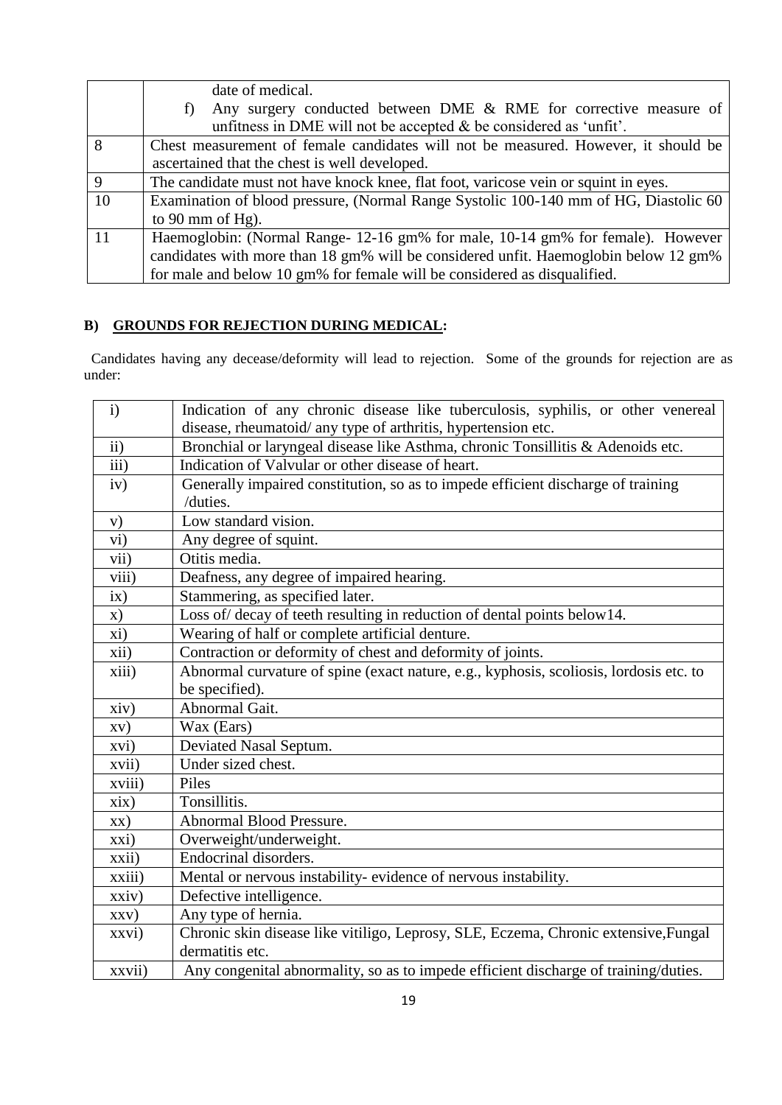|                | date of medical.                                                                     |  |  |  |  |  |  |
|----------------|--------------------------------------------------------------------------------------|--|--|--|--|--|--|
|                | Any surgery conducted between DME & RME for corrective measure of                    |  |  |  |  |  |  |
|                | unfitness in DME will not be accepted $\&$ be considered as 'unfit'.                 |  |  |  |  |  |  |
| 8              | Chest measurement of female candidates will not be measured. However, it should be   |  |  |  |  |  |  |
|                | ascertained that the chest is well developed.                                        |  |  |  |  |  |  |
| $\overline{9}$ | The candidate must not have knock knee, flat foot, varicose vein or squint in eyes.  |  |  |  |  |  |  |
| 10             | Examination of blood pressure, (Normal Range Systolic 100-140 mm of HG, Diastolic 60 |  |  |  |  |  |  |
|                | to 90 mm of Hg).                                                                     |  |  |  |  |  |  |
| <sup>11</sup>  | Haemoglobin: (Normal Range- 12-16 gm% for male, 10-14 gm% for female). However       |  |  |  |  |  |  |
|                | candidates with more than 18 gm% will be considered unfit. Haemoglobin below 12 gm%  |  |  |  |  |  |  |
|                | for male and below 10 gm% for female will be considered as disqualified.             |  |  |  |  |  |  |

# **B) GROUNDS FOR REJECTION DURING MEDICAL:**

 Candidates having any decease/deformity will lead to rejection. Some of the grounds for rejection are as under:

| $\mathbf{i}$             | Indication of any chronic disease like tuberculosis, syphilis, or other venereal       |
|--------------------------|----------------------------------------------------------------------------------------|
|                          | disease, rheumatoid/ any type of arthritis, hypertension etc.                          |
| $\overline{ii}$          | Bronchial or laryngeal disease like Asthma, chronic Tonsillitis & Adenoids etc.        |
| $\overline{iii}$         | Indication of Valvular or other disease of heart.                                      |
| iv)                      | Generally impaired constitution, so as to impede efficient discharge of training       |
|                          | /duties.                                                                               |
| V)                       | Low standard vision.                                                                   |
| $\rm vi)$                | Any degree of squint.                                                                  |
| vii)                     | Otitis media.                                                                          |
| viii)                    | Deafness, any degree of impaired hearing.                                              |
| $\overline{i}x)$         | Stammering, as specified later.                                                        |
| $\mathbf{x})$            | Loss of/decay of teeth resulting in reduction of dental points below14.                |
| xi)                      | Wearing of half or complete artificial denture.                                        |
| xii)                     | Contraction or deformity of chest and deformity of joints.                             |
| xiii)                    | Abnormal curvature of spine (exact nature, e.g., kyphosis, scoliosis, lordosis etc. to |
|                          | be specified).                                                                         |
| xiv)                     | Abnormal Gait.                                                                         |
| $\mathbf{X}(\mathbf{V})$ | Wax (Ears)                                                                             |
| xvi)                     | Deviated Nasal Septum.                                                                 |
| xvii)                    | Under sized chest.                                                                     |
| xviii)                   | Piles                                                                                  |
| xix)                     | Tonsillitis.                                                                           |
| XX)                      | Abnormal Blood Pressure.                                                               |
| xxi)                     | Overweight/underweight.                                                                |
| xxii)                    | Endocrinal disorders.                                                                  |
| xxiii)                   | Mental or nervous instability- evidence of nervous instability.                        |
| xxiv)                    | Defective intelligence.                                                                |
| XXV)                     | Any type of hernia.                                                                    |
| xxvi)                    | Chronic skin disease like vitiligo, Leprosy, SLE, Eczema, Chronic extensive, Fungal    |
|                          | dermatitis etc.                                                                        |
| xxvii)                   | Any congenital abnormality, so as to impede efficient discharge of training/duties.    |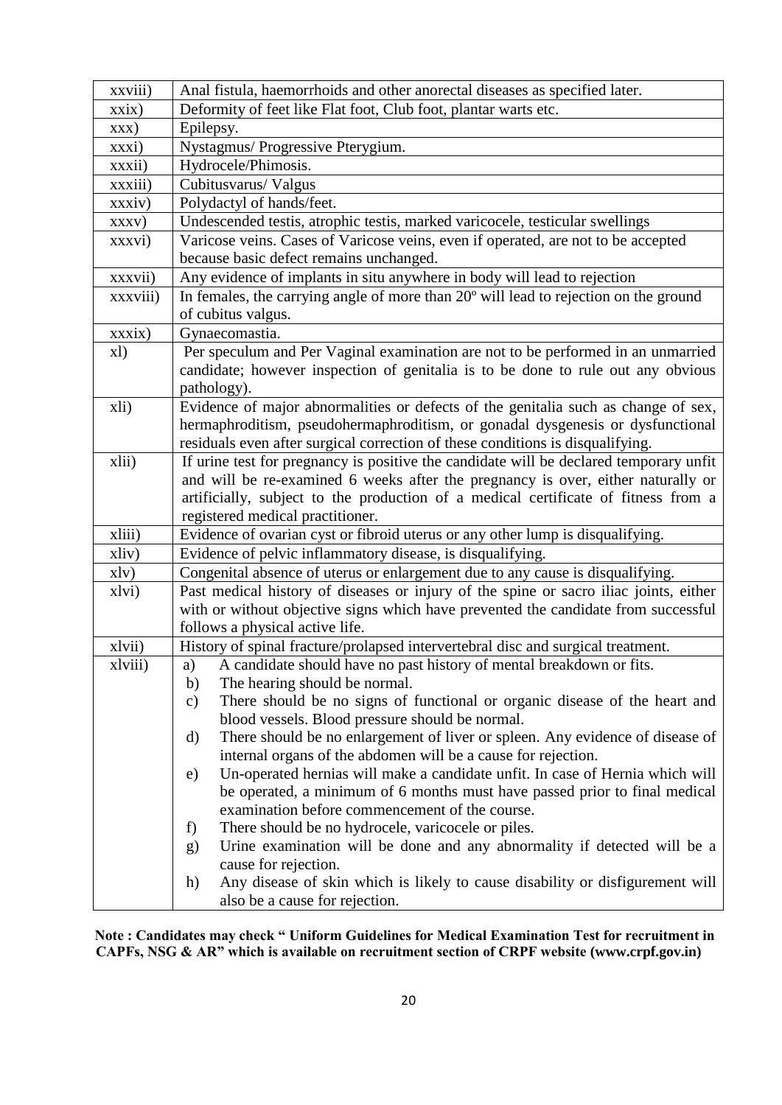| xxviii)        | Anal fistula, haemorrhoids and other anorectal diseases as specified later.                 |  |  |  |  |  |  |  |  |  |
|----------------|---------------------------------------------------------------------------------------------|--|--|--|--|--|--|--|--|--|
| xxix)          | Deformity of feet like Flat foot, Club foot, plantar warts etc.                             |  |  |  |  |  |  |  |  |  |
| $\mathbf{XXX}$ | Epilepsy.                                                                                   |  |  |  |  |  |  |  |  |  |
| xxxi)          | Nystagmus/ Progressive Pterygium.                                                           |  |  |  |  |  |  |  |  |  |
| xxxii)         | Hydrocele/Phimosis.                                                                         |  |  |  |  |  |  |  |  |  |
| xxxiii)        | Cubitusvarus/Valgus                                                                         |  |  |  |  |  |  |  |  |  |
| xxxiv)         | Polydactyl of hands/feet.                                                                   |  |  |  |  |  |  |  |  |  |
| XXXV)          | Undescended testis, atrophic testis, marked varicocele, testicular swellings                |  |  |  |  |  |  |  |  |  |
| xxxvi)         | Varicose veins. Cases of Varicose veins, even if operated, are not to be accepted           |  |  |  |  |  |  |  |  |  |
|                | because basic defect remains unchanged.                                                     |  |  |  |  |  |  |  |  |  |
| xxxvii)        | Any evidence of implants in situ anywhere in body will lead to rejection                    |  |  |  |  |  |  |  |  |  |
| xxxviii)       | In females, the carrying angle of more than 20° will lead to rejection on the ground        |  |  |  |  |  |  |  |  |  |
|                | of cubitus valgus.                                                                          |  |  |  |  |  |  |  |  |  |
| xxxix)         | Gynaecomastia.                                                                              |  |  |  |  |  |  |  |  |  |
| x1)            | Per speculum and Per Vaginal examination are not to be performed in an unmarried            |  |  |  |  |  |  |  |  |  |
|                | candidate; however inspection of genitalia is to be done to rule out any obvious            |  |  |  |  |  |  |  |  |  |
|                | pathology).                                                                                 |  |  |  |  |  |  |  |  |  |
| xli)           | Evidence of major abnormalities or defects of the genitalia such as change of sex,          |  |  |  |  |  |  |  |  |  |
|                | hermaphroditism, pseudohermaphroditism, or gonadal dysgenesis or dysfunctional              |  |  |  |  |  |  |  |  |  |
|                | residuals even after surgical correction of these conditions is disqualifying.              |  |  |  |  |  |  |  |  |  |
| xlii)          | If urine test for pregnancy is positive the candidate will be declared temporary unfit      |  |  |  |  |  |  |  |  |  |
|                | and will be re-examined 6 weeks after the pregnancy is over, either naturally or            |  |  |  |  |  |  |  |  |  |
|                | artificially, subject to the production of a medical certificate of fitness from a          |  |  |  |  |  |  |  |  |  |
|                | registered medical practitioner.                                                            |  |  |  |  |  |  |  |  |  |
| xliii)         | Evidence of ovarian cyst or fibroid uterus or any other lump is disqualifying.              |  |  |  |  |  |  |  |  |  |
| xliv)          | Evidence of pelvic inflammatory disease, is disqualifying.                                  |  |  |  |  |  |  |  |  |  |
| x1y)           | Congenital absence of uterus or enlargement due to any cause is disqualifying.              |  |  |  |  |  |  |  |  |  |
| xlvi)          | Past medical history of diseases or injury of the spine or sacro iliac joints, either       |  |  |  |  |  |  |  |  |  |
|                | with or without objective signs which have prevented the candidate from successful          |  |  |  |  |  |  |  |  |  |
|                | follows a physical active life.                                                             |  |  |  |  |  |  |  |  |  |
| xlvii)         | History of spinal fracture/prolapsed intervertebral disc and surgical treatment.            |  |  |  |  |  |  |  |  |  |
| xlviii)        | A candidate should have no past history of mental breakdown or fits<br>a)                   |  |  |  |  |  |  |  |  |  |
|                | The hearing should be normal.<br>b)                                                         |  |  |  |  |  |  |  |  |  |
|                | There should be no signs of functional or organic disease of the heart and<br>$\mathbf{c})$ |  |  |  |  |  |  |  |  |  |
|                | blood vessels. Blood pressure should be normal.                                             |  |  |  |  |  |  |  |  |  |
|                | There should be no enlargement of liver or spleen. Any evidence of disease of<br>d)         |  |  |  |  |  |  |  |  |  |
|                | internal organs of the abdomen will be a cause for rejection.                               |  |  |  |  |  |  |  |  |  |
|                | Un-operated hernias will make a candidate unfit. In case of Hernia which will<br>e)         |  |  |  |  |  |  |  |  |  |
|                | be operated, a minimum of 6 months must have passed prior to final medical                  |  |  |  |  |  |  |  |  |  |
|                | examination before commencement of the course.                                              |  |  |  |  |  |  |  |  |  |
|                | There should be no hydrocele, varicocele or piles.<br>f                                     |  |  |  |  |  |  |  |  |  |
|                | Urine examination will be done and any abnormality if detected will be a<br>g)              |  |  |  |  |  |  |  |  |  |
|                | cause for rejection.                                                                        |  |  |  |  |  |  |  |  |  |
|                | Any disease of skin which is likely to cause disability or disfigurement will<br>h)         |  |  |  |  |  |  |  |  |  |
|                | also be a cause for rejection.                                                              |  |  |  |  |  |  |  |  |  |

 **Note : Candidates may check " Uniform Guidelines for Medical Examination Test for recruitment in CAPFs, NSG & AR" which is available on recruitment section of CRPF website (www.crpf.gov.in)**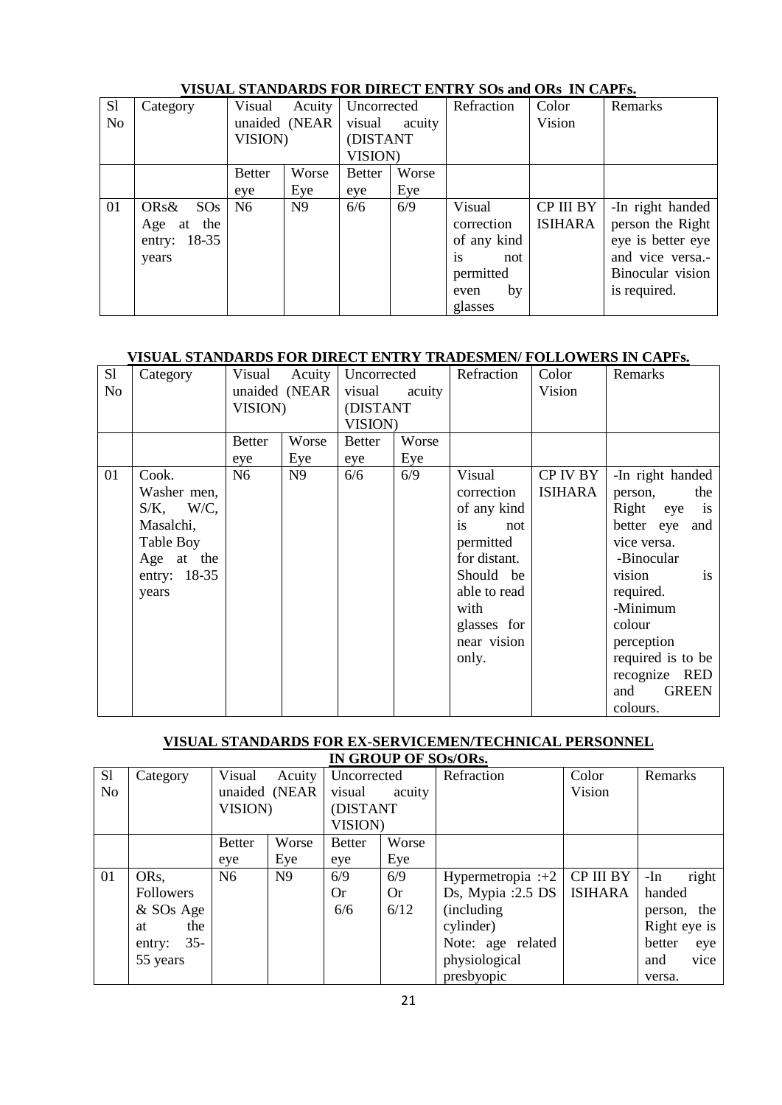| S1             | Category      | Visual         | Acuity         | Uncorrected   |        | Refraction  | Color          | Remarks           |
|----------------|---------------|----------------|----------------|---------------|--------|-------------|----------------|-------------------|
| N <sub>o</sub> |               |                | unaided (NEAR  | visual        | acuity |             | Vision         |                   |
|                |               | VISION)        |                | (DISTANT      |        |             |                |                   |
|                |               |                |                | VISION)       |        |             |                |                   |
|                |               | <b>Better</b>  | Worse          | <b>Better</b> | Worse  |             |                |                   |
|                |               | eye            | Eye            | eye           | Eye    |             |                |                   |
| 01             | ORs&<br>SOS   | N <sub>6</sub> | N <sub>9</sub> | 6/6           | 6/9    | Visual      | CP III BY      | -In right handed  |
|                | at the<br>Age |                |                |               |        | correction  | <b>ISIHARA</b> | person the Right  |
|                | entry: 18-35  |                |                |               |        | of any kind |                | eye is better eye |
|                | years         |                |                |               |        | is<br>not   |                | and vice versa.-  |
|                |               |                |                |               |        | permitted   |                | Binocular vision  |
|                |               |                |                |               |        | by<br>even  |                | is required.      |
|                |               |                |                |               |        | glasses     |                |                   |

## **VISUAL STANDARDS FOR DIRECT ENTRY SOs and ORs IN CAPFs.**

# **VISUAL STANDARDS FOR DIRECT ENTRY TRADESMEN/ FOLLOWERS IN CAPFs.**

| S1             | Category     | Visual         | Acuity        | Uncorrected   |        | Refraction   | Color          | Remarks                    |
|----------------|--------------|----------------|---------------|---------------|--------|--------------|----------------|----------------------------|
| N <sub>o</sub> |              |                | unaided (NEAR | visual        | acuity |              | Vision         |                            |
|                |              | <b>VISION)</b> |               | (DISTANT      |        |              |                |                            |
|                |              |                |               | VISION)       |        |              |                |                            |
|                |              | <b>Better</b>  | Worse         | <b>Better</b> | Worse  |              |                |                            |
|                |              | eye            | Eye           | eye           | Eye    |              |                |                            |
| 01             | Cook.        | N <sub>6</sub> | N9            | 6/6           | 6/9    | Visual       | CP IV BY       | -In right handed           |
|                | Washer men,  |                |               |               |        | correction   | <b>ISIHARA</b> | the<br>person,             |
|                | $S/K$ , W/C, |                |               |               |        | of any kind  |                | Right eye<br>$\frac{1}{1}$ |
|                | Masalchi,    |                |               |               |        | is<br>not    |                | better eye<br>and          |
|                | Table Boy    |                |               |               |        | permitted    |                | vice versa.                |
|                | Age at the   |                |               |               |        | for distant. |                | -Binocular                 |
|                | entry: 18-35 |                |               |               |        | Should be    |                | vision<br>is               |
|                | years        |                |               |               |        | able to read |                | required.                  |
|                |              |                |               |               |        | with         |                | -Minimum                   |
|                |              |                |               |               |        | glasses for  |                | colour                     |
|                |              |                |               |               |        | near vision  |                | perception                 |
|                |              |                |               |               |        | only.        |                | required is to be          |
|                |              |                |               |               |        |              |                | recognize RED              |
|                |              |                |               |               |        |              |                | <b>GREEN</b><br>and        |
|                |              |                |               |               |        |              |                | colours.                   |

## **VISUAL STANDARDS FOR EX-SERVICEMEN/TECHNICAL PERSONNEL**

|                | IN GROUP OF SOs/ORs. |                |                |               |           |                                |                |                |
|----------------|----------------------|----------------|----------------|---------------|-----------|--------------------------------|----------------|----------------|
| S1             | Category             | Visual         | Acuity         | Uncorrected   |           | Refraction                     | Color          | Remarks        |
| N <sub>o</sub> |                      |                | unaided (NEAR  | visual        | acuity    |                                | Vision         |                |
|                |                      | VISION)        |                | (DISTANT      |           |                                |                |                |
|                |                      |                |                | VISION)       |           |                                |                |                |
|                |                      | <b>Better</b>  | Worse          | <b>Better</b> | Worse     |                                |                |                |
|                |                      | eye            | Eye            | eye           | Eye       |                                |                |                |
| 01             | OR <sub>s</sub>      | N <sub>6</sub> | N <sub>9</sub> | 6/9           | 6/9       | Hypermetropia : +2   CP III BY |                | $-In$<br>right |
|                | <b>Followers</b>     |                |                | <b>Or</b>     | <b>Or</b> | Ds, Mypia :2.5 DS $\vert$      | <b>ISIHARA</b> | handed         |
|                | & SOs Age            |                |                | 6/6           | 6/12      | (including)                    |                | person, the    |
|                | the<br>at            |                |                |               |           | cylinder)                      |                | Right eye is   |
|                | $35 -$<br>entry:     |                |                |               |           | Note: age related              |                | better<br>eye  |
|                | 55 years             |                |                |               |           | physiological                  |                | and<br>vice    |
|                |                      |                |                |               |           | presbyopic                     |                | versa.         |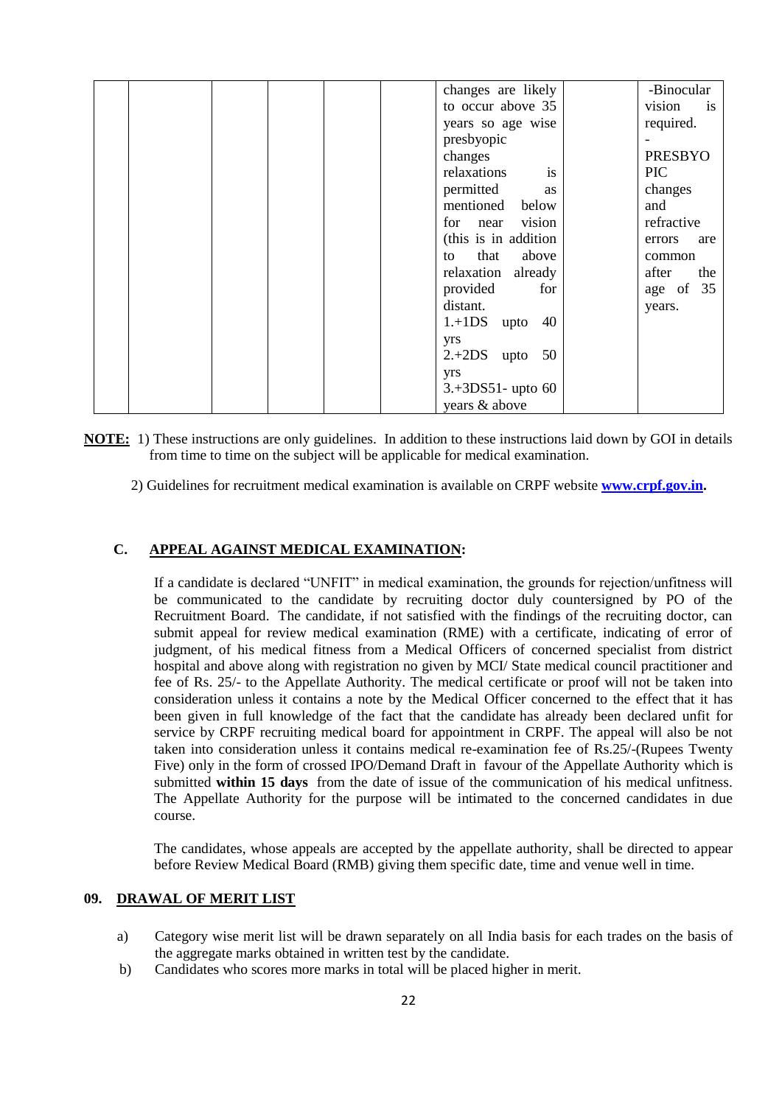|  |  |  | changes are likely     | -Binocular     |
|--|--|--|------------------------|----------------|
|  |  |  | to occur above 35      | vision<br>is   |
|  |  |  | years so age wise      | required.      |
|  |  |  | presbyopic             |                |
|  |  |  | changes                | <b>PRESBYO</b> |
|  |  |  | is<br>relaxations      | <b>PIC</b>     |
|  |  |  | permitted<br>as        | changes        |
|  |  |  | mentioned below        | and            |
|  |  |  | vision<br>for<br>near  | refractive     |
|  |  |  | (this is in addition)  | errors<br>are  |
|  |  |  | that<br>above<br>to    | common         |
|  |  |  | relaxation already     | the<br>after   |
|  |  |  | for<br>provided        | age of 35      |
|  |  |  | distant.               | years.         |
|  |  |  | $1.+1DS$<br>40<br>upto |                |
|  |  |  | yrs                    |                |
|  |  |  | $2.+2DS$<br>50<br>upto |                |
|  |  |  | yrs                    |                |
|  |  |  | $3.+3DS51-$ upto 60    |                |
|  |  |  | years & above          |                |

- **NOTE:** 1) These instructions are only guidelines. In addition to these instructions laid down by GOI in details from time to time on the subject will be applicable for medical examination.
	- 2) Guidelines for recruitment medical examination is available on CRPF website **[www.crpf.gov.in.](http://www.crpf.gov.in/)**

#### **C. APPEAL AGAINST MEDICAL EXAMINATION:**

If a candidate is declared "UNFIT" in medical examination, the grounds for rejection/unfitness will be communicated to the candidate by recruiting doctor duly countersigned by PO of the Recruitment Board. The candidate, if not satisfied with the findings of the recruiting doctor, can submit appeal for review medical examination (RME) with a certificate, indicating of error of judgment, of his medical fitness from a Medical Officers of concerned specialist from district hospital and above along with registration no given by MCI/ State medical council practitioner and fee of Rs. 25/- to the Appellate Authority. The medical certificate or proof will not be taken into consideration unless it contains a note by the Medical Officer concerned to the effect that it has been given in full knowledge of the fact that the candidate has already been declared unfit for service by CRPF recruiting medical board for appointment in CRPF. The appeal will also be not taken into consideration unless it contains medical re-examination fee of Rs.25/-(Rupees Twenty Five) only in the form of crossed IPO/Demand Draft in favour of the Appellate Authority which is submitted **within 15 days** from the date of issue of the communication of his medical unfitness. The Appellate Authority for the purpose will be intimated to the concerned candidates in due course.

The candidates, whose appeals are accepted by the appellate authority, shall be directed to appear before Review Medical Board (RMB) giving them specific date, time and venue well in time.

#### **09. DRAWAL OF MERIT LIST**

- a) Category wise merit list will be drawn separately on all India basis for each trades on the basis of the aggregate marks obtained in written test by the candidate.
- b) Candidates who scores more marks in total will be placed higher in merit.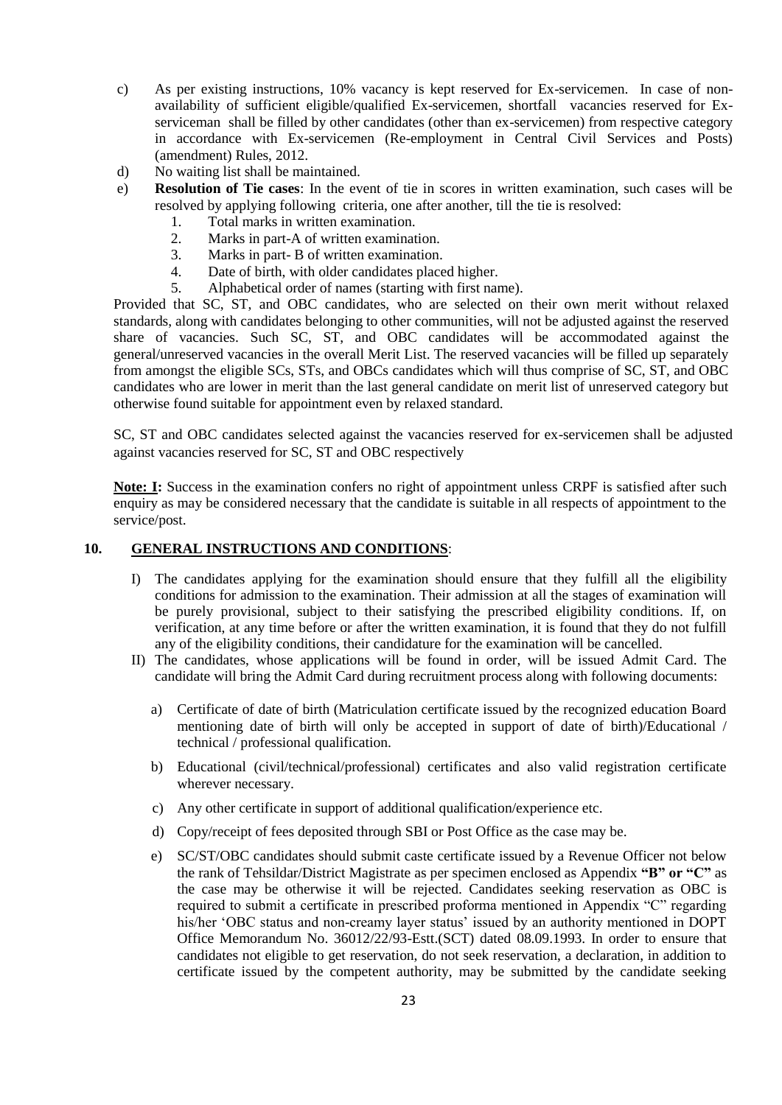- c) As per existing instructions, 10% vacancy is kept reserved for Ex-servicemen. In case of nonavailability of sufficient eligible/qualified Ex-servicemen, shortfall vacancies reserved for Exserviceman shall be filled by other candidates (other than ex-servicemen) from respective category in accordance with Ex-servicemen (Re-employment in Central Civil Services and Posts) (amendment) Rules, 2012.
- d) No waiting list shall be maintained.
- e) **Resolution of Tie cases**: In the event of tie in scores in written examination, such cases will be resolved by applying following criteria, one after another, till the tie is resolved:
	- 1. Total marks in written examination.
	- 2. Marks in part-A of written examination.
	- 3. Marks in part- B of written examination.
	- 4. Date of birth, with older candidates placed higher.
	- 5. Alphabetical order of names (starting with first name).

Provided that SC, ST, and OBC candidates, who are selected on their own merit without relaxed standards, along with candidates belonging to other communities, will not be adjusted against the reserved share of vacancies. Such SC, ST, and OBC candidates will be accommodated against the general/unreserved vacancies in the overall Merit List. The reserved vacancies will be filled up separately from amongst the eligible SCs, STs, and OBCs candidates which will thus comprise of SC, ST, and OBC candidates who are lower in merit than the last general candidate on merit list of unreserved category but otherwise found suitable for appointment even by relaxed standard.

SC, ST and OBC candidates selected against the vacancies reserved for ex-servicemen shall be adjusted against vacancies reserved for SC, ST and OBC respectively

**Note: I:** Success in the examination confers no right of appointment unless CRPF is satisfied after such enquiry as may be considered necessary that the candidate is suitable in all respects of appointment to the service/post.

#### **10. GENERAL INSTRUCTIONS AND CONDITIONS**:

- I) The candidates applying for the examination should ensure that they fulfill all the eligibility conditions for admission to the examination. Their admission at all the stages of examination will be purely provisional, subject to their satisfying the prescribed eligibility conditions. If, on verification, at any time before or after the written examination, it is found that they do not fulfill any of the eligibility conditions, their candidature for the examination will be cancelled.
- II) The candidates, whose applications will be found in order, will be issued Admit Card. The candidate will bring the Admit Card during recruitment process along with following documents:
	- a) Certificate of date of birth (Matriculation certificate issued by the recognized education Board mentioning date of birth will only be accepted in support of date of birth)/Educational / technical / professional qualification.
	- b) Educational (civil/technical/professional) certificates and also valid registration certificate wherever necessary.
	- c) Any other certificate in support of additional qualification/experience etc.
	- d) Copy/receipt of fees deposited through SBI or Post Office as the case may be.
	- e) SC/ST/OBC candidates should submit caste certificate issued by a Revenue Officer not below the rank of Tehsildar/District Magistrate as per specimen enclosed as Appendix **"B" or "C"** as the case may be otherwise it will be rejected. Candidates seeking reservation as OBC is required to submit a certificate in prescribed proforma mentioned in Appendix "C" regarding his/her 'OBC status and non-creamy layer status' issued by an authority mentioned in DOPT Office Memorandum No. 36012/22/93-Estt.(SCT) dated 08.09.1993. In order to ensure that candidates not eligible to get reservation, do not seek reservation, a declaration, in addition to certificate issued by the competent authority, may be submitted by the candidate seeking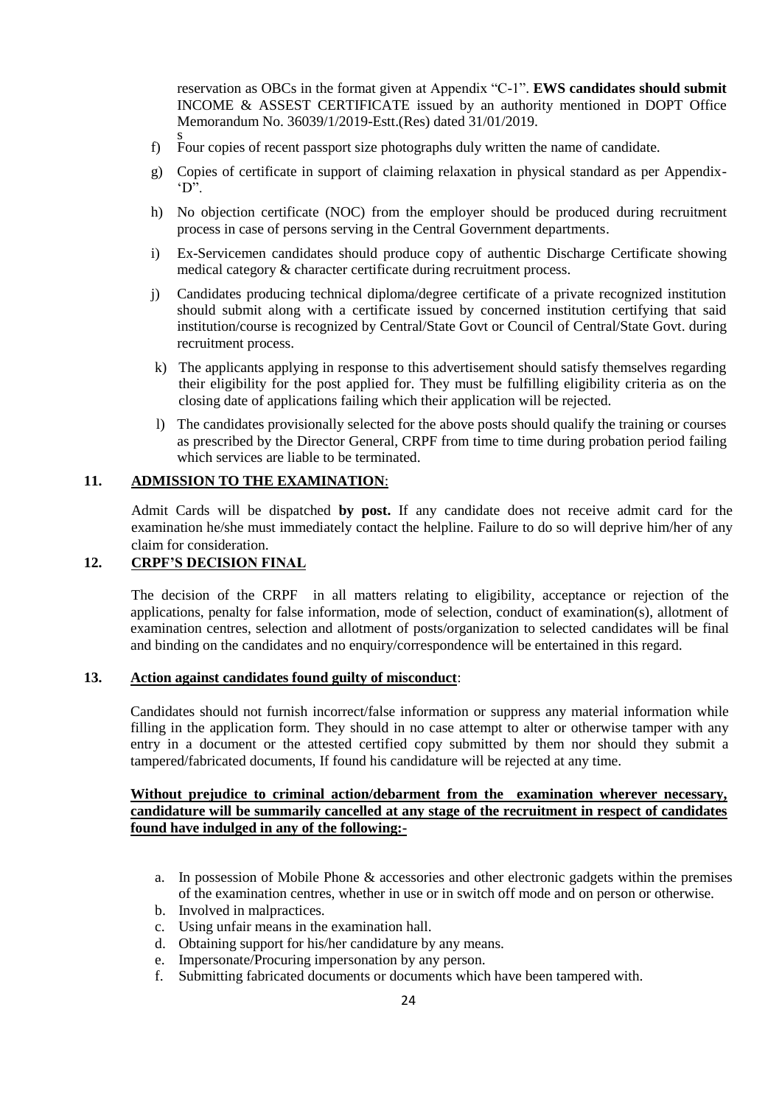reservation as OBCs in the format given at Appendix "C-1". **EWS candidates should submit**  INCOME & ASSEST CERTIFICATE issued by an authority mentioned in DOPT Office Memorandum No. 36039/1/2019-Estt.(Res) dated 31/01/2019.

- s f) Four copies of recent passport size photographs duly written the name of candidate.
- g) Copies of certificate in support of claiming relaxation in physical standard as per Appendix- "D".
- h) No objection certificate (NOC) from the employer should be produced during recruitment process in case of persons serving in the Central Government departments.
- i) Ex-Servicemen candidates should produce copy of authentic Discharge Certificate showing medical category & character certificate during recruitment process.
- j) Candidates producing technical diploma/degree certificate of a private recognized institution should submit along with a certificate issued by concerned institution certifying that said institution/course is recognized by Central/State Govt or Council of Central/State Govt. during recruitment process.
- k) The applicants applying in response to this advertisement should satisfy themselves regarding their eligibility for the post applied for. They must be fulfilling eligibility criteria as on the closing date of applications failing which their application will be rejected.
- l) The candidates provisionally selected for the above posts should qualify the training or courses as prescribed by the Director General, CRPF from time to time during probation period failing which services are liable to be terminated.

### **11. ADMISSION TO THE EXAMINATION**:

Admit Cards will be dispatched **by post.** If any candidate does not receive admit card for the examination he/she must immediately contact the helpline. Failure to do so will deprive him/her of any claim for consideration.

## **12. CRPF"S DECISION FINAL**

The decision of the CRPF in all matters relating to eligibility, acceptance or rejection of the applications, penalty for false information, mode of selection, conduct of examination(s), allotment of examination centres, selection and allotment of posts/organization to selected candidates will be final and binding on the candidates and no enquiry/correspondence will be entertained in this regard.

#### **13. Action against candidates found guilty of misconduct**:

Candidates should not furnish incorrect/false information or suppress any material information while filling in the application form. They should in no case attempt to alter or otherwise tamper with any entry in a document or the attested certified copy submitted by them nor should they submit a tampered/fabricated documents, If found his candidature will be rejected at any time.

## **Without prejudice to criminal action/debarment from the examination wherever necessary, candidature will be summarily cancelled at any stage of the recruitment in respect of candidates found have indulged in any of the following:-**

- a. In possession of Mobile Phone & accessories and other electronic gadgets within the premises of the examination centres, whether in use or in switch off mode and on person or otherwise.
- b. Involved in malpractices.
- c. Using unfair means in the examination hall.
- d. Obtaining support for his/her candidature by any means.
- e. Impersonate/Procuring impersonation by any person.
- f. Submitting fabricated documents or documents which have been tampered with.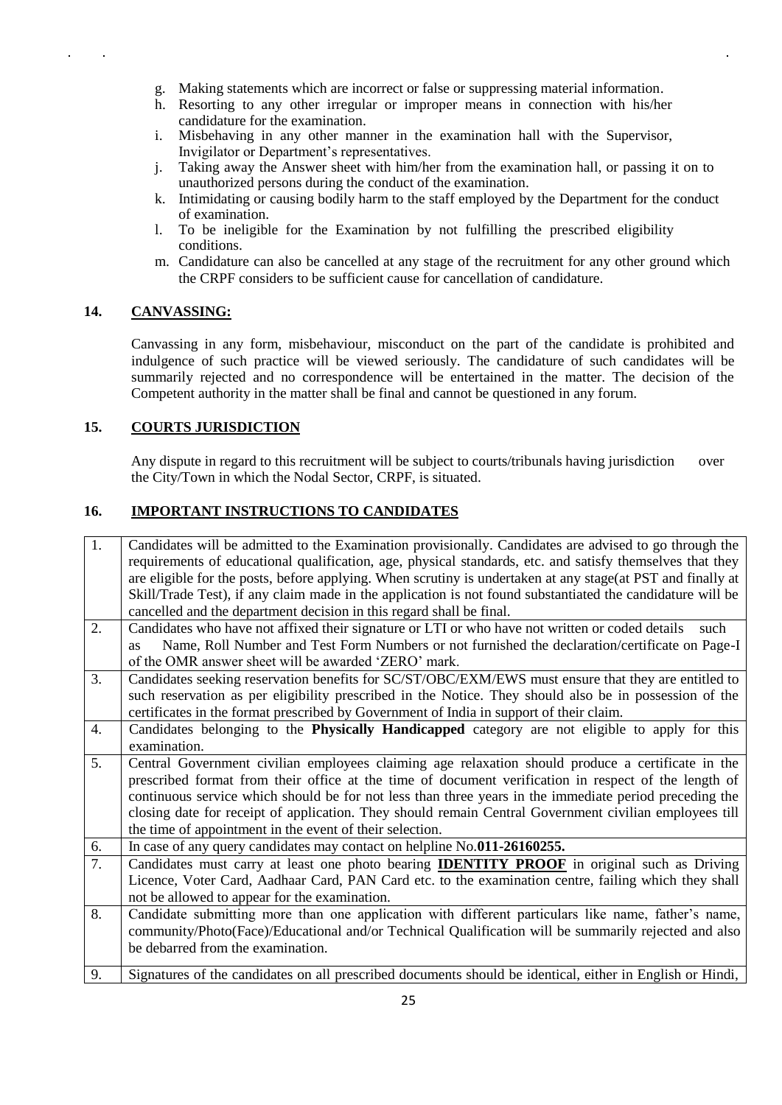- g. Making statements which are incorrect or false or suppressing material information.
- h. Resorting to any other irregular or improper means in connection with his/her candidature for the examination.
- i. Misbehaving in any other manner in the examination hall with the Supervisor, Invigilator or Department"s representatives.
- j. Taking away the Answer sheet with him/her from the examination hall, or passing it on to unauthorized persons during the conduct of the examination.
- k. Intimidating or causing bodily harm to the staff employed by the Department for the conduct of examination.
- l. To be ineligible for the Examination by not fulfilling the prescribed eligibility conditions.
- m. Candidature can also be cancelled at any stage of the recruitment for any other ground which the CRPF considers to be sufficient cause for cancellation of candidature.

## **14. CANVASSING:**

Canvassing in any form, misbehaviour, misconduct on the part of the candidate is prohibited and indulgence of such practice will be viewed seriously. The candidature of such candidates will be summarily rejected and no correspondence will be entertained in the matter. The decision of the Competent authority in the matter shall be final and cannot be questioned in any forum.

## **15. COURTS JURISDICTION**

Any dispute in regard to this recruitment will be subject to courts/tribunals having jurisdiction over the City/Town in which the Nodal Sector, CRPF, is situated.

## **16. IMPORTANT INSTRUCTIONS TO CANDIDATES**

| 1. | Candidates will be admitted to the Examination provisionally. Candidates are advised to go through the      |
|----|-------------------------------------------------------------------------------------------------------------|
|    | requirements of educational qualification, age, physical standards, etc. and satisfy themselves that they   |
|    | are eligible for the posts, before applying. When scrutiny is undertaken at any stage(at PST and finally at |
|    | Skill/Trade Test), if any claim made in the application is not found substantiated the candidature will be  |
|    | cancelled and the department decision in this regard shall be final.                                        |
| 2. | Candidates who have not affixed their signature or LTI or who have not written or coded details<br>such     |
|    | Name, Roll Number and Test Form Numbers or not furnished the declaration/certificate on Page-I<br><b>as</b> |
|    | of the OMR answer sheet will be awarded 'ZERO' mark.                                                        |
| 3. | Candidates seeking reservation benefits for SC/ST/OBC/EXM/EWS must ensure that they are entitled to         |
|    | such reservation as per eligibility prescribed in the Notice. They should also be in possession of the      |
|    | certificates in the format prescribed by Government of India in support of their claim.                     |
| 4. | Candidates belonging to the <b>Physically Handicapped</b> category are not eligible to apply for this       |
|    | examination.                                                                                                |
| 5. | Central Government civilian employees claiming age relaxation should produce a certificate in the           |
|    | prescribed format from their office at the time of document verification in respect of the length of        |
|    | continuous service which should be for not less than three years in the immediate period preceding the      |
|    | closing date for receipt of application. They should remain Central Government civilian employees till      |
|    | the time of appointment in the event of their selection.                                                    |
| 6. | In case of any query candidates may contact on helpline No.011-26160255.                                    |
| 7. | Candidates must carry at least one photo bearing <b>IDENTITY PROOF</b> in original such as Driving          |
|    | Licence, Voter Card, Aadhaar Card, PAN Card etc. to the examination centre, failing which they shall        |
|    | not be allowed to appear for the examination.                                                               |
| 8. | Candidate submitting more than one application with different particulars like name, father's name,         |
|    | community/Photo(Face)/Educational and/or Technical Qualification will be summarily rejected and also        |
|    | be debarred from the examination.                                                                           |
| 9. | Signatures of the candidates on all prescribed documents should be identical, either in English or Hindi,   |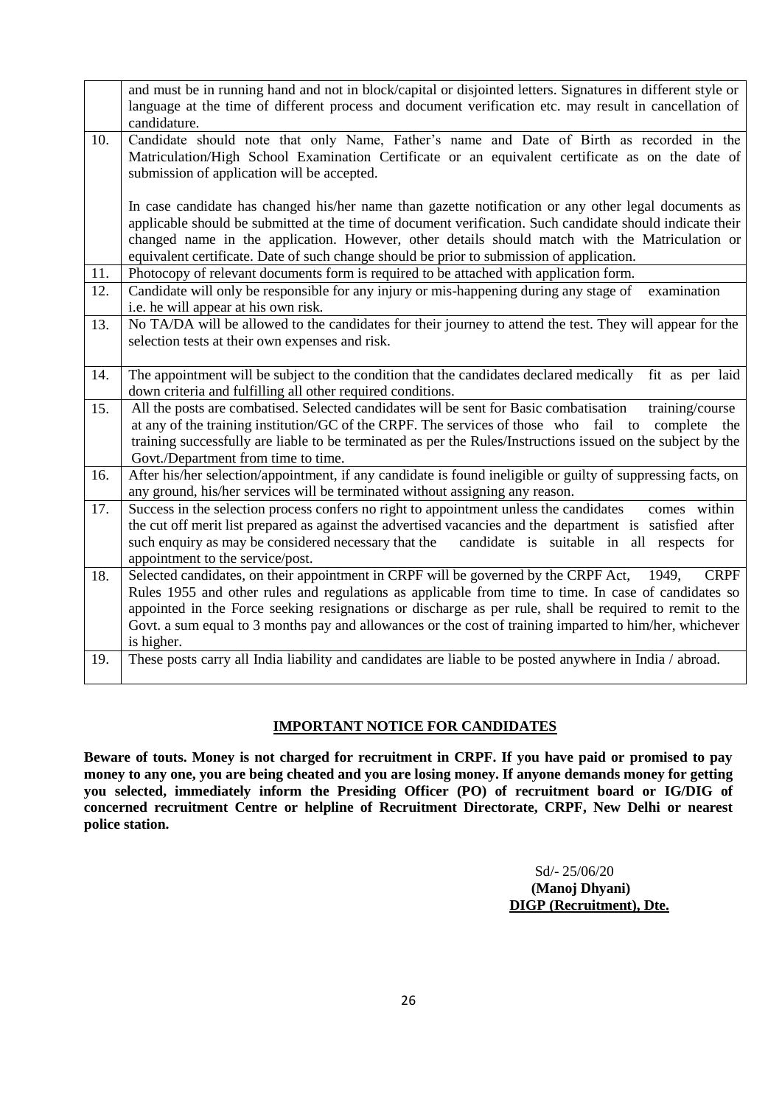|     | and must be in running hand and not in block/capital or disjointed letters. Signatures in different style or<br>language at the time of different process and document verification etc. may result in cancellation of                                                                                                                                                                                                                                  |
|-----|---------------------------------------------------------------------------------------------------------------------------------------------------------------------------------------------------------------------------------------------------------------------------------------------------------------------------------------------------------------------------------------------------------------------------------------------------------|
|     | candidature.                                                                                                                                                                                                                                                                                                                                                                                                                                            |
| 10. | Candidate should note that only Name, Father's name and Date of Birth as recorded in the<br>Matriculation/High School Examination Certificate or an equivalent certificate as on the date of<br>submission of application will be accepted.                                                                                                                                                                                                             |
|     | In case candidate has changed his/her name than gazette notification or any other legal documents as<br>applicable should be submitted at the time of document verification. Such candidate should indicate their<br>changed name in the application. However, other details should match with the Matriculation or<br>equivalent certificate. Date of such change should be prior to submission of application.                                        |
| 11. | Photocopy of relevant documents form is required to be attached with application form.                                                                                                                                                                                                                                                                                                                                                                  |
| 12. | Candidate will only be responsible for any injury or mis-happening during any stage of<br>examination<br>i.e. he will appear at his own risk.                                                                                                                                                                                                                                                                                                           |
| 13. | No TA/DA will be allowed to the candidates for their journey to attend the test. They will appear for the<br>selection tests at their own expenses and risk.                                                                                                                                                                                                                                                                                            |
| 14. | The appointment will be subject to the condition that the candidates declared medically<br>fit as per laid<br>down criteria and fulfilling all other required conditions.                                                                                                                                                                                                                                                                               |
| 15. | All the posts are combatised. Selected candidates will be sent for Basic combatisation<br>training/course<br>at any of the training institution/GC of the CRPF. The services of those who fail to complete the<br>training successfully are liable to be terminated as per the Rules/Instructions issued on the subject by the<br>Govt./Department from time to time.                                                                                   |
| 16. | After his/her selection/appointment, if any candidate is found ineligible or guilty of suppressing facts, on<br>any ground, his/her services will be terminated without assigning any reason.                                                                                                                                                                                                                                                           |
| 17. | Success in the selection process confers no right to appointment unless the candidates<br>comes within<br>the cut off merit list prepared as against the advertised vacancies and the department is satisfied after<br>such enquiry as may be considered necessary that the<br>candidate is suitable in all respects for<br>appointment to the service/post.                                                                                            |
| 18. | Selected candidates, on their appointment in CRPF will be governed by the CRPF Act,<br><b>CRPF</b><br>1949,<br>Rules 1955 and other rules and regulations as applicable from time to time. In case of candidates so<br>appointed in the Force seeking resignations or discharge as per rule, shall be required to remit to the<br>Govt. a sum equal to 3 months pay and allowances or the cost of training imparted to him/her, whichever<br>is higher. |
| 19. | These posts carry all India liability and candidates are liable to be posted anywhere in India / abroad.                                                                                                                                                                                                                                                                                                                                                |

## **IMPORTANT NOTICE FOR CANDIDATES**

**Beware of touts. Money is not charged for recruitment in CRPF. If you have paid or promised to pay money to any one, you are being cheated and you are losing money. If anyone demands money for getting you selected, immediately inform the Presiding Officer (PO) of recruitment board or IG/DIG of concerned recruitment Centre or helpline of Recruitment Directorate, CRPF, New Delhi or nearest police station.**

> Sd/- 25/06/20  **(Manoj Dhyani) DIGP (Recruitment), Dte.**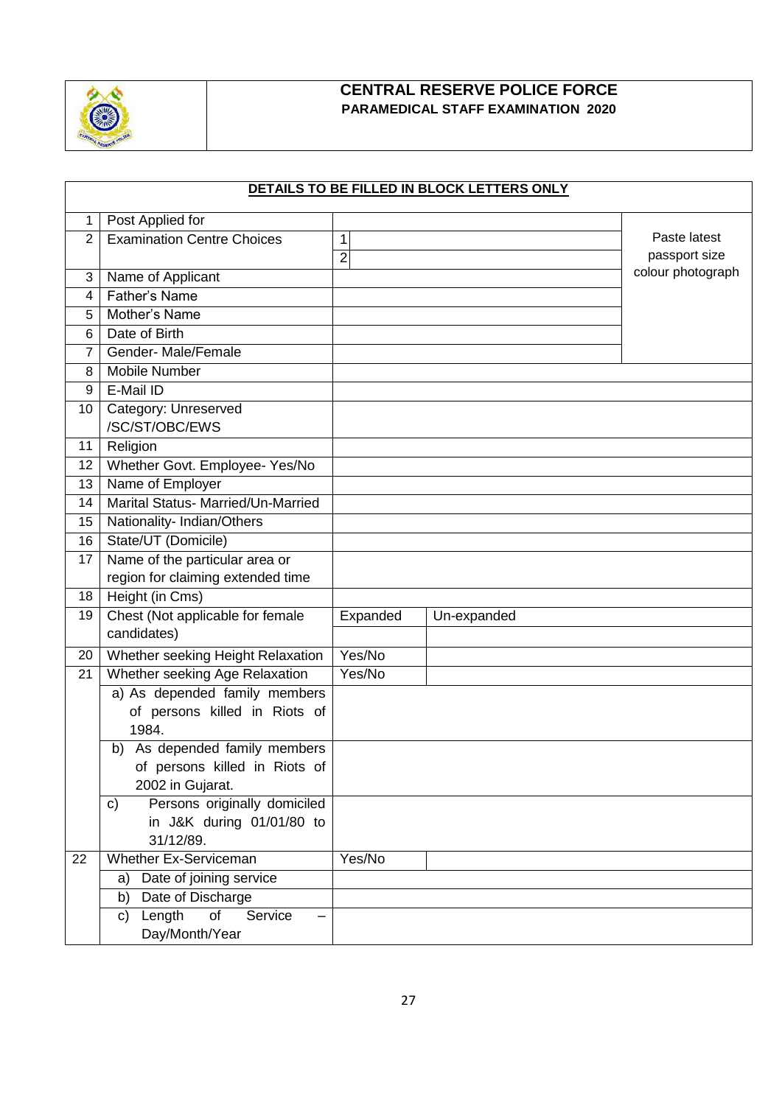

# **CENTRAL RESERVE POLICE FORCE PARAMEDICAL STAFF EXAMINATION 2020**

|    |                                        |                | DETAILS TO BE FILLED IN BLOCK LETTERS ONLY |                   |
|----|----------------------------------------|----------------|--------------------------------------------|-------------------|
| 1  | Post Applied for                       |                |                                            |                   |
| 2  | <b>Examination Centre Choices</b>      | 1              |                                            | Paste latest      |
|    |                                        | $\overline{2}$ |                                            | passport size     |
| 3  | Name of Applicant                      |                |                                            | colour photograph |
| 4  | Father's Name                          |                |                                            |                   |
| 5  | Mother's Name                          |                |                                            |                   |
| 6  | Date of Birth                          |                |                                            |                   |
| 7  | Gender-Male/Female                     |                |                                            |                   |
| 8  | Mobile Number                          |                |                                            |                   |
| 9  | E-Mail ID                              |                |                                            |                   |
| 10 | Category: Unreserved                   |                |                                            |                   |
|    | /SC/ST/OBC/EWS                         |                |                                            |                   |
| 11 | Religion                               |                |                                            |                   |
| 12 | Whether Govt. Employee- Yes/No         |                |                                            |                   |
| 13 | Name of Employer                       |                |                                            |                   |
| 14 | Marital Status- Married/Un-Married     |                |                                            |                   |
| 15 | Nationality- Indian/Others             |                |                                            |                   |
| 16 | State/UT (Domicile)                    |                |                                            |                   |
| 17 | Name of the particular area or         |                |                                            |                   |
|    | region for claiming extended time      |                |                                            |                   |
| 18 | Height (in Cms)                        |                |                                            |                   |
| 19 | Chest (Not applicable for female       | Expanded       | Un-expanded                                |                   |
|    | candidates)                            |                |                                            |                   |
| 20 | Whether seeking Height Relaxation      | Yes/No         |                                            |                   |
| 21 | Whether seeking Age Relaxation         | Yes/No         |                                            |                   |
|    | a) As depended family members          |                |                                            |                   |
|    | of persons killed in Riots of          |                |                                            |                   |
|    | 1984.                                  |                |                                            |                   |
|    | b) As depended family members          |                |                                            |                   |
|    | of persons killed in Riots of          |                |                                            |                   |
|    | 2002 in Gujarat.                       |                |                                            |                   |
|    | Persons originally domiciled<br>C)     |                |                                            |                   |
|    | in J&K during 01/01/80 to<br>31/12/89. |                |                                            |                   |
| 22 | Whether Ex-Serviceman                  | Yes/No         |                                            |                   |
|    | Date of joining service<br>a)          |                |                                            |                   |
|    | Date of Discharge<br>b)                |                |                                            |                   |
|    | of<br>Length<br>Service<br>c)          |                |                                            |                   |
|    | Day/Month/Year                         |                |                                            |                   |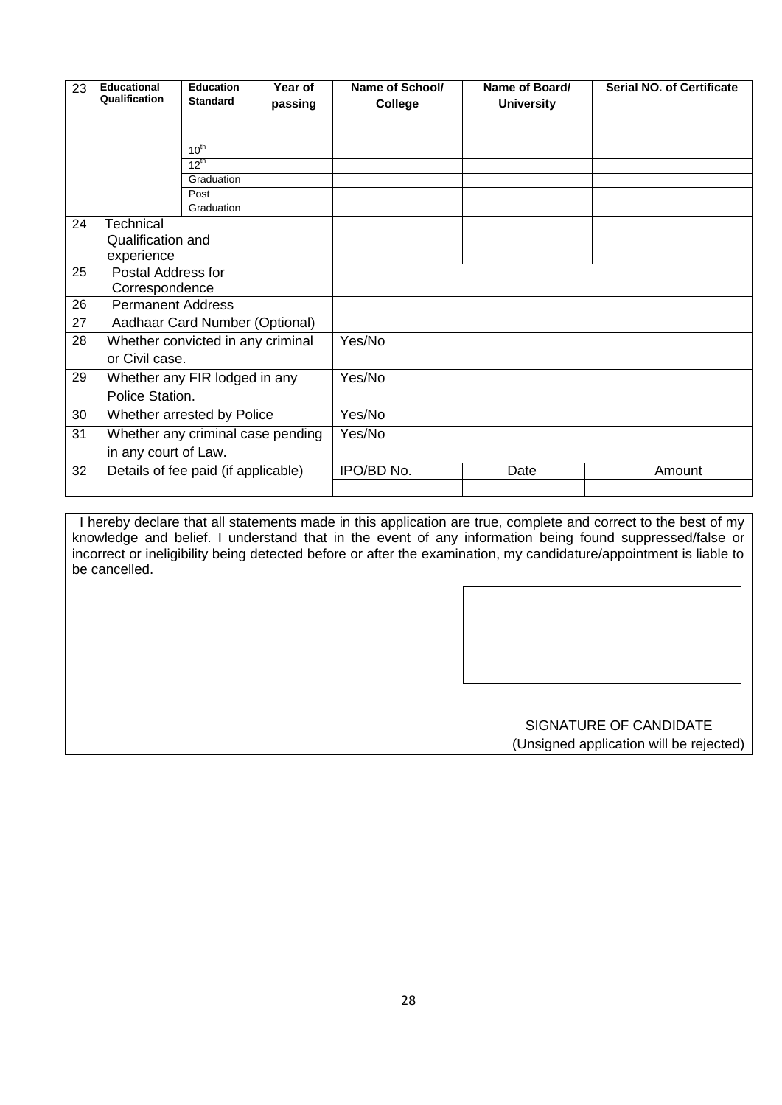| 23 | <b>Educational</b><br>Qualification | <b>Education</b><br><b>Standard</b> | Year of<br>passing                | <b>Serial NO. of Certificate</b><br>Name of School/<br>Name of Board/<br><b>University</b><br>College |      |        |  |  |
|----|-------------------------------------|-------------------------------------|-----------------------------------|-------------------------------------------------------------------------------------------------------|------|--------|--|--|
|    |                                     |                                     |                                   |                                                                                                       |      |        |  |  |
|    |                                     | $10^{th}$                           |                                   |                                                                                                       |      |        |  |  |
|    |                                     | $12^{th}$                           |                                   |                                                                                                       |      |        |  |  |
|    |                                     | Graduation<br>Post                  |                                   |                                                                                                       |      |        |  |  |
|    |                                     | Graduation                          |                                   |                                                                                                       |      |        |  |  |
| 24 | Technical                           |                                     |                                   |                                                                                                       |      |        |  |  |
|    | Qualification and                   |                                     |                                   |                                                                                                       |      |        |  |  |
|    | experience                          |                                     |                                   |                                                                                                       |      |        |  |  |
| 25 | Postal Address for                  |                                     |                                   |                                                                                                       |      |        |  |  |
|    | Correspondence                      |                                     |                                   |                                                                                                       |      |        |  |  |
| 26 | <b>Permanent Address</b>            |                                     |                                   |                                                                                                       |      |        |  |  |
| 27 | Aadhaar Card Number (Optional)      |                                     |                                   |                                                                                                       |      |        |  |  |
| 28 | Whether convicted in any criminal   |                                     |                                   | Yes/No                                                                                                |      |        |  |  |
|    | or Civil case.                      |                                     |                                   |                                                                                                       |      |        |  |  |
| 29 | Whether any FIR lodged in any       |                                     |                                   | Yes/No                                                                                                |      |        |  |  |
|    | Police Station.                     |                                     |                                   |                                                                                                       |      |        |  |  |
| 30 | Whether arrested by Police          |                                     |                                   | Yes/No                                                                                                |      |        |  |  |
| 31 |                                     |                                     | Whether any criminal case pending | Yes/No                                                                                                |      |        |  |  |
|    | in any court of Law.                |                                     |                                   |                                                                                                       |      |        |  |  |
| 32 | Details of fee paid (if applicable) |                                     |                                   | IPO/BD No.                                                                                            | Date | Amount |  |  |
|    |                                     |                                     |                                   |                                                                                                       |      |        |  |  |

 I hereby declare that all statements made in this application are true, complete and correct to the best of my knowledge and belief. I understand that in the event of any information being found suppressed/false or incorrect or ineligibility being detected before or after the examination, my candidature/appointment is liable to be cancelled.

> SIGNATURE OF CANDIDATE (Unsigned application will be rejected)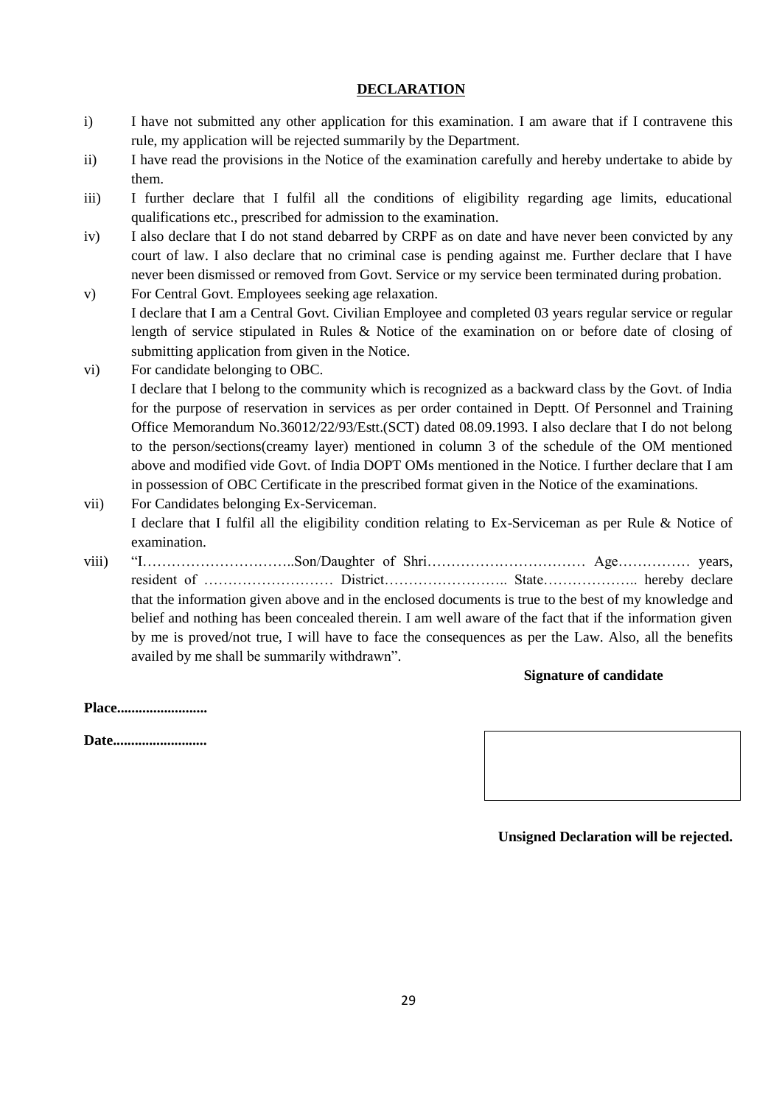## **DECLARATION**

- i) I have not submitted any other application for this examination. I am aware that if I contravene this rule, my application will be rejected summarily by the Department.
- ii) I have read the provisions in the Notice of the examination carefully and hereby undertake to abide by them.
- iii) I further declare that I fulfil all the conditions of eligibility regarding age limits, educational qualifications etc., prescribed for admission to the examination.
- iv) I also declare that I do not stand debarred by CRPF as on date and have never been convicted by any court of law. I also declare that no criminal case is pending against me. Further declare that I have never been dismissed or removed from Govt. Service or my service been terminated during probation.
- v) For Central Govt. Employees seeking age relaxation. I declare that I am a Central Govt. Civilian Employee and completed 03 years regular service or regular length of service stipulated in Rules & Notice of the examination on or before date of closing of submitting application from given in the Notice.
- vi) For candidate belonging to OBC. I declare that I belong to the community which is recognized as a backward class by the Govt. of India for the purpose of reservation in services as per order contained in Deptt. Of Personnel and Training Office Memorandum No.36012/22/93/Estt.(SCT) dated 08.09.1993. I also declare that I do not belong to the person/sections(creamy layer) mentioned in column 3 of the schedule of the OM mentioned above and modified vide Govt. of India DOPT OMs mentioned in the Notice. I further declare that I am in possession of OBC Certificate in the prescribed format given in the Notice of the examinations.
- vii) For Candidates belonging Ex-Serviceman. I declare that I fulfil all the eligibility condition relating to Ex-Serviceman as per Rule & Notice of examination.
- viii) "I…………………………..Son/Daughter of Shri…………………………… Age…………… years, resident of ……………………… District…………………….. State……………….. hereby declare that the information given above and in the enclosed documents is true to the best of my knowledge and belief and nothing has been concealed therein. I am well aware of the fact that if the information given by me is proved/not true, I will have to face the consequences as per the Law. Also, all the benefits availed by me shall be summarily withdrawn".

### **Signature of candidate**

**Place.........................**

**Date..........................**



### **Unsigned Declaration will be rejected.**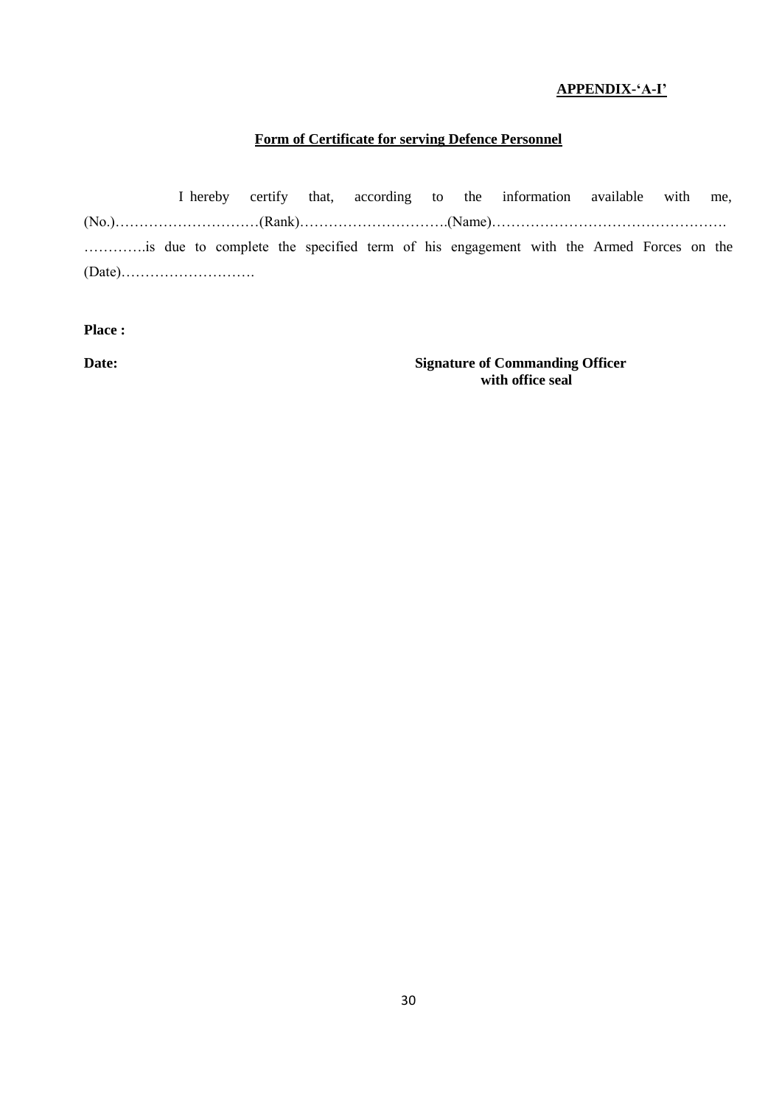## **APPENDIX-"A-I"**

### **Form of Certificate for serving Defence Personnel**

I hereby certify that, according to the information available with me, (No.)…………………………(Rank)………………………….(Name)…………………………………………. ………….is due to complete the specified term of his engagement with the Armed Forces on the (Date)……………………….

**Place :**

**Date: Signature of Commanding Officer with office seal**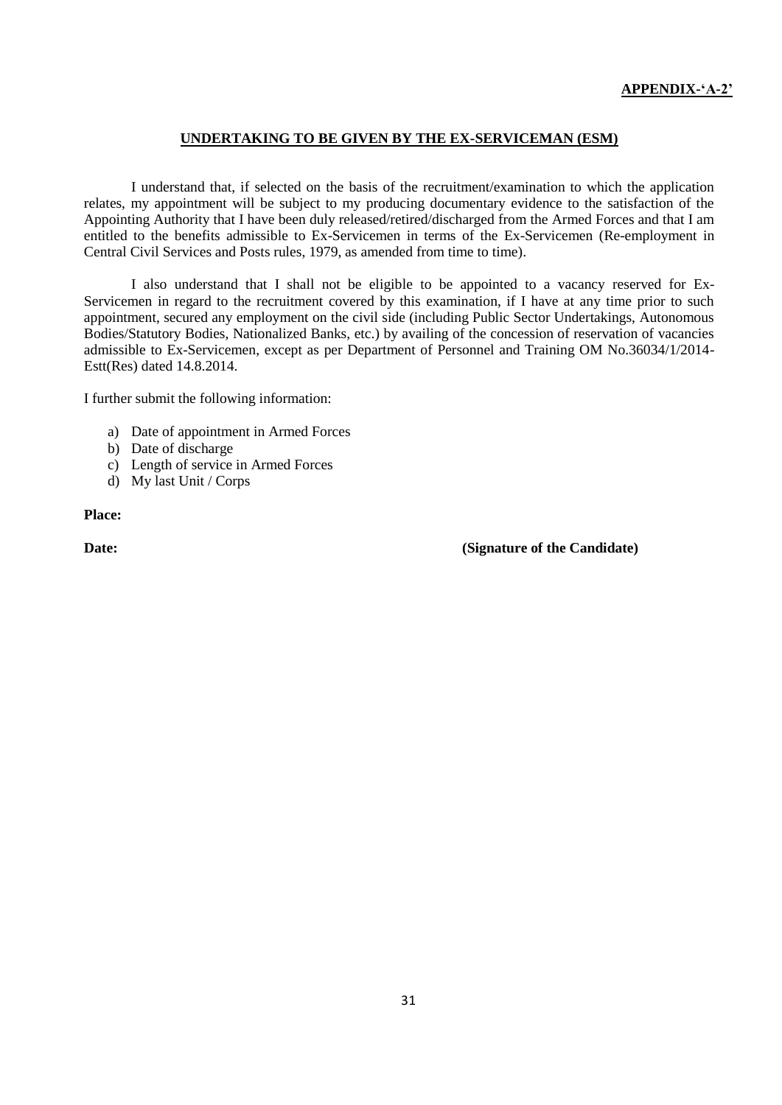## **UNDERTAKING TO BE GIVEN BY THE EX-SERVICEMAN (ESM)**

I understand that, if selected on the basis of the recruitment/examination to which the application relates, my appointment will be subject to my producing documentary evidence to the satisfaction of the Appointing Authority that I have been duly released/retired/discharged from the Armed Forces and that I am entitled to the benefits admissible to Ex-Servicemen in terms of the Ex-Servicemen (Re-employment in Central Civil Services and Posts rules, 1979, as amended from time to time).

I also understand that I shall not be eligible to be appointed to a vacancy reserved for Ex-Servicemen in regard to the recruitment covered by this examination, if I have at any time prior to such appointment, secured any employment on the civil side (including Public Sector Undertakings, Autonomous Bodies/Statutory Bodies, Nationalized Banks, etc.) by availing of the concession of reservation of vacancies admissible to Ex-Servicemen, except as per Department of Personnel and Training OM No.36034/1/2014- Estt(Res) dated 14.8.2014.

I further submit the following information:

- a) Date of appointment in Armed Forces
- b) Date of discharge
- c) Length of service in Armed Forces
- d) My last Unit / Corps

**Place:**

**Date: Conserverse Conserverse Conserverse Conserverse Conserverse Conserverse Conserverse Conserverse Conserverse Conserverse Conserverse Conserverse Conserverse Conserverse Conserverse Conserverse Conserverse Conserver**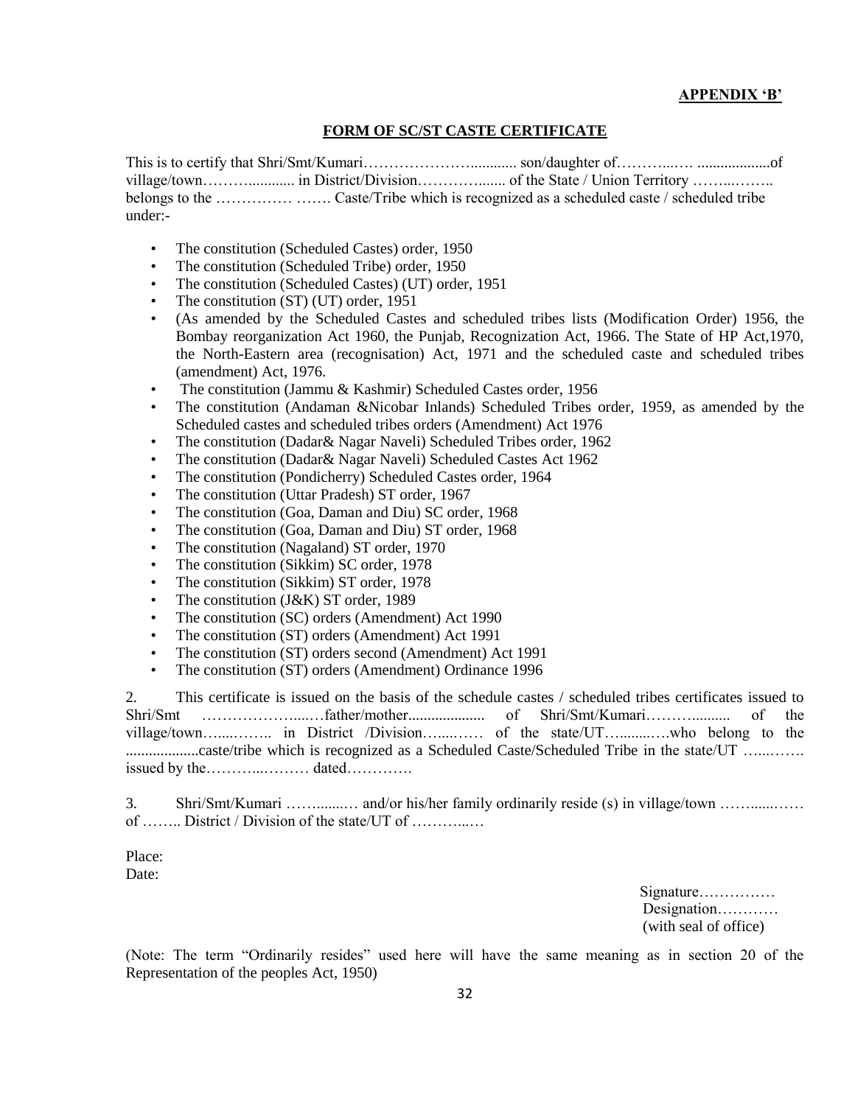### **APPENDIX "B"**

## **FORM OF SC/ST CASTE CERTIFICATE**

This is to certify that Shri/Smt/Kumari…………………............ son/daughter of………...…. ...................of village/town………............ in District/Division…………....... of the State / Union Territory ……...…….. belongs to the …………… ……. Caste/Tribe which is recognized as a scheduled caste / scheduled tribe under:-

- The constitution (Scheduled Castes) order, 1950
- The constitution (Scheduled Tribe) order, 1950
- The constitution (Scheduled Castes) (UT) order, 1951
- The constitution (ST) (UT) order, 1951
- (As amended by the Scheduled Castes and scheduled tribes lists (Modification Order) 1956, the Bombay reorganization Act 1960, the Punjab, Recognization Act, 1966. The State of HP Act,1970, the North-Eastern area (recognisation) Act, 1971 and the scheduled caste and scheduled tribes (amendment) Act, 1976.
- The constitution (Jammu & Kashmir) Scheduled Castes order, 1956
- The constitution (Andaman &Nicobar Inlands) Scheduled Tribes order, 1959, as amended by the Scheduled castes and scheduled tribes orders (Amendment) Act 1976
- The constitution (Dadar & Nagar Naveli) Scheduled Tribes order, 1962
- The constitution (Dadar& Nagar Naveli) Scheduled Castes Act 1962
- The constitution (Pondicherry) Scheduled Castes order, 1964
- The constitution (Uttar Pradesh) ST order, 1967
- The constitution (Goa, Daman and Diu) SC order, 1968
- The constitution (Goa, Daman and Diu) ST order, 1968
- The constitution (Nagaland) ST order, 1970
- The constitution (Sikkim) SC order, 1978
- The constitution (Sikkim) ST order, 1978
- The constitution (J&K) ST order, 1989
- The constitution (SC) orders (Amendment) Act 1990
- The constitution (ST) orders (Amendment) Act 1991
- The constitution (ST) orders second (Amendment) Act 1991
- The constitution (ST) orders (Amendment) Ordinance 1996

2. This certificate is issued on the basis of the schedule castes / scheduled tribes certificates issued to Shri/Smt ………………....…father/mother.................... of Shri/Smt/Kumari……….......... of the village/town…....…….. in District /Division…....…… of the state/UT…........….who belong to the ...........................caste/tribe which is recognized as a Scheduled Caste/Scheduled Tribe in the state/UT ….......... issued by the………...……… dated………….

3. Shri/Smt/Kumari …….......… and/or his/her family ordinarily reside (s) in village/town ……......…… of …….. District / Division of the state/UT of ………...…

Place: Date:

> Signature…………… Designation………… (with seal of office)

(Note: The term "Ordinarily resides" used here will have the same meaning as in section 20 of the Representation of the peoples Act, 1950)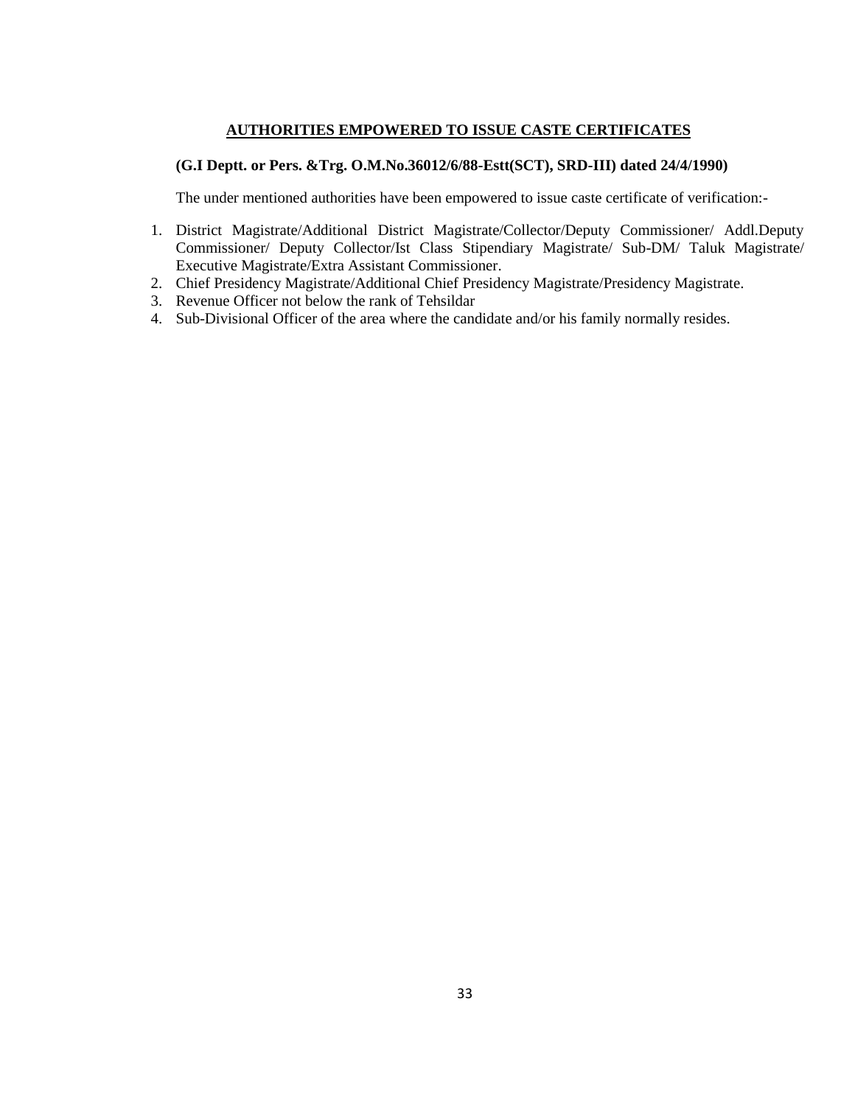## **AUTHORITIES EMPOWERED TO ISSUE CASTE CERTIFICATES**

## **(G.I Deptt. or Pers. &Trg. O.M.No.36012/6/88-Estt(SCT), SRD-III) dated 24/4/1990)**

The under mentioned authorities have been empowered to issue caste certificate of verification:-

- 1. District Magistrate/Additional District Magistrate/Collector/Deputy Commissioner/ Addl.Deputy Commissioner/ Deputy Collector/Ist Class Stipendiary Magistrate/ Sub-DM/ Taluk Magistrate/ Executive Magistrate/Extra Assistant Commissioner.
- 2. Chief Presidency Magistrate/Additional Chief Presidency Magistrate/Presidency Magistrate.
- 3. Revenue Officer not below the rank of Tehsildar
- 4. Sub-Divisional Officer of the area where the candidate and/or his family normally resides.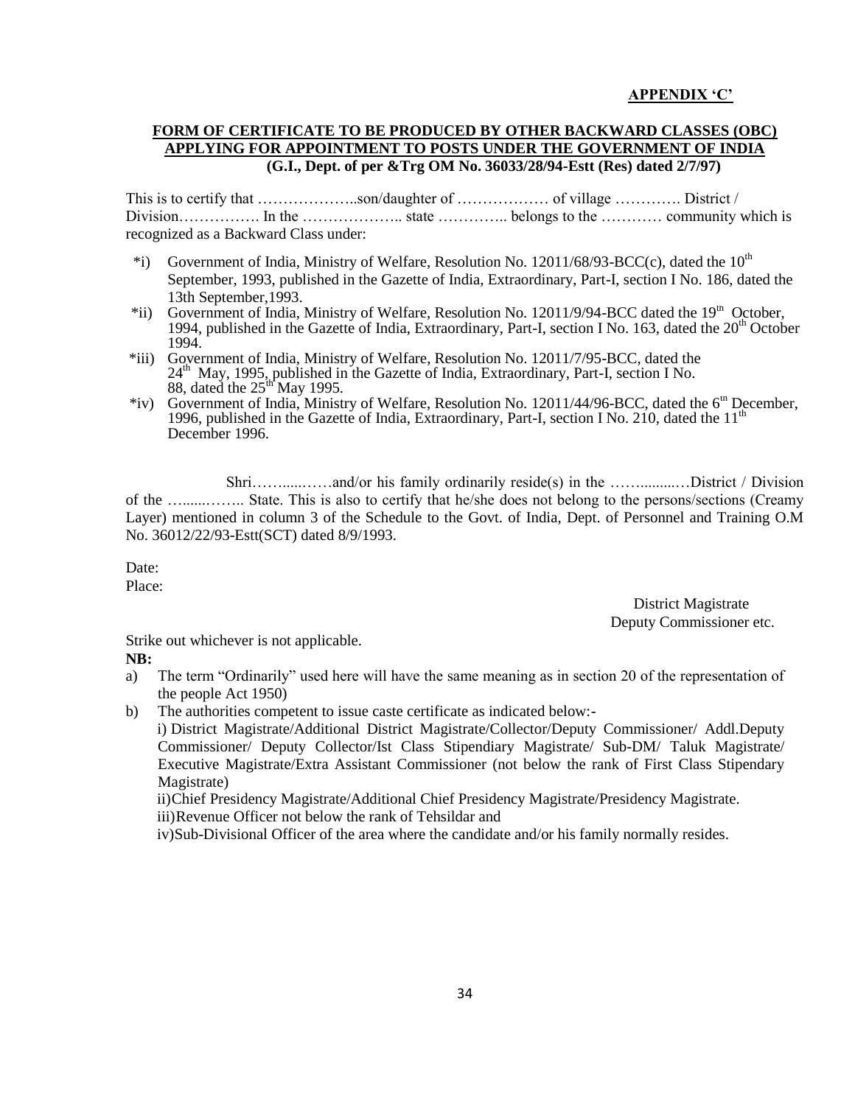### **APPENDIX "C"**

## **FORM OF CERTIFICATE TO BE PRODUCED BY OTHER BACKWARD CLASSES (OBC) APPLYING FOR APPOINTMENT TO POSTS UNDER THE GOVERNMENT OF INDIA (G.I., Dept. of per &Trg OM No. 36033/28/94-Estt (Res) dated 2/7/97)**

This is to certify that ………………..son/daughter of ……………… of village …………. District / Division……………. In the ……………….. state ………….. belongs to the ………… community which is recognized as a Backward Class under:

- \*i) Government of India, Ministry of Welfare, Resolution No. 12011/68/93-BCC(c), dated the  $10^{th}$ September, 1993, published in the Gazette of India, Extraordinary, Part-I, section I No. 186, dated the 13th September,1993.
- \*ii) Government of India, Ministry of Welfare, Resolution No. 12011/9/94-BCC dated the 19<sup>th</sup> October, 1994, published in the Gazette of India, Extraordinary, Part-I, section I No. 163, dated the  $20<sup>th</sup>$  October 1994.
- \*iii) Government of India, Ministry of Welfare, Resolution No. 12011/7/95-BCC, dated the 24<sup>th</sup> May, 1995, published in the Gazette of India, Extraordinary, Part-I, section I No. 88, dated the  $25^{\text{th}}$  May 1995.
- \*iv) Government of India, Ministry of Welfare, Resolution No. 12011/44/96-BCC, dated the 6th December, 1996, published in the Gazette of India, Extraordinary, Part-I, section I No. 210, dated the  $11<sup>th</sup>$ December 1996.

Shri…….....……and/or his family ordinarily reside(s) in the …….........…District / Division of the …......…….. State. This is also to certify that he/she does not belong to the persons/sections (Creamy Layer) mentioned in column 3 of the Schedule to the Govt. of India, Dept. of Personnel and Training O.M No. 36012/22/93-Estt(SCT) dated 8/9/1993.

Date: Place:

> District Magistrate Deputy Commissioner etc.

Strike out whichever is not applicable.

### **NB:**

- a) The term "Ordinarily" used here will have the same meaning as in section 20 of the representation of the people Act 1950)
- b) The authorities competent to issue caste certificate as indicated below:-

i) District Magistrate/Additional District Magistrate/Collector/Deputy Commissioner/ Addl.Deputy Commissioner/ Deputy Collector/Ist Class Stipendiary Magistrate/ Sub-DM/ Taluk Magistrate/ Executive Magistrate/Extra Assistant Commissioner (not below the rank of First Class Stipendary Magistrate)

ii)Chief Presidency Magistrate/Additional Chief Presidency Magistrate/Presidency Magistrate.

iii)Revenue Officer not below the rank of Tehsildar and

iv)Sub-Divisional Officer of the area where the candidate and/or his family normally resides.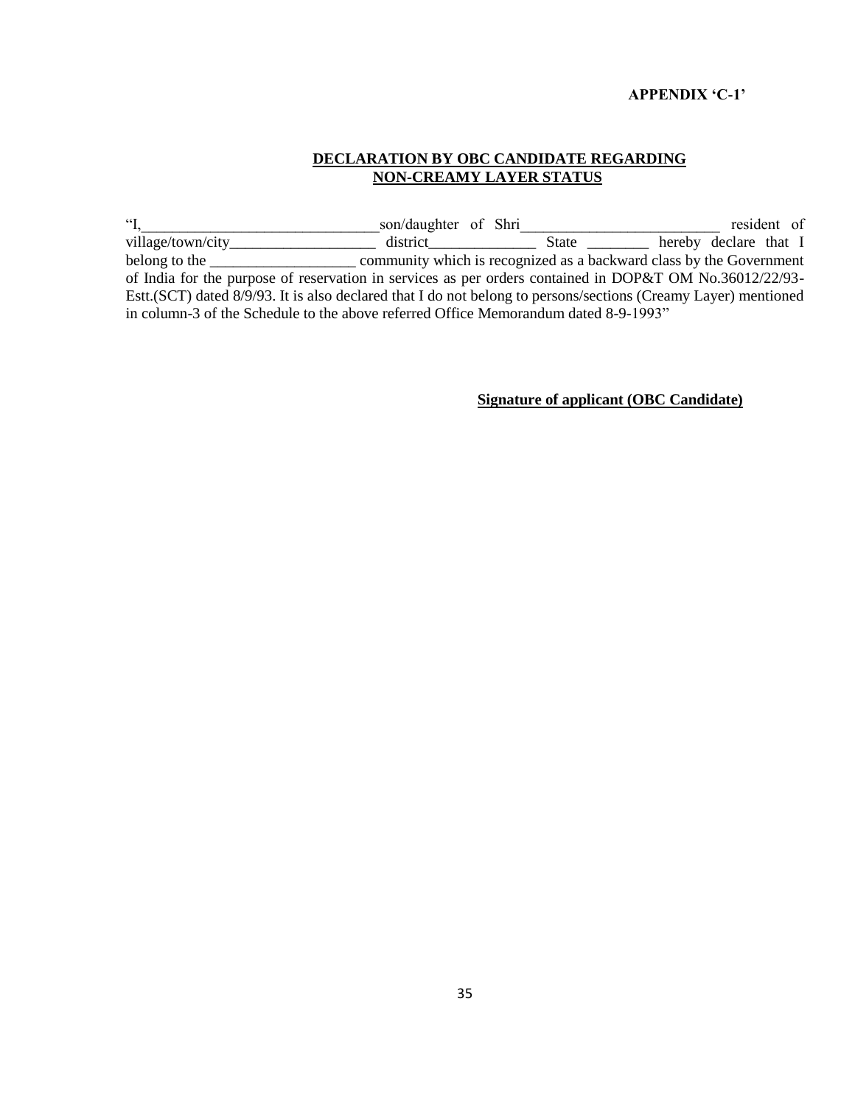### **APPENDIX "C-1"**

## **DECLARATION BY OBC CANDIDATE REGARDING NON-CREAMY LAYER STATUS**

"I,\_\_\_\_\_\_\_\_\_\_\_\_\_\_\_\_\_\_\_\_\_\_\_\_\_\_\_\_\_\_\_son/daughter of Shri\_\_\_\_\_\_\_\_\_\_\_\_\_\_\_\_\_\_\_\_\_\_\_\_\_\_ resident of village/town/city\_\_\_\_\_\_\_\_\_\_\_\_\_\_\_\_\_\_\_\_\_\_\_\_\_ district\_\_\_\_\_\_\_\_\_\_\_\_\_\_\_\_\_\_\_\_\_\_\_\_\_\_\_\_\_ belong to the <u>community</u> which is recognized as a backward class by the Government of India for the purpose of reservation in services as per orders contained in DOP&T OM No.36012/22/93- Estt.(SCT) dated 8/9/93. It is also declared that I do not belong to persons/sections (Creamy Layer) mentioned in column-3 of the Schedule to the above referred Office Memorandum dated 8-9-1993"

**Signature of applicant (OBC Candidate)**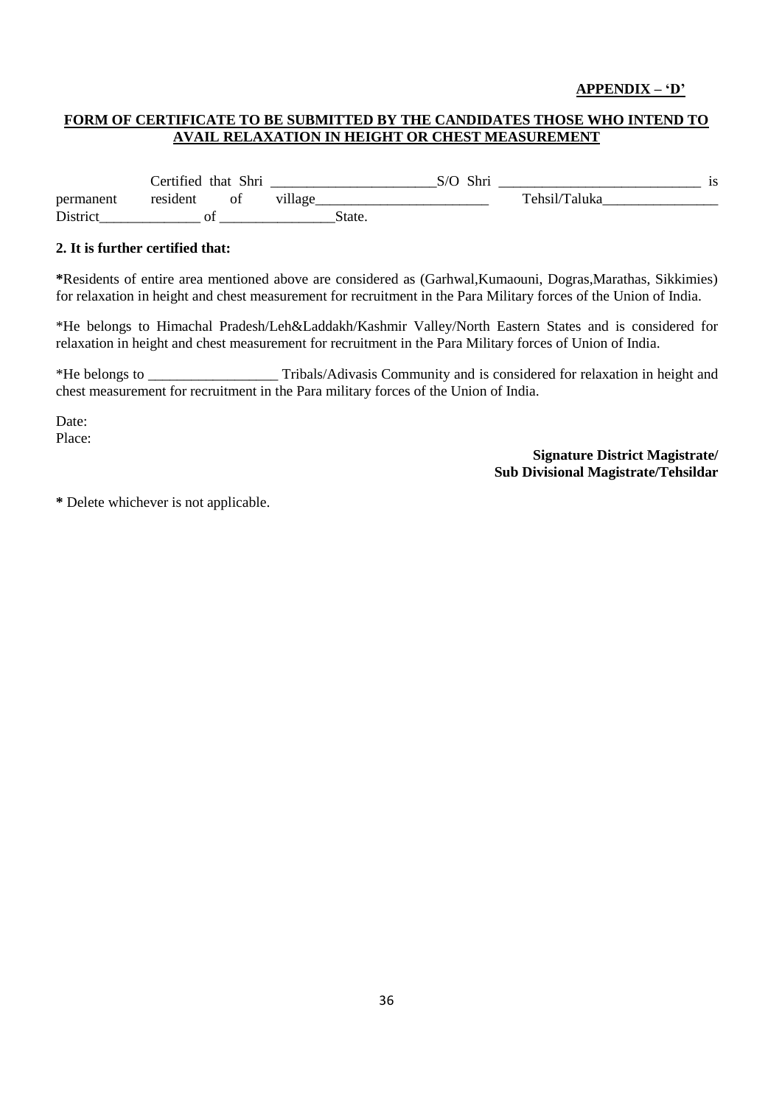## **APPENDIX – "D"**

## **FORM OF CERTIFICATE TO BE SUBMITTED BY THE CANDIDATES THOSE WHO INTEND TO AVAIL RELAXATION IN HEIGHT OR CHEST MEASUREMENT**

Certified that Shri \_\_\_\_\_\_\_\_\_\_\_\_\_\_\_\_\_\_\_\_\_\_\_S/O Shri \_\_\_\_\_\_\_\_\_\_\_\_\_\_\_\_\_\_\_\_\_\_\_\_\_\_\_\_ is permanent resident of village and the Tehsil/Taluka District of State.

#### **2. It is further certified that:**

**\***Residents of entire area mentioned above are considered as (Garhwal,Kumaouni, Dogras,Marathas, Sikkimies) for relaxation in height and chest measurement for recruitment in the Para Military forces of the Union of India.

\*He belongs to Himachal Pradesh/Leh&Laddakh/Kashmir Valley/North Eastern States and is considered for relaxation in height and chest measurement for recruitment in the Para Military forces of Union of India.

\*He belongs to \_\_\_\_\_\_\_\_\_\_\_\_\_\_\_\_\_\_ Tribals/Adivasis Community and is considered for relaxation in height and chest measurement for recruitment in the Para military forces of the Union of India.

Date: Place:

> **Signature District Magistrate/ Sub Divisional Magistrate/Tehsildar**

**\*** Delete whichever is not applicable.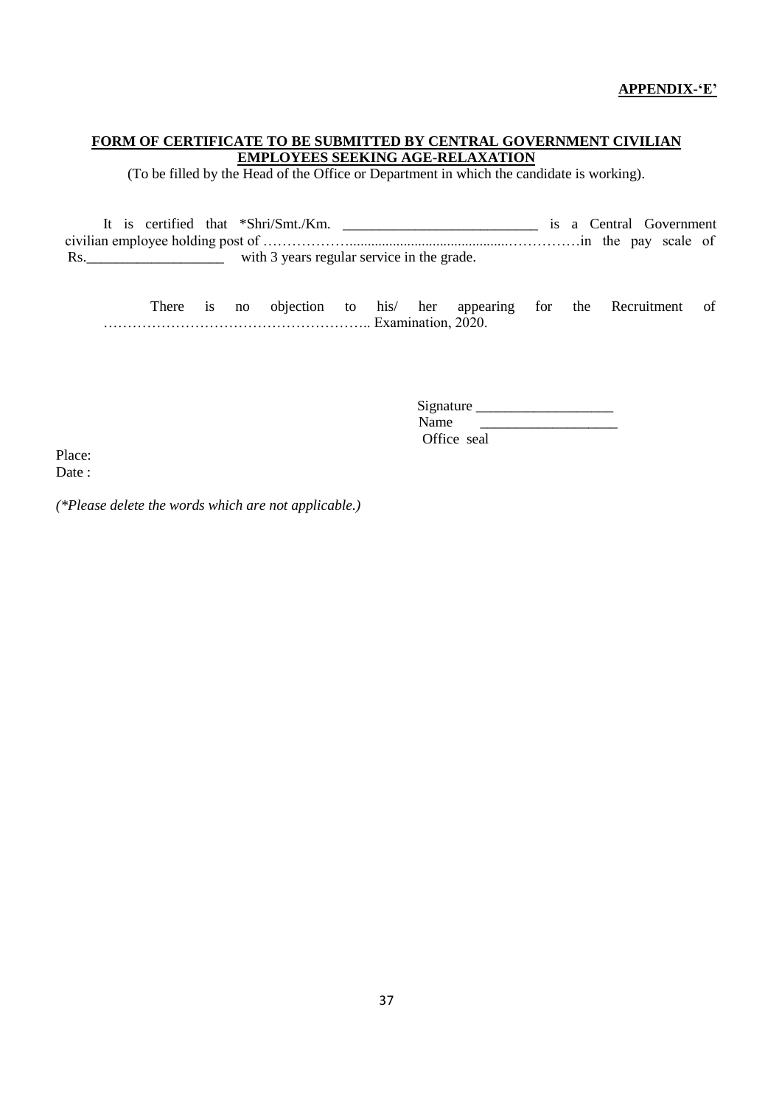## **FORM OF CERTIFICATE TO BE SUBMITTED BY CENTRAL GOVERNMENT CIVILIAN EMPLOYEES SEEKING AGE-RELAXATION**

(To be filled by the Head of the Office or Department in which the candidate is working).

It is certified that \*Shri/Smt./Km. \_\_\_\_\_\_\_\_\_\_\_\_\_\_\_\_\_\_\_\_\_\_\_\_\_\_\_ is a Central Government civilian employee holding post of ………………............................................……………in the pay scale of Rs.\_\_\_\_\_\_\_\_\_\_\_\_\_\_\_\_\_\_\_ with 3 years regular service in the grade.

There is no objection to his/ her appearing for the Recruitment of ……………………………………………….. Examination, 2020.

> Signature \_\_\_\_\_\_\_\_\_\_\_\_\_\_\_\_\_\_\_  $\frac{1}{2}$  ,  $\frac{1}{2}$  ,  $\frac{1}{2}$  ,  $\frac{1}{2}$  ,  $\frac{1}{2}$  ,  $\frac{1}{2}$  ,  $\frac{1}{2}$  ,  $\frac{1}{2}$  ,  $\frac{1}{2}$  ,  $\frac{1}{2}$  ,  $\frac{1}{2}$  ,  $\frac{1}{2}$  ,  $\frac{1}{2}$  ,  $\frac{1}{2}$  ,  $\frac{1}{2}$  ,  $\frac{1}{2}$  ,  $\frac{1}{2}$  ,  $\frac{1}{2}$  ,  $\frac{1$ Office seal

Place: Date:

*(\*Please delete the words which are not applicable.)*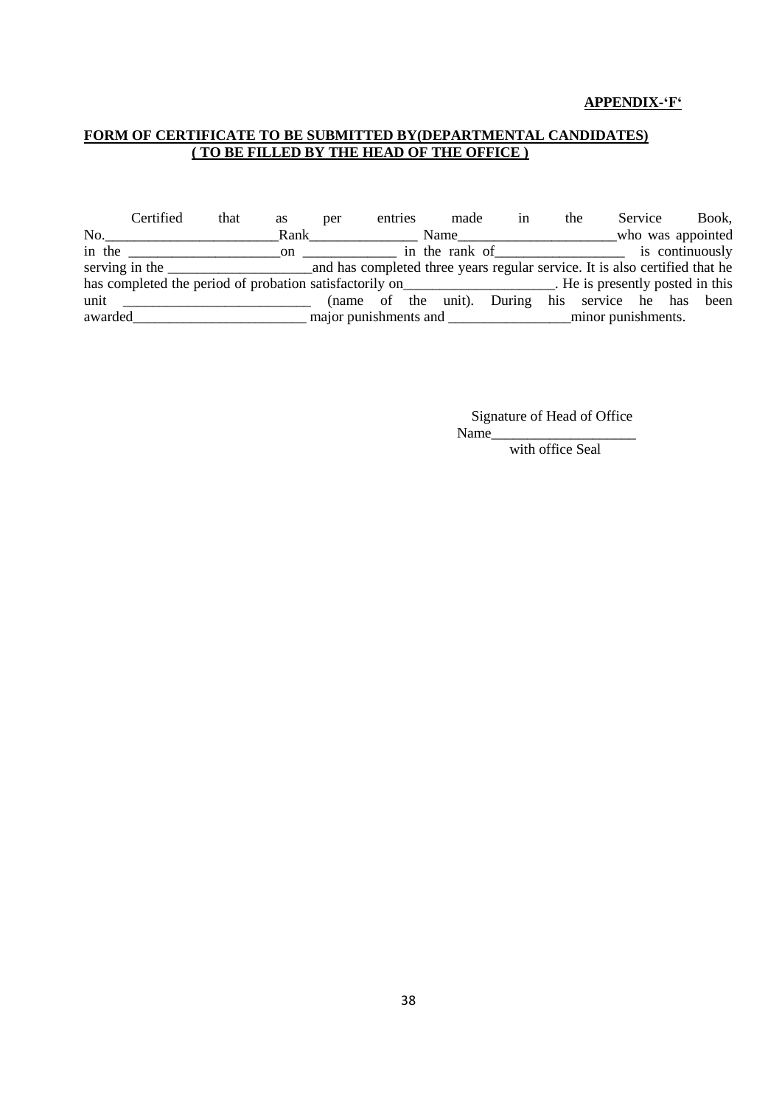#### **APPENDIX-"F"**

## **FORM OF CERTIFICATE TO BE SUBMITTED BY(DEPARTMENTAL CANDIDATES) ( TO BE FILLED BY THE HEAD OF THE OFFICE )**

Certified that as per entries made in the Service Book, No.\_\_\_\_\_\_\_\_\_\_\_\_\_\_\_\_\_\_\_\_\_\_\_\_Rank\_\_\_\_\_\_\_\_\_\_\_\_\_\_\_ Name\_\_\_\_\_\_\_\_\_\_\_\_\_\_\_\_\_\_\_\_\_\_who was appointed in the \_\_\_\_\_\_\_\_\_\_\_\_\_\_\_\_\_\_\_\_\_on \_\_\_\_\_\_\_\_\_\_\_\_\_ in the rank of\_\_\_\_\_\_\_\_\_\_\_\_\_\_\_\_\_\_ is continuously serving in the \_\_\_\_\_\_\_\_\_\_\_\_\_\_\_\_\_\_\_\_and has completed three years regular service. It is also certified that he has completed the period of probation satisfactorily on\_\_\_\_\_\_\_\_\_\_\_\_\_\_\_\_\_\_. He is presently posted in this unit \_\_\_\_\_\_\_\_\_\_\_\_\_\_\_\_\_\_\_\_\_\_\_\_\_\_\_\_\_\_\_ (name of the unit). During his service he has been awarded\_\_\_\_\_\_\_\_\_\_\_\_\_\_\_\_\_\_\_\_\_\_\_\_ major punishments and \_\_\_\_\_\_\_\_\_\_\_\_\_\_\_\_\_minor punishments.

> Signature of Head of Office Name

> > with office Seal